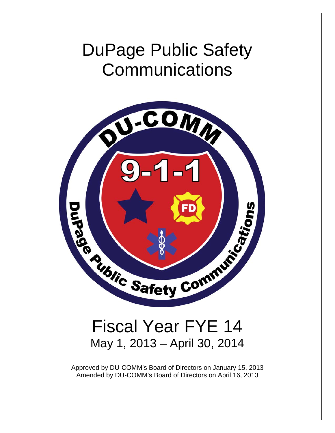# DuPage Public Safety **Communications**



# Fiscal Year FYE 14 May 1, 2013 – April 30, 2014

Approved by DU-COMM's Board of Directors on January 15, 2013 Amended by DU-COMM's Board of Directors on April 16, 2013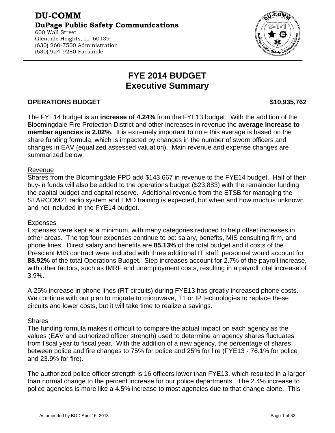#### **DU-COMM DuPage Public Safety Communications**  600 Wall Street Glendale Heights, IL 60139 (630) 260-7500 Administration (630) 924-9280 Facsimile

## **FYE 2014 BUDGET Executive Summary**

### **OPERATIONS BUDGET \$10,935,762**

The FYE14 budget is an **increase of 4.24%** from the FYE13 budget. With the addition of the Bloomingdale Fire Protection District and other increases in revenue the **average increase to member agencies is 2.02%**. It is extremely important to note this average is based on the share funding formula, which is impacted by changes in the number of sworn officers and changes in EAV (equalized assessed valuation). Main revenue and expense changes are summarized below.

#### Revenue

Shares from the Bloomingdale FPD add \$143,667 in revenue to the FYE14 budget. Half of their buy-in funds will also be added to the operations budget (\$23,883) with the remainder funding the capital budget and capital reserve. Additional revenue from the ETSB for managing the STARCOM21 radio system and EMD training is expected, but when and how much is unknown and not included in the FYE14 budget.

#### Expenses

Expenses were kept at a minimum, with many categories reduced to help offset increases in other areas. The top four expenses continue to be: salary, benefits, MIS consulting firm, and phone lines. Direct salary and benefits are **85.13%** of the total budget and if costs of the Prescient MIS contract were included with three additional IT staff, personnel would account for **88.92%** of the total Operations Budget. Step increases account for 2.7% of the payroll increase, with other factors, such as IMRF and unemployment costs, resulting in a payroll total increase of 3.9%.

A 25% increase in phone lines (RT circuits) during FYE13 has greatly increased phone costs. We continue with our plan to migrate to microwave, T1 or IP technologies to replace these circuits and lower costs, but it will take time to realize a savings.

#### Shares

The funding formula makes it difficult to compare the actual impact on each agency as the values (EAV and authorized officer strength) used to determine an agency shares fluctuates from fiscal year to fiscal year. With the addition of a new agency, the percentage of shares between police and fire changes to 75% for police and 25% for fire (FYE13 - 76.1% for police and 23.9% for fire).

The authorized police officer strength is 16 officers lower than FYE13, which resulted in a larger than normal change to the percent increase for our police departments. The 2.4% increase to police agencies is more like a 4.5% increase to most agencies due to that change alone. This



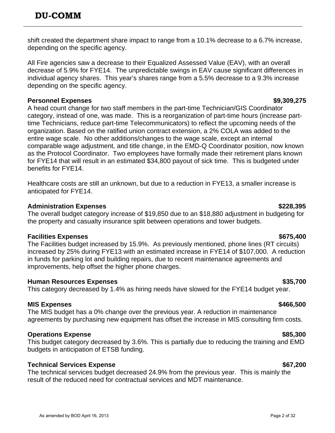shift created the department share impact to range from a 10.1% decrease to a 6.7% increase, depending on the specific agency.

All Fire agencies saw a decrease to their Equalized Assessed Value (EAV), with an overall decrease of 5.9% for FYE14. The unpredictable swings in EAV cause significant differences in individual agency shares. This year's shares range from a 5.5% decrease to a 9.3% increase depending on the specific agency.

### **Personnel Expenses**  $\sim$  \$9,309,275

A head count change for two staff members in the part-time Technician/GIS Coordinator category, instead of one, was made. This is a reorganization of part-time hours (increase parttime Technicians, reduce part-time Telecommunicators) to reflect the upcoming needs of the organization. Based on the ratified union contract extension, a 2% COLA was added to the entire wage scale. No other additions/changes to the wage scale, except an internal comparable wage adjustment, and title change, in the EMD-Q Coordinator position, now known as the Protocol Coordinator. Two employees have formally made their retirement plans known for FYE14 that will result in an estimated \$34,800 payout of sick time. This is budgeted under benefits for FYE14.

Healthcare costs are still an unknown, but due to a reduction in FYE13, a smaller increase is anticipated for FYE14.

### **Administration Expenses \$228,395**

The overall budget category increase of \$19,850 due to an \$18,880 adjustment in budgeting for the property and casualty insurance split between operations and tower budgets.

### **Facilities Expenses**  $\sim$

The Facilities budget increased by 15.9%. As previously mentioned, phone lines (RT circuits) increased by 25% during FYE13 with an estimated increase in FYE14 of \$107,000. A reduction in funds for parking lot and building repairs, due to recent maintenance agreements and improvements, help offset the higher phone charges.

### **Human Resources Expenses \$35,700**

This category decreased by 1.4% as hiring needs have slowed for the FYE14 budget year.

## **MIS Expenses \$466,500**

The MIS budget has a 0% change over the previous year. A reduction in maintenance agreements by purchasing new equipment has offset the increase in MIS consulting firm costs.

### **Operations Expense**  $\sim$  **885,300**

This budget category decreased by 3.6%. This is partially due to reducing the training and EMD budgets in anticipation of ETSB funding.

## **Technical Services Expense**  $\sim$  \$67,200

The technical services budget decreased 24.9% from the previous year. This is mainly the result of the reduced need for contractual services and MDT maintenance.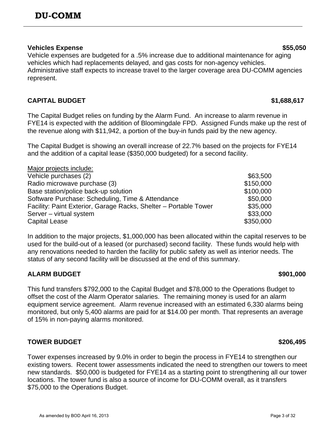As amended by BOD April 16, 2013 Page 3 of 32

#### **Vehicles Expense**  $$55,050$

Vehicle expenses are budgeted for a .5% increase due to additional maintenance for aging vehicles which had replacements delayed, and gas costs for non-agency vehicles. Administrative staff expects to increase travel to the larger coverage area DU-COMM agencies represent.

## **CAPITAL BUDGET** \$1,688,617

The Capital Budget relies on funding by the Alarm Fund. An increase to alarm revenue in FYE14 is expected with the addition of Bloomingdale FPD. Assigned Funds make up the rest of the revenue along with \$11,942, a portion of the buy-in funds paid by the new agency.

The Capital Budget is showing an overall increase of 22.7% based on the projects for FYE14 and the addition of a capital lease (\$350,000 budgeted) for a second facility.

Major projects include: Vehicle purchases  $(2)$   $\qquad \qquad$   $\qquad$   $\qquad$   $\qquad$   $\qquad$   $\qquad$   $\qquad$   $\qquad$   $\qquad$   $\qquad$   $\qquad$   $\qquad$   $\qquad$   $\qquad$   $\qquad$   $\qquad$   $\qquad$   $\qquad$   $\qquad$   $\qquad$   $\qquad$   $\qquad$   $\qquad$   $\qquad$   $\qquad$   $\qquad$   $\qquad$   $\qquad$   $\qquad$   $\qquad$   $\qquad$   $\qquad$   $\$ 

| Radio microwave purchase (3)                                     | \$150,000 |
|------------------------------------------------------------------|-----------|
| Base station/police back-up solution                             | \$100,000 |
| Software Purchase: Scheduling, Time & Attendance                 | \$50,000  |
| Facility: Paint Exterior, Garage Racks, Shelter - Portable Tower | \$35,000  |
| Server - virtual system                                          | \$33,000  |
| Capital Lease                                                    | \$350,000 |

In addition to the major projects, \$1,000,000 has been allocated within the capital reserves to be used for the build-out of a leased (or purchased) second facility. These funds would help with any renovations needed to harden the facility for public safety as well as interior needs. The status of any second facility will be discussed at the end of this summary.

## **ALARM BUDGET \$901,000**

This fund transfers \$792,000 to the Capital Budget and \$78,000 to the Operations Budget to offset the cost of the Alarm Operator salaries. The remaining money is used for an alarm equipment service agreement. Alarm revenue increased with an estimated 6,330 alarms being monitored, but only 5,400 alarms are paid for at \$14.00 per month. That represents an average of 15% in non-paying alarms monitored.

## **TOWER BUDGET \$206,495**

Tower expenses increased by 9.0% in order to begin the process in FYE14 to strengthen our existing towers. Recent tower assessments indicated the need to strengthen our towers to meet new standards. \$50,000 is budgeted for FYE14 as a starting point to strengthening all our tower locations. The tower fund is also a source of income for DU-COMM overall, as it transfers \$75,000 to the Operations Budget.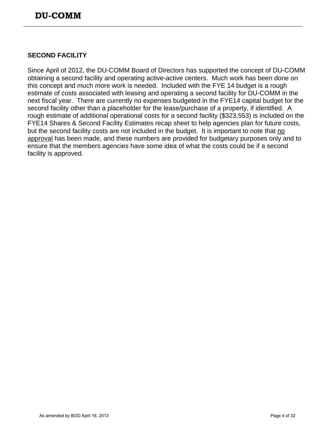## **SECOND FACILITY**

Since April of 2012, the DU-COMM Board of Directors has supported the concept of DU-COMM obtaining a second facility and operating active-active centers. Much work has been done on this concept and much more work is needed. Included with the FYE 14 budget is a rough estimate of costs associated with leasing and operating a second facility for DU-COMM in the next fiscal year. There are currently no expenses budgeted in the FYE14 capital budget for the second facility other than a placeholder for the lease/purchase of a property, if identified. A rough estimate of additional operational costs for a second facility (\$323,553) is included on the FYE14 Shares & Second Facility Estimates recap sheet to help agencies plan for future costs, but the second facility costs are not included in the budget. It is important to note that no approval has been made, and these numbers are provided for budgetary purposes only and to ensure that the members agencies have some idea of what the costs could be if a second facility is approved.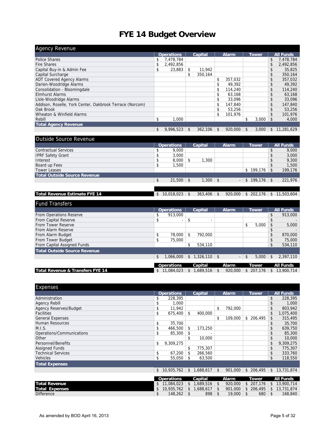## **FYE 14 Budget Overview**

| <b>Agency Revenue</b>                                    |                   |               |               |                |       |                  |
|----------------------------------------------------------|-------------------|---------------|---------------|----------------|-------|------------------|
|                                                          | <b>Operations</b> | Capital       | <b>Alarm</b>  |                | Tower | <b>All Funds</b> |
| Police Shares                                            | 7.478.784         |               |               |                |       | \$<br>7,478,784  |
| <b>Fire Shares</b>                                       | 2,492,856         |               |               |                |       | \$<br>2,492,856  |
| Capital Buy-in & Admin Fee                               | \$<br>23.883      | \$<br>11.942  |               |                |       | \$<br>35,825     |
| Capital Surcharge                                        |                   | \$<br>350.164 |               |                |       | \$<br>350,164    |
| <b>ADT Covered Agency Alarms</b>                         |                   |               | \$<br>357.032 |                |       | \$<br>357,032    |
| Darien-Woodridge Alarms                                  |                   |               | \$<br>49.392  |                |       | \$<br>49.392     |
| Consolidation - Bloomingdale                             |                   |               | 114,240       |                |       | \$<br>114,240    |
| <b>Elmhurst Alarms</b>                                   |                   |               | 63,168        |                |       | \$<br>63.168     |
| Lisle-Woodridge Alarms                                   |                   |               | \$<br>33.096  |                |       | \$<br>33,096     |
| Addison, Roselle, York Center, Oakbrook Terrace (Norcom) |                   |               | 147.840       |                |       | \$<br>147,840    |
| Oak Brook                                                |                   |               | \$<br>53.256  |                |       | \$<br>53,256     |
| Wheaton & Winfield Alarms                                |                   |               | \$<br>101,976 |                |       | \$<br>101,976    |
| Rebill                                                   | \$<br>1.000       |               |               | \$             | 3,000 | 4,000            |
| <b>Total Agency Revenue</b>                              |                   |               |               |                |       |                  |
|                                                          | \$<br>9,996,523   | \$<br>362.106 | \$<br>920,000 | $\mathfrak{L}$ | 3.000 | \$<br>11,281,629 |

#### Outside Source Revenue

|                               |    | <b>Operations</b> |     | Capital    | Alarm   | Tower         |     | <b>All Funds</b> |
|-------------------------------|----|-------------------|-----|------------|---------|---------------|-----|------------------|
| <b>Contractual Services</b>   |    | 9,000             |     |            |         |               |     | 9,000            |
| <b>IPRF Safety Grant</b>      |    | 3,000             |     |            |         |               | \$  | 3,000            |
| Interest                      |    | 8,000             | -\$ | 1,300      |         |               |     | 9,300            |
| Board up Fees                 |    | 1,500             |     |            |         |               |     | 1,500            |
| <b>Tower Leases</b>           |    |                   |     |            |         | \$<br>199.176 | ∣\$ | 199,176          |
| Total Outside Source Revenue  |    |                   |     |            |         |               |     |                  |
|                               | \$ | 21,500            | -\$ | $1,300$ \$ | . —     | \$199,176     |     | 221,976          |
|                               |    |                   |     |            |         |               |     |                  |
|                               |    |                   |     |            |         |               |     |                  |
| Total Revenue Estimate FYE 14 | S  | 10,018,023        | \$  | 363,406    | 920,000 | \$<br>202.176 | \$  | 11,503,604       |

| <b>Fund Transfers</b>            |                   |               |                |                |              |         |              |    |                  |
|----------------------------------|-------------------|---------------|----------------|----------------|--------------|---------|--------------|----|------------------|
|                                  | <b>Operations</b> |               | Capital        |                | <b>Alarm</b> |         | <b>Tower</b> |    | <b>All Funds</b> |
| From Operations Reserve          | \$<br>913,000     |               |                |                |              |         |              | \$ | 913,000          |
| From Capital Reserve             | ٠                 |               |                |                |              |         |              | \$ |                  |
| From Tower Reserve               |                   |               |                |                |              | \$      | 5.000        |    | 5,000            |
| From Alarm Reserve               |                   |               |                |                |              |         |              | ъ  |                  |
| From Alarm Budget                | \$<br>78,000      | \$            | 792.000        |                |              |         |              | \$ | 870,000          |
| From Tower Budget                | \$<br>75,000      |               |                |                |              |         |              |    | 75,000           |
| From Capital Assigned Funds      |                   | \$            | 534,110        |                |              |         |              | \$ | 534,110          |
| Total Outside Source Revenue     |                   |               |                |                |              |         |              |    |                  |
|                                  | \$<br>1.066.000   | $\mathsf{\$}$ | $1.326.110$ \$ |                |              | $-1$ \$ | $5.000$ \ \$ |    | 2,397,110        |
|                                  | <b>Operations</b> |               | Capital        |                | Alarm        |         | Tower        |    | <b>All Funds</b> |
| Total Revenue & Transfers FYE 14 | \$11,084,023      | <sup>\$</sup> | 1.689.516      | $\mathfrak{L}$ | 920,000      |         | 207.176      | \$ | 13,900,714       |

| Expenses                      |                                |    |                      |             |                         |                 |                                |
|-------------------------------|--------------------------------|----|----------------------|-------------|-------------------------|-----------------|--------------------------------|
|                               | <b>Operations</b>              |    | Capital              |             | <b>Alarm</b>            | <b>Tower</b>    | <b>All Funds</b>               |
| Administration                | 228,395                        |    |                      |             |                         |                 | \$<br>228,395                  |
| Agency Rebill                 | 1,000                          |    |                      |             |                         |                 | \$<br>1,000                    |
| <b>Agency Reserves/Budget</b> | \$<br>11,942                   |    |                      | \$          | 792,000                 |                 | \$<br>803,942                  |
| <b>Facilities</b>             | \$<br>675,400                  | \$ | 400.000              |             |                         |                 | \$<br>1,075,400                |
| <b>General Expenses</b>       |                                |    |                      | \$          | 109,000                 | \$ 206,495      | \$<br>315,495                  |
| <b>Human Resources</b>        | \$<br>35,700                   |    |                      |             |                         |                 | \$<br>35,700                   |
| M.I.S.                        | \$<br>466,500                  | \$ | 173,250              |             |                         |                 | \$<br>639,750                  |
| Operations/Communications     | \$<br>85,300                   | \$ |                      |             |                         |                 | 85,300                         |
| Other                         |                                | \$ | 10,000               |             |                         |                 | \$<br>10,000                   |
| Personnel/Benefits            | \$<br>9,309,275                |    |                      |             |                         |                 | \$<br>9,309,275                |
| <b>Assigned Funds</b>         |                                | \$ | 775,307              |             |                         |                 | \$<br>775,307                  |
| <b>Technical Services</b>     | \$<br>67,200                   |    | 266,560              |             |                         |                 | \$<br>333,760                  |
| <b>Vehicles</b>               | \$<br>55,050                   | -S | 63,500               |             |                         |                 | \$<br>118,550                  |
| <b>Total Expenses</b>         |                                |    |                      |             |                         |                 |                                |
|                               | \$<br>10,935,762               | \$ | $1,688,617$ \$       |             | 901.000                 |                 | $$206,495$ $$13,731,874$       |
|                               |                                |    |                      |             |                         |                 |                                |
| <b>Total Dovenue</b>          | <b>Operations</b><br>4.1100102 |    | Capital<br>4 1600516 | $\triangle$ | Alarm<br><u>non non</u> | Tower<br>0.7176 | <b>All Funds</b><br>4.12000714 |

| <b>Total Revenue</b>  | $11.084.023$ \$ 1.689.516    |     | $\mathbf{s}$ |        |     | $920.000$   \$ 207.176   \$ 13.900.714 |
|-----------------------|------------------------------|-----|--------------|--------|-----|----------------------------------------|
| <b>Total Expenses</b> | $10.935.762$ \$ 1.688.617 \$ |     |              |        |     | $901.000$ \$ 206.495 \$ 13.731.874     |
| <b>Difference</b>     | 148.262                      | 898 |              | 19.000 | 680 | 168,840                                |
|                       |                              |     |              |        |     |                                        |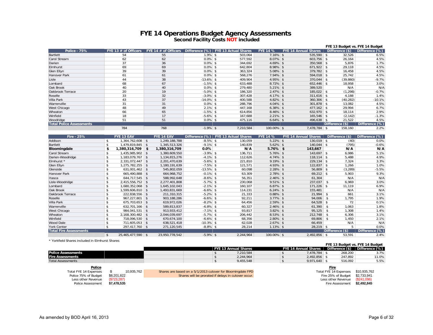#### **FYE 14 Operations Budget Agency Assessments Second Facility Costs NOT included**

|                                 |                        |                        |              |                                       |                 |                             | FYE 13 Budget vs. FYE 14 Budget |                |
|---------------------------------|------------------------|------------------------|--------------|---------------------------------------|-----------------|-----------------------------|---------------------------------|----------------|
| <b>Police - 75%</b>             | FYE 13 $#$ of Officers | FYE 14 $#$ of Officers |              | Difference (%)   FYE 13 Actual Shares | <b>FYE 14 %</b> | <b>FYE 14 Annual Shares</b> | Difference (\$)                 | Difference (%) |
| Bartlett                        | 54                     | 55                     | $1.9\%$ \$   | 503.064                               | $7.16\%$ \$     | $535.590$ \$                | 32,526                          | 6.5%           |
| Carol Stream                    | 62                     | 62                     | $0.0\%$ \$   | 577,592                               | $8.07\%$ \$     | $603,756$ \$                | 26,164                          | 4.5%           |
| Darien                          | 37                     | 36                     | $0.0\%$ \$   | 344.692                               | $4.69\%$ \$     | $350.568$ \$                | 5.876                           | 1.7%           |
| Elmhurst                        | 69                     | 69                     | $0.0\%$ \$   | 642,804                               | $8.98\%$ \$     | $671,922$ \$                | 29,118                          | 4.5%           |
| Glen Ellyn                      | 39                     | 39                     | $0.0\%$ \$   | 363,324                               | $5.08\%$ \$     | $379.782$ \$                | 16,458                          | 4.5%           |
| <b>Hanover Park</b>             | 61                     | 61                     | $0.0\%$ \$   | 568.276                               | $7.94\%$ \$     | $594,018$ \$                | 25,742                          | 4.5%           |
| Lisle                           | 44                     | 38                     | $-13.6\%$ \$ | 409,904                               | $4.95\%$ \$     | $370,044$ \$                | (39, 860)                       | $-9.7%$        |
| Lombard                         | 68                     | 67                     | $-1.5\%$ \$  | 633,488                               | $8.72\%$ \$     | $652,446$ \$                | 18,958                          | 3.0%           |
| Oak Brook                       | 40                     | 40                     | $0.0\%$ \$   | 279.480                               | $5.21\%$ \$     | 389.520                     | N/A                             | N/A            |
| Oakbrook Terrace                | 20                     | 19                     | $-5.0\%$ \$  | 186,320                               | $2.47\%$ \$     | $185,022$ \$                | (1, 298)                        | $-0.7%$        |
| Roselle                         | 33                     | 32                     | $-3.0\%$ \$  | 307.428                               | $4.17\%$ \$     | $311,616$ \$                | 4.188                           | 1.4%           |
| Villa Park                      | 43                     | 37                     | $-14.0\%$ \$ | 400,588                               | $4.82\%$ \$     | $360,306$ \$                | (40, 282)                       | $-10.1%$       |
| Warrenville                     | 31                     | 31                     | $0.0\%$ \$   | 288,796                               | $4.04\%$ \$     | $301.878$ \$                | 13,082                          | 4.5%           |
| West Chicago                    | 48                     | 49                     | $2.1\%$ \$   | 447.168                               | $6.38\%$ \$     | $477,162$ \$                | 29,994                          | 6.7%           |
| Wheaton                         | 66                     | 65                     | $-1.5\%$ \$  | 614,856                               | $8.46\%$ \$     | $632.970$ \$                | 18,114                          | 2.9%           |
| Winfield                        | 18                     | 17                     | $-5.6\%$ \$  | 167,688                               | $2.21\%$ \$     | $165,546$ \$                | (2, 142)                        | $-1.3%$        |
| Woodridge                       | 51                     | 51                     | $0.0\%$ \$   | 475,116                               | $6.64\%$ \$     | 496,638 \$                  | 21,522                          | 4.5%           |
| <b>Total Police Assessments</b> |                        |                        |              |                                       |                 |                             | Difference (\$)                 | Difference (%) |
|                                 | 784                    | 768                    | $-1.9\%$ \$  | 7,210,584                             | 100.00% \$      | 7,478,784 \$                | 158,160                         | 2.2%           |

| <b>Fire - 25%</b>             |              | FYE 13 EAV        |      | FYE 14 EAV     | Difference (%) | <b>FYE 13 Actual Shares</b> | <b>FYE 14 %</b> | <b>FYE 14 Annual Shares</b> | Difference (\$) | Difference (%) |
|-------------------------------|--------------|-------------------|------|----------------|----------------|-----------------------------|-----------------|-----------------------------|-----------------|----------------|
| Addison                       |              | ,364,762,608      | -\$  | 1,249,188,788  | $-8.5\%$ \$    | 130,059                     | $5.22\%$ \$     | $130.019$ \$                | (40)            | 0.0%           |
| Bartlett                      |              | 1,479,819,845     |      | 1,345,513,326  | $-9.1\%$ \$    | 140,839                     | $5.62\%$ \$     | $140,044$ \$                | (795)           | $-0.6%$        |
| Bloomingdale                  | \$           | ,380,316,709      | \$   | 1,380,316,709  | $0.0\%$        | N/A                         | $5.76\%$ \$     | 143,667                     | N/A             | N/A            |
| Carol Stream                  |              | ,435,985,902      |      | 1,380,609,550  | $-3.9\%$ \$    | 136,711                     | $5.76\%$ \$     | $143,697$ \$                | 6,986           | 5.1%           |
| Darien-Woodridge              |              | ,183,079,767      |      | 1,134,815,276  | $-4.1\%$ \$    | 112,626                     | $4.74\%$ \$     | $118.114$ \$                | 5,488           | 4.9%           |
| Elmhurst *                    |              | 2,331,072,447     |      | 2,201,470,639  | $-5.6\%$ \$    | 221,810                     | $9.19\%$ \$     | $229,134$ \$                | 7,324           | 3.3%           |
| Glen Ellyn                    |              | .275.782.255      |      | 1,180,191,639  | $-7.5\%$ \$    | 121,571                     | $4.93\%$ \$     | $122,837$ \$                | 1,266           | 1.0%           |
| Glenside                      |              | 631,001,462       | - \$ | 545,802,059    | $-13.5\%$ \$   | 60,098                      | $2.28\%$ \$     | $56,809$ \$                 | (3, 289)        | $-5.5%$        |
| Hanover Park                  |              | 665,490,888       | - \$ | 664,968,752    | $-0.1\%$ \$    | 63,309                      | $2.78\%$ \$     | $69,212$ \$                 | 5,903           | 9.3%           |
| Itasca                        |              | 644,717,545       |      | 588,992,648    | $-8.6\%$ \$    | 56,351                      | $2.46\%$ \$     | 61,304                      | N/A             | N/A            |
| Lisle-Woodridge               |              | 2,415,556,752     |      | 2,277,401,808  | $-5.7\%$ \$    | 230,068                     | $9.51\%$ \$     | 237,037                     | 6,969           | 3.0%           |
| Lombard                       |              | ,680,352,068      |      | 1,645,102,043  | $-2.1\%$ \$    | 160,107                     | $6.87\%$ \$     | 171,226                     | 11,119<br>- \$  | 6.9%           |
| Oak Brook                     |              | 599,606,810,      |      | 1,493,831,669  | $-6.6\%$ \$    | 114,231                     | $6.24\%$ \$     | 155,481                     | N/A             | N/A            |
| Oakbrook Terrace              |              | 222,838,556       |      | 211,310,315    | $-5.2%$ \$     | 21,333                      | $0.88\%$ \$     | 21,994                      | 661<br>-S       | 3.1%           |
| Roselle                       |              | 967,227,801       |      | 903,188,286    | $-6.6\%$ \$    | 92,211                      | $3.77\%$ \$     | 94,006                      | 1.795           | 1.9%           |
| Villa Park                    |              | 675.703.653       |      | 619,972,026    | $-8.2\%$ \$    | 64,456                      | $2.59\%$ \$     | 64,528                      | 72              | 0.1%           |
| Warrenville                   |              | 632,701,166       |      | 589,813,837    | $-6.8\%$ \$    | 60,327                      | $2.46\%$ \$     | 61,390                      | 1,063           | 1.8%           |
| West Chicago                  |              | 984.041.531 \$    |      | 913,933,412    | $-7.1\%$ \$    | 93,817                      | $3.82\%$ \$     | 95,125                      | 1,308           | 1.4%           |
| Wheaton                       |              | 2.168.300.482     |      | 2,044,039,697  | $-5.7\%$ \$    | 206,442                     | $8.53\%$ \$     | 212,748                     | 6,306           | 3.1%           |
| Winfield                      |              | 718,096,530 \$    |      | 670,674,100    | $-6.6\%$ \$    | 68,356                      | $2.80\%$ \$     | 69,806                      | 1,450           | 2.1%           |
| <b>Wood Dale</b>              |              | 711.605.053       |      | 638,521,418    | $-10.3\%$ \$   | 62,028                      | $2.67\%$ \$     | 66,459                      | N/A             | N/A            |
| York Center                   |              | 297,417,760 \$    |      | 271,120,545    | $-8.8\%$ \$    | 28,214                      | $1.13\%$ \$     | $28,219$ \$                 |                 | 0.0%<br>5      |
| <b>Total Fire Assessments</b> |              |                   |      |                |                |                             |                 |                             | Difference (\$) | Difference (%) |
|                               | $\mathbf{s}$ | 25,465,477,590 \$ |      | 23,950,778,542 | $-5.9\%$ \$    | 2.244.964                   | 100.00% \$      | $2,492,856$ \$              | 53,591          | 2.4%           |

\* Yorkfield Shares included in Elmhurst Shares

| TUINICIU JIIGICS IIIUUUCU III LIIIIIUI SL JIIGICS |                      |                             |                                 |                |
|---------------------------------------------------|----------------------|-----------------------------|---------------------------------|----------------|
|                                                   |                      |                             | FYE 13 Budget vs. FYE 14 Budget |                |
|                                                   | FYE 13 Annual Shares | <b>FYE 14 Annual Shares</b> | Difference (\$)                 | Difference (%) |
| <b>Police Assessments</b>                         | ,210,584             | 478.784                     | 268.200                         | 3.7%           |
| <b>Fire Assessments</b>                           | 2.244.964            | 2.492.856                   | 247.892                         | 11.0%          |
| <b>Total Assessments</b>                          | 9,455,548            | 9.971.640                   | 516.092                         | 5.5%           |

| <b>Police</b>       |             |                                                             | Fire                   |              |
|---------------------|-------------|-------------------------------------------------------------|------------------------|--------------|
| al FYE 14 Expenses  | 10.935.762  | Shares are based on a 5/1/2013 cutover for Bloomingdale FPD | Total FYE 14 Expenses  | \$10,935,762 |
| olice 75% of Budget | \$8.201.822 | Shares will be prorated if delays in cutover occur.         | Fire 25% of Budget     | \$2.733.941  |
| Less other Revenue  | (S723, 287) |                                                             | Less other Revenue     | (\$241.096)  |
| Police Assessment   | \$7.478.535 |                                                             | <b>Fire Assessment</b> | \$2.492.845  |

**Police**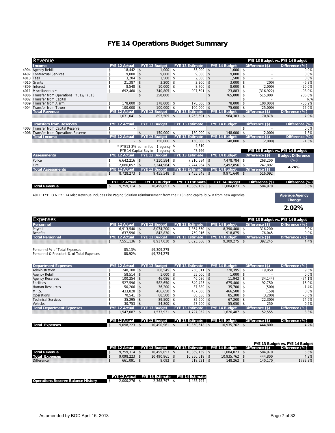## **FYE 14 Operations Budget Summary**

|                                                                                                                                   | Revenue                              |               |                      |                    |                                     |  |                        |    |                      |                    |                       | FYE 13 Budget vs. FYE 14 Budget |
|-----------------------------------------------------------------------------------------------------------------------------------|--------------------------------------|---------------|----------------------|--------------------|-------------------------------------|--|------------------------|----|----------------------|--------------------|-----------------------|---------------------------------|
|                                                                                                                                   | Income                               |               | FYE 12 Actual        |                    | FYE 13 Budget                       |  | <b>FYE 13 Estimate</b> |    | FYE 14 Budget        |                    | Difference (\$)       | Difference (%)                  |
| 4904                                                                                                                              | <b>Agency Rebill</b>                 | \$            | $18.442$ \$          |                    | $1.000$ \$                          |  | $55.000$ \$            |    | $1.000$ \$           |                    |                       | 0.0%                            |
|                                                                                                                                   | 4402 Contractual Services            | \$            | 9,000                | $\mathsf{\$}$      | $9,000$ \$                          |  | $9.000$ \$             |    | $9,000$ \$           |                    |                       | 0.0%                            |
| 4013                                                                                                                              | Fees                                 | \$            | 3,204                | $\mathfrak{S}$     | $1,500$ \$                          |  | $2,000$ \$             |    | $1,500$ \$           |                    |                       | 0.0%                            |
|                                                                                                                                   | 4010 Grants                          | \$            | 21.387               | $\mathbf{\hat{S}}$ | $3.200$ \$                          |  | $3.200$ \$             |    | $3.000$ \$           |                    | (200)                 | $-6.3%$                         |
| 4809                                                                                                                              | Interest                             | \$            | 8,548                | $\mathfrak{S}$     | $10,000$ \$                         |  | $8,700$ \$             |    | $8,000$ \$           |                    | (2,000)               | $-20.0%$                        |
| 4011                                                                                                                              | Miscellaneous *                      | \$            | 692.460              | $\mathbf{\hat{S}}$ | 340.805 \$                          |  | $907.691$ \$           |    | 23.883 \$            |                    | (316, 922)            | $-93.0%$                        |
| 4006                                                                                                                              | Transfer from Operations FYE12/FYE13 |               |                      | \$                 | 250,000                             |  |                        | \$ | 765,000 \$           |                    | 515,000               | 206.0%                          |
| 4002                                                                                                                              | <b>Transfer from Capital</b>         |               |                      |                    |                                     |  |                        |    |                      | \$                 |                       | N/A                             |
| 4009                                                                                                                              | <b>Transfer from Alarm</b>           | \$            | 178,000              | $\mathfrak{S}$     | 178,000 \$                          |  | 178,000 \$             |    | 78,000 \$            |                    | (100,000)             | $-56.2%$                        |
| 4004                                                                                                                              | <b>Transfer from Tower</b>           | \$            | $100.000$ \$         |                    | 100,000 \$                          |  | $100.000$ \$           |    | 75,000 \$            |                    | (25,000)              | $-25.0%$                        |
|                                                                                                                                   | <b>Total Revenue</b>                 |               | <b>FYE 12 Actual</b> |                    | FYE 13 Budget                       |  | <b>FYE 13 Estimate</b> |    | FYE 14 Budget        |                    | Difference (\$)       | Difference (%)                  |
|                                                                                                                                   |                                      | \$            | $1,031,041$ \$       |                    | 893,505 \$                          |  | $1,263,591$ \$         |    | $964,383$ \$         |                    | 70,878                | 7.9%                            |
|                                                                                                                                   |                                      |               |                      |                    |                                     |  |                        |    |                      |                    |                       |                                 |
|                                                                                                                                   | <b>Transfers from Reserves</b>       |               | <b>FYE 12 Actual</b> |                    | FYE 13 Budget                       |  | FYE 13 Estimate        |    | FYE 14 Budget        |                    | Difference (\$)       | Difference (%)                  |
|                                                                                                                                   | 4003 Transfer from Capital Reserve   | \$            |                      |                    |                                     |  |                        |    |                      | $\mathbf{\hat{z}}$ |                       | 0.0%                            |
| 4006                                                                                                                              | Transfer from Operations Reserve     | \$            |                      | $\mathfrak{S}$     | $150.000$ \$                        |  | 150,000 \$             |    | 148,000 \$           |                    | (2,000)               | $-1.3%$                         |
|                                                                                                                                   | <b>Total Income</b>                  |               | <b>FYE 12 Actual</b> |                    | FYE 13 Budget                       |  | FYE 13 Estimate        |    | <b>FYE 14 Budget</b> |                    | Difference (\$)       | Difference (%)                  |
|                                                                                                                                   |                                      | $\mathsf{\$}$ |                      | $-$ \$             | $150.000$ \$                        |  | 150,000 \$             |    | $148.000$ \$         |                    | (2,000)               | $-1.3%$                         |
|                                                                                                                                   |                                      |               |                      |                    | * FYE13 3% admin fee - 1 agency $$$ |  | 4,310                  |    |                      |                    |                       |                                 |
|                                                                                                                                   |                                      |               |                      |                    | FYE 14 Capital Buy in - 1 agency \$ |  | 47,766                 |    |                      |                    |                       | FYE 13 Budget vs. FYE 14 Budget |
|                                                                                                                                   | <b>Assessments</b>                   |               | <b>FYE 12 Actual</b> |                    | FYE 13 Budget                       |  | <b>FYE 13 Estimate</b> |    | FYE 14 Budget        |                    | Difference (\$)       | <b>Budget Difference</b>        |
|                                                                                                                                   | Police                               | \$            | $6,642,216$ \$       |                    | 7,210,584 \$                        |  | 7,210,584 \$           |    | 7,478,784 \$         |                    | 268,200               | $(\%)$                          |
|                                                                                                                                   | Fire                                 | \$            | $2,086,057$ \$       |                    | 2,244,964 \$                        |  | $2,244,964$ \$         |    | 2,492,856 \$         |                    | 247,892               |                                 |
|                                                                                                                                   | <b>Total Assessments</b>             |               | <b>FYE 12 Actual</b> |                    | FYE 13 Budget                       |  | <b>FYE 13 Estimate</b> |    | FYE 14 Budget        |                    | Difference (\$)       | 4.24%                           |
|                                                                                                                                   |                                      | \$            | $8,728,273$ \$       |                    | $9,455,548$ \$                      |  | $9,455,548$ \$         |    | $9,971,640$ \$       |                    | 516.092               |                                 |
|                                                                                                                                   |                                      |               |                      |                    |                                     |  |                        |    |                      |                    |                       |                                 |
|                                                                                                                                   |                                      |               | <b>FYE 12 Actual</b> |                    | FYE 13 Budget                       |  | <b>FYE 13 Estimate</b> |    | FYE 14 Budget        |                    | Difference (\$)       | Difference (%)                  |
|                                                                                                                                   | <b>Total Revenue</b>                 | $\mathsf{\$}$ | $9,759,314$ \$       |                    | 10,499,053 \$                       |  | 10,869,139 \$          |    | 11,084,023 \$        |                    | 584.970               | 5.6%                            |
|                                                                                                                                   |                                      |               |                      |                    |                                     |  |                        |    |                      |                    |                       |                                 |
| 4011: FYE 13 & FYE 14 Misc Revenue includes Fire Paging Solution reimbursement from the ETSB and capital buy-in from new agencies |                                      |               |                      |                    |                                     |  |                        |    |                      |                    | <b>Average Agency</b> |                                 |

FYE 13 & FYE 14 Misc Revenue includes Fire Paging Solution reimbursement from the ETSB and capital buy-in from new agenc

**2.02% Change**

|  |                                              |                                                                      |                                              |                                                |                                           |                                              |                                              |                                                | FYE 13 Budget vs. FYE 14 Budget    |
|--|----------------------------------------------|----------------------------------------------------------------------|----------------------------------------------|------------------------------------------------|-------------------------------------------|----------------------------------------------|----------------------------------------------|------------------------------------------------|------------------------------------|
|  |                                              |                                                                      |                                              |                                                |                                           |                                              |                                              |                                                | Difference (%)                     |
|  |                                              |                                                                      |                                              |                                                |                                           |                                              |                                              | 316.200                                        | 3.9%                               |
|  |                                              |                                                                      |                                              |                                                |                                           |                                              |                                              | 76.045                                         | 9.0%                               |
|  |                                              |                                                                      |                                              |                                                |                                           |                                              |                                              |                                                | Difference (%)                     |
|  |                                              |                                                                      |                                              |                                                |                                           |                                              |                                              | 392,245                                        | 4.4%                               |
|  |                                              |                                                                      |                                              |                                                |                                           |                                              |                                              |                                                |                                    |
|  |                                              | \$9,309,275                                                          |                                              |                                                |                                           |                                              |                                              |                                                |                                    |
|  |                                              | \$9,724,275                                                          |                                              |                                                |                                           |                                              |                                              |                                                |                                    |
|  | <b>FYE 12 Actual</b><br><b>FYE 12 Actual</b> | $6.913.540$ \$<br>$637.596$ \$<br>$7,551,136$ \$<br>85.13%<br>88.92% | <b>FYE 13 Budget</b><br><b>FYE 13 Budget</b> | $8,074,200$ \$<br>842.830 \$<br>$8,917,030$ \$ | <b>FYE 13 Estimate</b><br>FYE 13 Estimate | 7,864,550 \$<br>759,016 \$<br>$8,623,566$ \$ | <b>FYE 14 Budget</b><br><b>FYE 14 Budget</b> | 8,390,400 \$<br>$918.875$ \$<br>$9,309,275$ \$ | Difference (\$)<br>Difference (\$) |

| Department Expenses              |     | <b>FYE 12 Actual</b> | <b>FYE 13 Budget</b> | <b>FYE 13 Estimate</b> |      | <b>FYE 14 Budget</b> |      | Difference (\$) | Difference (%) |
|----------------------------------|-----|----------------------|----------------------|------------------------|------|----------------------|------|-----------------|----------------|
| Administration                   |     | 240,100 \$           | $208,545$ \$         | 258,011                | ∣\$  | 228,395              | - \$ | 19.850          | 9.5%           |
| <b>Agency Rebill</b>             |     | $58,514$ \$          | $1.000$ \$           | 55,000                 |      | $1,000$ \$           |      |                 | 0.0%           |
| <b>Agency Reserves</b>           |     | $100.254$ \$         | $46,086$ \$          | 46,086                 |      | $11,942$ \$          |      | (34, 144)       | $-74.1%$       |
| Facilities                       |     | $527.596$ \$         | $582.650$ \$         | 649.425                | - \$ | $675.400$ \$         |      | 92.750          | 15.9%          |
| <b>Human Resources</b>           |     | $50,206$ \$          | $36,200$ \$          | 37,380                 |      | $35,700$ \$          |      | (500)           | $-1.4%$        |
| M.I.S.                           |     | 433,828 \$           | $466.650$ \$         | 457.600 \$             |      | 466,500 \$           |      | (150)           | 0.0%           |
| Operations                       |     | $70.541$ \$          | 88,500 \$            | 80.050                 |      | 85,300 \$            |      | (3,200)         | $-3.6%$        |
| <b>Technical Services</b>        |     | $35.295$ \$          | 89.500 \$            | $85.600$ \$            |      | $67.200$ \$          |      | (22, 300)       | $-24.9%$       |
| Vehicles                         |     | $30.753$ \$          | $54.800$ \$          | 57.900                 |      | $55.050$ \$          |      | 250             | 0.5%           |
| <b>Total Department Expenses</b> |     | <b>FYE 12 Actual</b> | <b>FYE 13 Budget</b> | <b>FYE 13 Estimate</b> |      | <b>FYE 14 Budget</b> |      | Difference (\$) | Difference (%) |
|                                  | \$. | $547,087$ \$         | 1,573,931 \$         | 1,727,052              | -S   | $1,626,487$ \$       |      | 52,555          | 3.3%           |
|                                  |     |                      |                      |                        |      |                      |      |                 |                |

|                       | <b>FYE 12 Actual</b> |            | FYE 13 Budget FYE 13 Estimate | FYE 14 Budaet | Difference $(\$)$ | Difference (%) |      |
|-----------------------|----------------------|------------|-------------------------------|---------------|-------------------|----------------|------|
| <b>Total Expenses</b> | 9.098.223            | 10.490.961 | 10.350.618                    | 10.935.762    | 444,800           |                | 4.2% |
|                       |                      |            |                               |               |                   |                |      |

| Difference (\$)<br><b>FYE 13 Budget</b><br>FYE 13 Estimate<br><b>FYE 14 Budget</b><br><b>FYE 12 Actual</b><br><b>Total Revenue</b><br>584.970<br>11.084.023<br>9.759.314<br>10.499.053<br>10.869.139 |                       |                |                 |            |            |         | FYE 13 Budget vs. FYE 14 Budget |
|------------------------------------------------------------------------------------------------------------------------------------------------------------------------------------------------------|-----------------------|----------------|-----------------|------------|------------|---------|---------------------------------|
|                                                                                                                                                                                                      |                       |                |                 |            |            |         | Difference (%)                  |
|                                                                                                                                                                                                      |                       |                |                 |            |            |         | 5.6%                            |
|                                                                                                                                                                                                      | <b>Total Expenses</b> | $9.098.223$ \$ | $10.490.961$ \$ | 10.350.618 | 10.935.762 | 444.800 | 4.2%                            |
| 661.091<br>$8.092$ \$<br><b>Difference</b><br>518.521<br>148.262<br>140.170                                                                                                                          |                       |                |                 |            |            |         | 1732.3%                         |

|                                           |              |              | FYE 12 Actual FYE 13 Estimate FYE 14 Estimate |
|-------------------------------------------|--------------|--------------|-----------------------------------------------|
| <b>Operations Reserve Balance History</b> | 2.000.276 \$ | 2.368.797 \$ | 1.455.797                                     |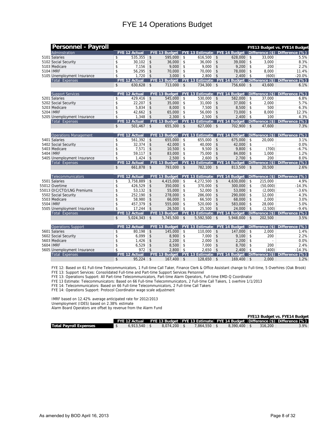|           | <b>Personnel - Payroll</b>                                                                                                                             |                    |                      |                    |                                                 |                    |                                      |               |                      |                    |          | FYE13 Budget vs. FYE14 Budget                                              |
|-----------|--------------------------------------------------------------------------------------------------------------------------------------------------------|--------------------|----------------------|--------------------|-------------------------------------------------|--------------------|--------------------------------------|---------------|----------------------|--------------------|----------|----------------------------------------------------------------------------|
|           | Adminstration                                                                                                                                          |                    | <b>FYE 12 Actual</b> |                    | FYE 13 Budget   FYE 13 Estimate   FYE 14 Budget |                    |                                      |               |                      |                    |          | Difference $(\$)$ Difference $(\%)$                                        |
|           | 5101 Salaries                                                                                                                                          | \$                 | 535.355              | \$                 | 595.000                                         | l \$               | $616,500$ \$                         |               | 628,000              | \$                 | 33.000   | 5.5%                                                                       |
|           | 5102 Social Security                                                                                                                                   | \$                 | $30,102$ \$          |                    | $36.000$ \$                                     |                    | $36.000$ \ \$                        |               | 39,000               | $\mathsf{\$}$      | 3.000    | 8.3%                                                                       |
|           | 5103 Medicare                                                                                                                                          | \$                 | $7.156$ \$           |                    | $9,000$ \$                                      |                    | $9.000$ \$                           |               | 9.200                | $\mathbf{\hat{S}}$ | 200      | 2.2%                                                                       |
| 5104 IMRF |                                                                                                                                                        | \$                 | 56,295               | \$                 | $70,000$ \$                                     |                    | $70,000$ \$                          |               | 78,000               | \$                 | 8.000    | 11.4%                                                                      |
|           | 5105 Unemployment Insurance                                                                                                                            | \$                 | $1,720$ \$           |                    | 3,000                                           | \$                 | $2,800$ \$                           |               | 2,400                | $\sqrt[6]{3}$      | (600)    | $-20.0%$                                                                   |
|           | Total Expenses                                                                                                                                         |                    | <b>FYE 12 Actual</b> |                    | FYE 13 Budget   FYE 13 Estimate   FYE 14 Budget |                    |                                      |               |                      |                    |          | Difference $(\$)$ Difference $(\%)$                                        |
|           |                                                                                                                                                        | $\mathbf{\hat{S}}$ | $630,628$ \$         |                    | $713,000$ \$                                    |                    | $734,300$ \$                         |               | 756.600              | $\mathbf{\hat{S}}$ | 43.600   | 6.1%                                                                       |
|           |                                                                                                                                                        |                    |                      |                    |                                                 |                    |                                      |               |                      |                    |          |                                                                            |
|           | <b>Support Services</b>                                                                                                                                |                    | <b>FYE 12 Actual</b> |                    |                                                 |                    |                                      |               |                      |                    |          | FYE 13 Budget FYE 13 Estimate FYE 14 Budget Difference (\$) Difference (%) |
|           | 5201 Salaries                                                                                                                                          | \$                 | 429.416              | \$                 | 545.000                                         | \$                 | $530.000$ \ \$                       |               | 582.000              | \$                 | 37.000   | 6.8%                                                                       |
|           | 5202 Social Security                                                                                                                                   | \$                 | 22.207               | $\mathsf{\$}$      | 35,000                                          | $\vert$ \$         | $31.000$ \ \$                        |               | 37.000               | \$                 | 2.000    | 5.7%                                                                       |
|           | 5203 Medicare                                                                                                                                          | \$                 | 5.834                | \$                 | 8.000                                           | $\mathsf{\$}$      | $7.500$ \$                           |               | 8.500                | \$                 | 500      | 6.3%                                                                       |
| 5204 IMRF |                                                                                                                                                        | \$                 | $42,662$ \$          |                    | $65,000$ \$                                     |                    | $56,000$ \$                          |               | 73,000               | \$                 | 8,000    | 12.3%                                                                      |
|           | 5205 Unemployment Insurance                                                                                                                            | $\mathsf{\$}$      | $1,348$ \$           |                    | $2,300$ \$                                      |                    | $2.500$ \$                           |               | 2.400                | $\mathfrak{S}$     | 100      | 4.3%                                                                       |
|           | Total Expenses                                                                                                                                         |                    | <b>FYE 12 Actual</b> |                    | FYE 13 Budget   FYE 13 Estimate   FYE 14 Budget |                    |                                      |               |                      |                    |          | Difference $(\$)$ Difference $(\%)$                                        |
|           |                                                                                                                                                        | \$                 | $501.467$ \$         |                    | $655,300$ \$                                    |                    | $627,000$ \$                         |               | 702,900 \$           |                    | 47.600   | 7.3%                                                                       |
|           | <b>Operations Management</b>                                                                                                                           |                    | FYE 12 Actual        |                    | FYE 13 Budget                                   |                    | FYE 13 Estimate FYE 14 Budget        |               |                      |                    |          | Difference (\$) Difference (%)                                             |
|           | 5401 Salaries                                                                                                                                          | \$                 | 561,392              | \$                 | 655,000                                         | $\mathsf{\$}$      | 655,000                              | $\mathsf{\$}$ | 675,000              | $\mathbf{\hat{S}}$ | 20.000   | 3.1%                                                                       |
|           | 5402 Social Security                                                                                                                                   | \$                 | 32.374               | \$                 | 42.000                                          | $\mathbf{\hat{S}}$ | 40.000                               | $\vert$ \$    | 42.000               | \$                 |          | 0.0%                                                                       |
|           | 5403 Medicare                                                                                                                                          | \$                 | 7,571                | \$                 | 10,500                                          | $\mathfrak{S}$     | 9,500                                | $\sqrt[6]{3}$ | 9,800                | \$                 | (700)    | $-6.7%$                                                                    |
| 5404 IMRF |                                                                                                                                                        | \$                 | 59,117               | \$                 | 83,000                                          | $\mathfrak{S}$     | 75,000                               | $\mathsf{\$}$ | 84,000               | $\mathbf{\hat{S}}$ | 1,000    | 1.2%                                                                       |
|           | 5405 Unemployment Insurance                                                                                                                            | \$                 | $1,424$ \$           |                    | 2,500                                           | $\sqrt{2}$         | 2.600                                | $\vert$ \$    | 2.700                | $\mathfrak{S}$     | 200      | 8.0%                                                                       |
|           | Total Expenses                                                                                                                                         |                    | <b>FYE 12 Actual</b> |                    | FYE 13 Budget   FYE 13 Estimate   FYE 14 Budget |                    |                                      |               |                      |                    |          | Difference (\$) Difference (%)                                             |
|           |                                                                                                                                                        | $\mathfrak{L}$     | $661,878$ \$         |                    | 793,000 \$                                      |                    | 782,100 \$                           |               | 813,500              | \$                 | 20.500   | 2.6%                                                                       |
|           |                                                                                                                                                        |                    |                      |                    |                                                 |                    |                                      |               |                      |                    |          |                                                                            |
|           | Telecommunicators                                                                                                                                      |                    | FYE 12 Actual        |                    | FYE 13 Budget   FYE 13 Estimate                 |                    |                                      |               | FYE 14 Budget        |                    |          | Difference $(\$)$ Difference $(\%)$                                        |
|           | 5501 Salaries                                                                                                                                          | \$                 | 3,758,889            | \$                 | 4.415.000                                       | $\mathfrak{S}$     | 4,272,500                            | $\mathsf{\$}$ | 4,630,000            | \$                 | 215,000  | 4.9%                                                                       |
|           | 55012 Overtime                                                                                                                                         | \$                 | 426,529              | \$                 | 350.000                                         | $\mathbf{\hat{S}}$ | 370.000                              | \$            | 300.000              | $\mathbf{\hat{S}}$ | (50.000) | $-14.3%$                                                                   |
|           | 55013 OIC/CTO/LNG Premiums                                                                                                                             | \$                 | 53,132               | \$                 | 55,000                                          | $\mathfrak{S}$     | 52,000                               | \$            | 53,000               | \$                 | (2,000)  | $-3.6%$                                                                    |
|           | 5502 Social Security                                                                                                                                   | $\mathsf{\$}$      | 252,190              | $\vert$ \$         | 278,000                                         | \$                 | 286,000                              | $\mathsf{\$}$ | 290,000              | \$                 | 12,000   | 4.3%                                                                       |
|           | 5503 Medicare                                                                                                                                          | \$                 | 58.980               | \$                 | 66.000                                          | $\mathbf{\hat{S}}$ | 66.500                               | $\mathsf{\$}$ | 68,000               | $\mathbf{\hat{S}}$ | 2.000    | 3.0%                                                                       |
| 5504 IMRF |                                                                                                                                                        | \$                 | 457,379              | $\mathbf{\hat{s}}$ | 555,000                                         | $\mathbf{\hat{S}}$ | 520,000                              | $\mathsf{\$}$ | 583,000              | $\mathbf{\hat{S}}$ | 28,000   | 5.0%                                                                       |
|           | 5505 Unemployment Insurance                                                                                                                            | \$                 | $17.244$ \$          |                    | 26.500                                          | l \$               | 25,500                               | <b>S</b>      | 24,000               | $\mathsf{\$}$      | (2.500)  | $-9.4%$                                                                    |
|           | Total Expenses                                                                                                                                         |                    | <b>FYE 12 Actual</b> |                    | FYE 13 Budget                                   |                    | <b>FYE 13 Estimate FYE 14 Budget</b> |               |                      |                    |          | Difference (\$) Difference (%)                                             |
|           |                                                                                                                                                        | $\mathsf{\$}$      | $5,024,343$ \$       |                    | $5,745,500$ \$                                  |                    | $5,592,500$ \$                       |               | 5,948,000            | $\mathsf{\$}$      | 202,500  | 3.5%                                                                       |
|           | <b>Operations Support</b>                                                                                                                              |                    | <b>FYE 12 Actual</b> |                    | FYE 13 Budget                                   |                    | <b>FYE 13 Estimate</b>               |               | <b>FYE 14 Budget</b> |                    |          | Difference (\$) Difference (%)                                             |
|           | 5601 Salaries                                                                                                                                          | \$                 | 80,198               | $\mathsf{\$}$      | 145,000                                         | \$                 | 110,000                              | $\mathsf{\$}$ | 147,000              | \$                 | 2.000    | 1.4%                                                                       |
|           | 5602 Social Security                                                                                                                                   | \$                 | 6,099                | $\sqrt{3}$         | 8,900                                           | $\mathsf{\$}$      | $7,000$ \$                           |               | 9,100                | $\mathsf{\$}$      | 200      | 2.2%                                                                       |
|           | 5603 Medicare                                                                                                                                          | \$                 | 1,426                | $\mathbf{\hat{S}}$ | 2.200                                           | \$                 | 2.000                                | $\mathsf{\$}$ | 2.200                | $\mathbf{\hat{S}}$ | $\sim$   | 0.0%                                                                       |
| 5604 IMRF |                                                                                                                                                        | \$                 | 6,529                | $\vert$ \$         | 8,500                                           | $\mathfrak{S}$     | 7.000                                | $\mathsf{\$}$ | 8,700                | \$                 | 200      | 2.4%                                                                       |
|           | 5605 Unemployment Insurance                                                                                                                            | \$                 | $972$ \$             |                    | 2,800                                           | $\vert$ \$         | 2,650                                | $\vert$ \$    | 2,400                | $\sqrt[6]{2}$      | (400)    | $-14.3%$                                                                   |
|           | Total Expenses                                                                                                                                         |                    | FYE 12 Actual        |                    | FYE 13 Budget   FYE 13 Estimate                 |                    |                                      |               |                      |                    |          | FYE 14 Budget Difference $(\$)$ Difference $(\%)$                          |
|           |                                                                                                                                                        | $\mathbf{\hat{S}}$ | $95,224$ \$          |                    | $167,400$ \$                                    |                    | $128,650$ \$                         |               | $169,400$ \$         |                    | 2,000    | 1.2%                                                                       |
|           |                                                                                                                                                        |                    |                      |                    |                                                 |                    |                                      |               |                      |                    |          |                                                                            |
|           | FYE 12: Based on 61 Full-time Telecommunicators, 1 Full-time Call Taker, Finance Clerk & Office Assistant change to Full-time, 5 Overhires (Oak Brook) |                    |                      |                    |                                                 |                    |                                      |               |                      |                    |          |                                                                            |

FYE 13: Support Services: Consolidated Full-time and Part-time Support Services Personnel

FYE 13: Operations Support: All Part-time Telecommunicators, Part-time Alarm Operators, Full-time EMD-Q Coordinator

FYE 13 Estimate: Telecommunicators: Based on 66 Full-time Telecommunicators, 2 Full-time Call Takers, 1 overhire 1/1/2013

FYE 14: Telecommunicators: Based on 66 Full-time Telecommunicators, 2 Full-time Call Takers

FYE 14: Operations Support: Protocol Coordinator wage scale adjustment

IMRF based on 12.42% average anticipated rate for 2012/2013 Unemployment (IDES) based on 2.38% estimate Alarm Board Operators are offset by revenue from the Alarm Fund

|                               |  |                  |                  |                  |         | <b>FYE13 Budget vs. FYE14 Budget</b>                                                      |  |
|-------------------------------|--|------------------|------------------|------------------|---------|-------------------------------------------------------------------------------------------|--|
|                               |  |                  |                  |                  |         | [FYE 12 Actual FYE 13 Budget FYE 13 Estimate FYE 14 Budget Difference (\$) Difference (%) |  |
| <b>Total Pavroll Expenses</b> |  | $8.074.200$ \ \$ | $7.864.550$ \ \$ | $8.390.400$ \ \$ | 316.200 | 3.9%                                                                                      |  |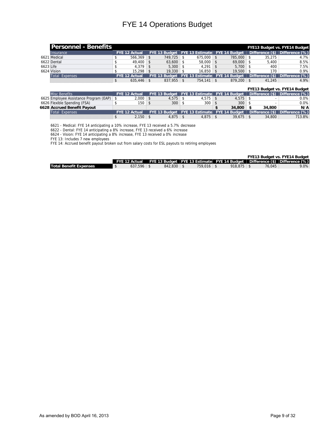|           | <b>Personnel - Benefits</b> |                      |             |                                             |              |                 | <b>FYE13 Budget vs. FYE14 Budget</b> |
|-----------|-----------------------------|----------------------|-------------|---------------------------------------------|--------------|-----------------|--------------------------------------|
|           | <b>Insurance</b>            | <b>FYE 12 Actual</b> |             | FYE 13 Budget FYE 13 Estimate FYE 14 Budget |              |                 | Difference (\$) Difference (%)       |
|           | 6621 Medical                | 566.369              | 749.725     | $675.000$ \ \$                              | $785.000$ \$ | 35.275          | 4.7%                                 |
|           | 6622 Dental                 | $49.400$ \ \$        | $63,600$ \$ | $58,000$ \$                                 | $69,000$ \$  | 5.400           | 8.5%                                 |
| 6623 Life |                             | $4.379$ \$           | $5.300$ \$  | $4.291$ \ \$                                | $5.700$ \$   | 400             | 7.5%                                 |
|           | 6624 Vision                 | $15.298$ \ \$        | 19,330      | $16.850$ \ \$                               | 19.500       | 170             | 0.9%                                 |
|           | Total Expenses              | <b>FYE 12 Actual</b> |             | FYE 13 Budget FYE 13 Estimate FYE 14 Budget |              | Difference (\$) | Difference (%)                       |
|           |                             | $635.446$ \\$        | 837.955     | $754.141$ \\$                               | $879.200$ \$ | 41.245          | 4.9%                                 |

#### **FYE13 Budget vs. FYE14 Budget**

| Misc Benefits                             | <b>FYE 12 Actual</b> |              |             | FYE 13 Budget FFYE 13 Estimate FYE 14 Budget |        |        | Difference (\$) Difference (%) |
|-------------------------------------------|----------------------|--------------|-------------|----------------------------------------------|--------|--------|--------------------------------|
| 6625 Employee Assistance Program (EAP) \$ |                      | $2.000 +$    | 4.575       |                                              | 4.575  |        | 0.0%                           |
| 6626 Flexible Spending (FSA)              |                      | 150          | 300         | $300 \, \text{S}$                            | 300    |        | 0.0%                           |
| 6628 Accrued Benefit Pavout               |                      |              |             |                                              | 34.800 | 34.800 | N/A                            |
| Total Expenses                            | <b>FYE 12 Actual</b> |              |             | FYE 13 Budget FYE 13 Estimate FYE 14 Budget  |        |        | Difference (\$) Difference (%) |
|                                           |                      | $\angle 150$ | $4.875$ \\$ |                                              | 39.675 | 34,800 | 713.8%                         |

6621 - Medical: FYE 14 anticipating a 10% increase, FYE 13 received a 5.7% decrease

6622 - Dental: FYE 14 anticipating a 8% increase, FYE 13 received a 6% increase

6624 - Vision: FYE 14 anticipating a 8% increase, FYE 13 received a 0% increase

FYE 13: Includes 7 new employees

FYE 14: Accrued benefit payout broken out from salary costs for ESL payouts to retiring employees

|                               |              |                |              |  |        | <b>FYE13 Budget vs. FYE14 Budget</b>                                                      |
|-------------------------------|--------------|----------------|--------------|--|--------|-------------------------------------------------------------------------------------------|
|                               |              |                |              |  |        | [FYE 12 Actual FYE 13 Budget FYE 13 Estimate FYE 14 Budget Difference (\$) Difference (%) |
| <b>Total Benefit Expenses</b> | $637.596$ \$ | $842.830$ \ \$ | $759.016$ \$ |  | 76.045 | 9.0%                                                                                      |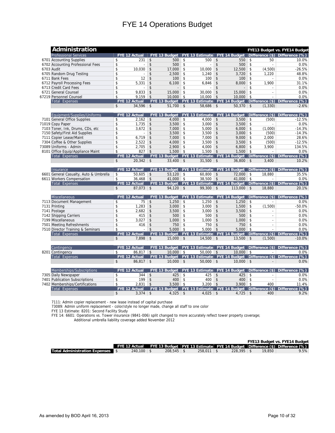| Administration                                                    |                         | FYE13 Budget vs. FYE14 Budget |                    |               |    |                                                 |                    |                      |                    |                           |                                                                            |
|-------------------------------------------------------------------|-------------------------|-------------------------------|--------------------|---------------|----|-------------------------------------------------|--------------------|----------------------|--------------------|---------------------------|----------------------------------------------------------------------------|
| Professional Services                                             |                         | <b>FYE 12 Actual</b>          |                    |               |    | FYE 13 Budget   FYE 13 Estimate   FYE 14 Budget |                    |                      |                    |                           | Difference (\$) Difference (%)                                             |
| 6701 Accounting Supplies                                          | \$                      | 231                           | \$                 | 500           | \$ | 500                                             | \$                 | 550                  | $\mathsf{\$}$      | 50                        | 10.0%                                                                      |
| 6702 Accounting Professional Fees                                 | \$                      | $\overline{\phantom{a}}$      | $\mathbf{\hat{z}}$ | 500           | \$ | $\overline{a}$                                  | $\mathbf{\hat{S}}$ | 500                  | \$                 |                           | 0.0%                                                                       |
| 6703 Audit                                                        | \$                      | 10,030                        | \$                 | 17,000        | \$ | 10,000                                          | \$                 | 12,500               | $\mathbf{\hat{s}}$ | (4,500)                   | $-26.5%$                                                                   |
| 6705 Random Drug Testing                                          | \$                      | $\overline{\phantom{a}}$      | \$                 | 2.500         | \$ | 1,240                                           | \$                 | 3,720                | $\mathsf{\$}$      | 1.220                     | 48.8%                                                                      |
| 6711 Bank Fees                                                    | \$                      | 12                            | \$                 | 100           | \$ | 100                                             | \$                 | 100                  | $\mathsf{\$}$      |                           | 0.0%                                                                       |
| 6712 Payroll Processing Fees                                      | \$                      | 5.331                         | \$                 | 6.100         | \$ | 6.846                                           | \$                 | 8.000                | \$                 | 1.900                     | 31.1%                                                                      |
| 6713 Credit Card Fees                                             | \$                      | $\overline{\phantom{a}}$      | \$                 |               | \$ | $\overline{a}$                                  | $\mathbf{\hat{S}}$ |                      | \$                 |                           | 0.0%                                                                       |
| 6721 General Counsel                                              | \$                      | 9,833                         | \$                 | 15,000        | \$ | 30,000                                          | \$                 | 15,000               | $\mathsf{\$}$      | $\overline{a}$            | 0.0%                                                                       |
| 67219 Personnel Counsel                                           | \$                      | 9.159                         | \$                 | 10.000        | \$ | 10.000                                          | \$                 | 10,000               | $\mathsf{\$}$      |                           | 0.0%                                                                       |
| <b>Total Expenses</b>                                             |                         | <b>FYE 12 Actual</b>          |                    |               |    |                                                 |                    |                      |                    |                           | FYE 13 Budget FYE 13 Estimate FYE 14 Budget Difference (\$) Difference (%) |
|                                                                   | $\mathsf{\$}$           | $34.596$ \$                   |                    | $51,700$ \$   |    | $58,686$ \$                                     |                    | $50,370$ \$          |                    | (1, 330)                  | $-2.6%$                                                                    |
| Equipment/Supplies/Uniforms                                       |                         | <b>FYE 12 Actual</b>          |                    |               |    | FYE 13 Budget   FYE 13 Estimate   FYE 14 Budget |                    |                      |                    |                           | Difference (\$) Difference (%)                                             |
| 7101 General Office Supplies                                      | \$                      | 2.162                         | $\mathsf{\$}$      | 4.000         | \$ | 4.000                                           | \$                 | 3.500                | \$                 | (500)                     | $-12.5%$                                                                   |
| 71019 Copy Paper                                                  | \$                      | 1,735                         | \$                 | 3,500         | \$ | 3,000                                           | \$                 | 3,500                | \$                 | $\overline{a}$            | 0.0%                                                                       |
|                                                                   | \$                      | 3,672                         | $\mathsf{\$}$      | 7,000         | \$ | 5.000                                           | \$                 | 6.000                | \$                 | (1,000)                   | $-14.3%$                                                                   |
| 7103 Toner, Ink, Drums, CDs, etc                                  |                         |                               |                    |               |    |                                                 |                    |                      |                    |                           |                                                                            |
| 7150 Safety/First Aid Supplies                                    | \$                      | $\overline{\phantom{a}}$      | \$                 | 3,500         | \$ | 3,500                                           | \$                 | 3,000                | \$                 | (500)                     | $-14.3%$                                                                   |
| 7111 Copier Lease/Maint                                           | \$                      | 6,719                         | \$                 | 7,000         | \$ | 7,000                                           | \$                 | 9,000                | $\sqrt{5}$         | 2,000                     | 28.6%                                                                      |
| 7304 Coffee & Other Supplies                                      | \$                      | 2,522                         | \$                 | 4.000         | \$ | 3,500                                           | \$                 | 3.500                | \$                 | (500)                     | $-12.5%$                                                                   |
| 73089 Uniforms - Admin                                            | \$                      | 2,705                         | \$                 | 2,900         | \$ | 4,000                                           | \$                 | 6,800                | \$                 | 3,900                     | 134.5%                                                                     |
| 8101 Office Equip/Appliance Maint                                 | \$                      | 827                           | \$                 | 1,500         | \$ | 1,500                                           | \$                 | 1,500                | \$                 |                           | 0.0%                                                                       |
| Total Expenses                                                    |                         | <b>FYE 12 Actual</b>          |                    |               |    | FYE 13 Budget   FYE 13 Estimate                 |                    | <b>FYE 14 Budget</b> |                    | Difference (\$)           | Difference (%)                                                             |
|                                                                   | \$                      | $20,342$ \$                   |                    | $33,400$ \ \$ |    | $31,500$ \ \$                                   |                    | $36,800$ \$          |                    | 3,400                     | 10.2%                                                                      |
| Insurance                                                         |                         | <b>FYE 12 Actual</b>          |                    |               |    |                                                 |                    |                      |                    |                           | FYE 13 Budget FYE 13 Estimate FYE 14 Budget Difference (\$) Difference (%) |
| 6601 General Casualty, Auto & Umbrella                            | \$                      | 50.605                        | $\mathsf{\$}$      | $53.120$ \$   |    | $60.800$ \$                                     |                    | $72.000$ \$          |                    | 18.880                    | 35.5%                                                                      |
| 6611 Workers Compensation                                         | $\overline{\mathsf{s}}$ | $36.468$ \$                   |                    | $41.000$ \$   |    | $38.500$ \$                                     |                    | 41.000               | \$                 |                           | 0.0%                                                                       |
| <b>Total Expenses</b>                                             |                         | <b>FYE 12 Actual</b>          |                    |               |    |                                                 |                    |                      |                    |                           | FYE 13 Budget FYE 13 Estimate FYE 14 Budget Difference (\$) Difference (%) |
|                                                                   | $\mathsf{\$}$           | $87.073$ \$                   |                    | $94,120$ \$   |    | $99,300$ \$                                     |                    | $113,000$ \$         |                    | 18,880                    | 20.1%                                                                      |
| Miscellaneous                                                     |                         | <b>FYE 12 Actual</b>          |                    |               |    | FYE 13 Budget   FYE 13 Estimate   FYE 14 Budget |                    |                      |                    |                           | Difference (\$) Difference (%)                                             |
| 7113 Document Management                                          | \$                      | 75                            | $\mathsf{\$}$      | 1.250         | \$ | 1.250                                           | $\mathsf{\$}$      | 1,250                | $\mathsf{\$}$      |                           | 0.0%                                                                       |
| 7131 Printing                                                     | \$                      | 1,283                         | \$                 | 3.000         | \$ | 3,000                                           | \$                 | 1,500                | $\sqrt{2}$         | (1,500)                   | $-50.0%$                                                                   |
| 7141 Postage                                                      | \$                      | 2.682                         | \$                 | 3.500         | \$ | 3.000                                           | \$                 | 3.500                | $\mathsf{\$}$      | $\mathbf{r}$              | 0.0%                                                                       |
| 7142 Shipping Carriers                                            | \$                      | 415                           | \$                 | 500           | \$ | 500                                             | \$                 | 500                  | $\mathsf{\$}$      | $\overline{a}$            | 0.0%                                                                       |
| 7199 Miscellaneous                                                | \$                      | 3,027                         | \$                 | 1.000         | \$ | 1.000                                           | \$                 | 1,000                | $\mathsf{\$}$      | $\sim$                    | 0.0%                                                                       |
|                                                                   | \$                      | 416                           | \$                 | 750           | \$ | 750                                             | \$                 | 750                  | $\mathsf{\$}$      | $\overline{a}$            | 0.0%                                                                       |
| 7501 Meeting Refreshments                                         | \$                      | $\overline{a}$                | \$                 | 5.000         | \$ | 5.000                                           | \$                 | 5.000                | $\mathsf{\$}$      |                           | 0.0%                                                                       |
| 7510 Director Training & Seminars                                 |                         | <b>FYE 12 Actual</b>          |                    |               |    |                                                 |                    |                      |                    |                           |                                                                            |
| Total Expenses                                                    |                         |                               |                    | FYE 13 Budget |    | <b>FYE 13 Estimate FYE 14 Budget</b>            |                    |                      |                    |                           | Difference (\$) Difference (%)                                             |
|                                                                   |                         |                               |                    |               |    |                                                 |                    |                      |                    |                           |                                                                            |
|                                                                   | \$                      | 7,898                         | $\vert$ \$         | $15,000$ \$   |    | 14,500                                          | $\mathsf{\$}$      | 13,500               | $\vert$ \$         | (1,500)                   | $-10.0%$                                                                   |
| Contingency                                                       |                         | <b>FYE 12 Actual</b>          |                    |               |    | FYE 13 Budget   FYE 13 Estimate                 |                    | FYE 14 Budget        |                    | $ \text{Difference}(\$) $ | Difference (%)                                                             |
| 8201 Contingency                                                  | \$                      | $86,817$ \$                   |                    | $10,000$ \$   |    | $50,000$ \$                                     |                    | $10,000$ \$          |                    |                           | 0.0%                                                                       |
| <b>Total Expenses</b>                                             |                         | <b>FYE 12 Actual</b>          |                    |               |    |                                                 |                    |                      |                    |                           | FYE 13 Budget FYE 13 Estimate FYE 14 Budget Difference (\$) Difference (%) |
|                                                                   | $\mathfrak{S}$          | $86,817$ \$                   |                    | $10,000$ \$   |    | $50,000$ \$                                     |                    | $10,000$ \$          |                    |                           | 0.0%                                                                       |
| Memberships/Subscriptions                                         |                         | <b>FYE 12 Actual</b>          |                    | FYE 13 Budget |    | <b>FYE 13 Estimate FYE 14 Budget</b>            |                    |                      |                    |                           | Difference (\$) Difference (%)                                             |
| 7305 Daily Newspaper                                              | \$                      | 344                           | \$                 | 425           | \$ | 425                                             | $\mathsf{\$}$      | 425                  | $\vert$ \$         | ٠                         | 0.0%                                                                       |
|                                                                   | \$                      | 199                           | \$                 | 400           | \$ | 400                                             | \$                 | 400                  | \$                 | $\sim$                    | 0.0%                                                                       |
| 7401 Publication Subscriptions<br>7402 Memberships/Certifications | \$                      | 2,831                         | \$                 | 3,500         | \$ | 3,200                                           | \$                 | 3,900                | \$                 | 400                       | 11.4%                                                                      |

7111: Admin copier replacement - new lease instead of capital purchase

73089: Admin uniform replacement - color/style no longer made, change all staff to one color

FYE 13 Estimate: 8201: Second Facility Study

FYE 14: 6601: Operations vs. Tower insurance (9841-006) split changed to more accurately reflect tower property coverage;

Additional umbrella liability coverage added November 2012

|                                        |                |              |                |              |        | FYE13 Budget vs. FYE14 Budget                                                            |  |
|----------------------------------------|----------------|--------------|----------------|--------------|--------|------------------------------------------------------------------------------------------|--|
|                                        |                |              |                |              |        | FYE 12 Actual FYE 13 Budget FYE 13 Estimate FYE 14 Budget Difference (\$) Difference (%) |  |
| <b>Total Administration Expenses</b> S | $240.100$ \ \$ | $208.545$ \$ | $258.011$ \ \$ | $228.395$ \$ | 19.850 | 9.5%                                                                                     |  |
|                                        |                |              |                |              |        |                                                                                          |  |

 $\text{\$}$  3,374 \$ 4,325 \ \$ 4,025 \ \$ 4,725 \ \$ 400 \ 9.2%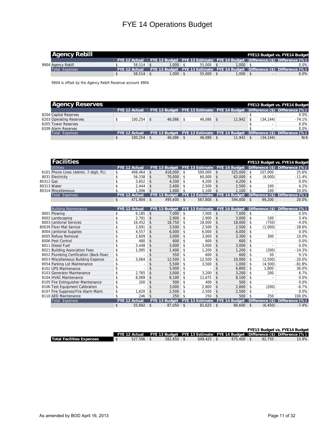| <b>Agency Rebill</b> |                      |                    |             |       | <b>FYE13 Budget vs. FYE14 Budget</b>                                       |  |
|----------------------|----------------------|--------------------|-------------|-------|----------------------------------------------------------------------------|--|
|                      | <b>FYE 12 Actual</b> |                    |             |       | FYE 13 Budget FYE 13 Estimate FYE 14 Budget Difference (\$) Difference (%) |  |
| 9904 Agency Rebill   | 58.514               | $.000 \, \text{S}$ | $55.000$ \$ | 000.1 | 0.0%                                                                       |  |
| Total Expenses       | <b>FYF 12 Actual</b> |                    |             |       | FYE 13 Budget FYE 13 Estimate FYE 14 Budget Difference (\$) Difference (%) |  |
|                      | 58.514               | $.000 \,   \,$ \$  | $55.000$ \$ | 000.  | 0.0%                                                                       |  |

9904 is offset by the Agency Rebill Revenue account 4904

| <b>Agency Reserves</b>  |                      |               |                 |             |           | <b>FYE13 Budget vs. FYE14 Budget</b>                                               |
|-------------------------|----------------------|---------------|-----------------|-------------|-----------|------------------------------------------------------------------------------------|
|                         | <b>FYE 12 Actual</b> |               |                 |             |           | FYE 13 Budget   FYE 13 Estimate   FYE 14 Budget   Difference (\$)   Difference (%) |
| 8204 Capital Reserves   |                      |               |                 |             |           | 0.0%                                                                               |
| 8203 Operating Reserves | 100.254              | $46.086$ \ \$ | $46.086$ \ \ \$ | 11.942      | (34, 144) | $-74.1%$                                                                           |
| 8205 Tower Reserves     |                      |               |                 |             |           | 0.0%                                                                               |
| 8209 Alarm Reserves     |                      |               |                 |             |           | 0.0%                                                                               |
| Total Expenses          | <b>FYE 12 Actual</b> |               |                 |             |           | FYE 13 Budget   FYE 13 Estimate   FYE 14 Budget   Difference (\$)   Difference (%) |
|                         | 100.254              | $46.086$ \ \$ | $46,086$ \$     | $11.942$ \$ | (34, 144) | N/A                                                                                |

|           | <b>Facilities</b>                       |            |                      |                      |               |                        |               |                      |                    |                 | <b>FYE13 Budget vs. FYE14 Budget</b> |
|-----------|-----------------------------------------|------------|----------------------|----------------------|---------------|------------------------|---------------|----------------------|--------------------|-----------------|--------------------------------------|
|           | Utilities                               |            | <b>FYE 12 Actual</b> | <b>FYE 13 Budget</b> |               | <b>FYE 13 Estimate</b> |               | <b>FYE 14 Budget</b> |                    |                 | Difference (\$) Difference (%)       |
|           | 6101 Phone Lines (Admin, 7-digit, PL)   | \$         | 408.464              | \$<br>418,000        | \$            | 500.000                | $\mathsf{\$}$ | 525.000              | \$                 | 107.000         | 25.6%                                |
|           | 8031 Electricity                        | \$         | 56.338               | \$<br>70.000         | \$            | 60.000                 | $\mathsf{\$}$ | 62.000               | $\mathfrak{s}$     | (8,000)         | $-11.4%$                             |
| 80312 Gas |                                         | \$         | 3.652                | \$<br>4.200          | \$            | 4.200                  | \$            | 4.200                | \$                 |                 | 0.0%                                 |
|           | 80313 Water                             | \$         | 2.444                | \$<br>2.400          | \$            | 2.500                  | \$            | 2,500                | $\mathfrak{s}$     | 100             | 4.2%                                 |
|           | 80314 Miscellaneous                     | \$         | 1.006                | \$<br>1.000          | \$            | 1.100                  | \$            | 1.100                | -\$                | 100             | 10.0%                                |
|           | <b>Total Expenses</b>                   |            | <b>FYE 12 Actual</b> | <b>FYE 13 Budget</b> |               | <b>FYE 13 Estimate</b> |               | <b>FYE 14 Budget</b> |                    | Difference (\$) | Difference (%)                       |
|           |                                         | \$         | 471.904              | \$<br>495,600        | \$            | 567.800                | $\mathsf{\$}$ | 594.800              | $\vert$ \$         | 99.200          | 20.0%                                |
|           |                                         |            |                      |                      |               |                        |               |                      |                    |                 |                                      |
|           | <b>Building Maintenance</b>             |            | <b>FYE 12 Actual</b> | <b>FYE 13 Budget</b> |               | <b>FYE 13 Estimate</b> |               | <b>FYE 14 Budget</b> |                    | Difference (\$) | <b>Difference</b><br>(%)             |
|           | 8001 Plowing                            | \$         | 6.185                | \$<br>7.000          | \$            | 7.000                  | \$            | 7,000                | \$                 |                 | 0.0%                                 |
|           | 8002 Landscaping                        | \$         | 2.791                | \$<br>2,900          | \$            | 2.900                  | \$            | 3,000                | $\mathbf{\hat{S}}$ | 100             | 3.4%                                 |
|           | 8003 Janitorial Services                | \$         | 16.452               | \$<br>18.750         | \$            | 18,000                 | \$            | 18,000               | \$                 | (750)           | $-4.0%$                              |
|           | 80039 Floor Mat Service                 | \$         | 2.091                | \$<br>3,500          | \$            | 2,500                  | \$            | 2,500                | $\mathfrak{s}$     | (1,000)         | $-28.6%$                             |
|           | 8004 Janitorial Supplies                | \$         | 4.557                | \$<br>6.000          | \$            | 6.000                  | \$            | 6.000                | \$                 |                 | 0.0%                                 |
|           | 8005 Refuse Removal                     | \$         | 2.609                | \$<br>3.000          | \$            | 3.000                  | \$            | 3,300                | $\mathfrak{s}$     | 300             | 10.0%                                |
|           | 8006 Pest Control                       | \$         | 480                  | \$<br>600            | \$            | 600                    | \$            | 600                  | \$                 | $\blacksquare$  | 0.0%                                 |
|           | 8011 Diesel Fuel                        | \$         | 3.448                | \$<br>3.000          | \$            | 3.000                  | \$            | 3.000                | \$                 |                 | 0.0%                                 |
|           | 8021 Building Association Fees          | \$         | 1,095                | \$<br>1.400          | \$            | 1,200                  | \$            | 1.200                | \$                 | (200)           | $-14.3%$                             |
|           | 8052 Plumbing Certification (Back-flow) | \$         |                      | \$<br>550            | \$            | 600                    | \$            | 600                  | \$                 | 50              | 9.1%                                 |
|           | 8053 Miscellaneous Building Expense     | \$         | 3,064                | \$<br>12,500         | \$            | 12,500                 | \$            | 10.000               | \$                 | (2,500)         | $-20.0%$                             |
|           | 8054 Parking Lot Maintenance            | \$         |                      | \$<br>5.500          | \$            | 3.500                  | \$            | 1.000                | \$                 | (4,500)         | $-81.8%$                             |
|           | 8102 UPS Maintenance                    | \$         | ٠                    | \$<br>5.000          | \$            |                        | \$            | 6.800                | $\mathfrak{s}$     | 1.800           | 36.0%                                |
|           | 8103 Generator Maintenance              | \$         | 2.765                | \$<br>3.000          | \$            | 3.200                  | \$            | 3.200                | \$                 | 200             | 6.7%                                 |
|           | 8104 HVAC Maintenance                   | \$         | 8.089                | \$<br>8.100          | \$            | 11.675                 | \$            | 8.100                | $\mathfrak{s}$     | $\overline{a}$  | 0.0%                                 |
|           | 8105 Fire Extinguisher Maintenance      | \$         | 200                  | \$<br>500            | \$            | 400                    | \$            | 500                  | $\mathsf{\$}$      |                 | 0.0%                                 |
|           | 8106 Test Equipment Calibration         | \$         |                      | \$<br>3.000          | \$            | 2.800                  | \$            | 2.800                | $\mathfrak{s}$     | (200)           | $-6.7%$                              |
|           | 8107 Fire Suppress/Fire Alarm Maint     | \$         | 1.620                | \$<br>2,500          | \$            | 2,500                  | \$            | 2,500                | \$                 |                 | 0.0%                                 |
|           | 8110 AED Maintenance                    | \$         | 246                  | \$<br>250            | \$            | 250                    | \$            | 500                  | \$                 | 250             | 100.0%                               |
|           | <b>Total Expenses</b>                   | <b>FYE</b> | 12 Actual            | <b>FYE 13 Budaet</b> |               | <b>FYE 13 Estimate</b> |               | <b>FYE 14 Budget</b> |                    | Difference (\$) | Difference (%)                       |
|           |                                         | \$         | 55,692               | \$<br>87,050         | $\mathsf{\$}$ | 81,625                 | $\mathsf{\$}$ | 80.600               | $\mathsf{\$}$      | (6, 450)        | $-7.4%$                              |

|                                  |              |              |                |                |        | FYE13 Budget vs. FYE14 Budget                                                            |
|----------------------------------|--------------|--------------|----------------|----------------|--------|------------------------------------------------------------------------------------------|
|                                  |              |              |                |                |        | FYE 12 Actual FYE 13 Budget FYE 13 Estimate FYE 14 Budget Difference (\$) Difference (%) |
| <b>Total Facilities Expenses</b> | $527.596$ \$ | $582.650$ \$ | $649.425$ \ \$ | $675.400$ \ \$ | 92.750 | 15.9%                                                                                    |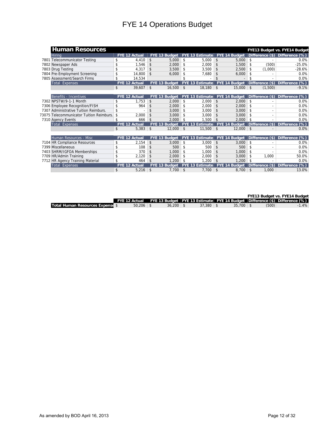| <b>Human Resources</b>                   |                      |                    |                      |                |                        |               |                      |               |                          | FYE13 Budget vs. FYE14 Budget |
|------------------------------------------|----------------------|--------------------|----------------------|----------------|------------------------|---------------|----------------------|---------------|--------------------------|-------------------------------|
| Hirina                                   | <b>FYE 12 Actual</b> |                    | FYE 13 Budget        |                | <b>FYE 13 Estimate</b> |               | FYE 14 Budget        |               | Difference (\$)          | <b>Difference</b><br>$(\%)$   |
| Telecommunicator Testing<br>7801         | \$<br>4.410          | $\mathbf{\hat{S}}$ | 5.000                | \$             | 5,000                  | \$            | 5.000                | \$            |                          | 0.0%                          |
| 7802 Newspaper Ads                       | \$<br>1.546          | $\mathbf{\hat{S}}$ | 2,000                | \$             | 2.000                  | \$            | 1,500                | \$            | (500)                    | $-25.0%$                      |
| 7803 Drug Testing                        | \$<br>4.317          | \$                 | 3.500                | \$             | 3.500                  | \$            | 2.500                | \$            | (1.000)                  | $-28.6%$                      |
| 7804 Pre-Employment Screening            | \$<br>14.800         | \$                 | 6.000                | \$             | 7.680                  | \$            | 6,000                | \$            |                          | 0.0%                          |
| 7805 Assessment/Search Firms             | \$<br>14.534         |                    |                      |                |                        | \$            |                      | \$            |                          | 0.0%                          |
| <b>Total Expenses</b>                    | <b>FYE 12 Actual</b> |                    | <b>FYE 13 Budget</b> |                | <b>FYE 13 Estimate</b> |               | FYE 14 Budget        |               | Difference (\$)          | $(\%)$<br><b>Difference</b>   |
|                                          | \$<br>39,607         | $\mathsf{\$}$      | 16,500               | $\mathfrak{S}$ | 18,180                 | $\mathsf{\$}$ | 15,000               | \$            | (1,500)                  | $-9.1%$                       |
|                                          |                      |                    |                      |                |                        |               |                      |               |                          |                               |
| Benefits - Incentives                    | <b>FYE 12 Actual</b> |                    | FYE 13 Budget        |                | <b>FYE 13 Estimate</b> |               | FYE 14 Budget        |               | Difference (\$)          | <b>Difference</b><br>$(\%)$   |
| 7302 NPSTW/9-1-1 Month                   | \$<br>1.753          | \$                 | 2.000                | \$             | 2.000                  | \$            | 2.000                | \$            |                          | 0.0%                          |
| 7306 Employee Recognition/FISH           | \$<br>964            | \$                 | 2.000                | \$             | 2.000                  | \$            | 2,000                | \$            |                          | 0.0%                          |
| 7307 Administrative Tuition Reimburs.    | \$                   | $\hat{\mathbf{S}}$ | 3.000                | \$             | 3.000                  | \$            | 3.000                | \$            | $\overline{\phantom{a}}$ | 0.0%                          |
| 73075 Telecommunicator Tuition Reimburs. | \$<br>2,000          | $\hat{\mathbf{S}}$ | 3.000                | \$             | 3.000                  | \$            | 3,000                | \$            |                          | 0.0%                          |
| 7310 Agency Events                       | \$<br>666            | $\mathbf{\hat{S}}$ | 2.000                | \$             | 1.500                  | \$            | 2.000                | \$            |                          | 0.0%                          |
| <b>Total Expenses</b>                    | <b>FYE 12 Actual</b> |                    | FYE 13 Budget        |                | <b>FYE 13 Estimate</b> |               | <b>FYE 14 Budget</b> |               | Difference (\$)          | $(\%)$<br><b>Difference</b>   |
|                                          | \$<br>5,383          | $\mathbf{\hat{S}}$ | 12,000               | $\mathsf{\$}$  | 11,500                 | $\mathsf{\$}$ | 12,000               | $\mathsf{\$}$ |                          | 0.0%                          |
|                                          |                      |                    |                      |                |                        |               |                      |               |                          |                               |
| Human Resources - Misc                   | <b>FYE 12 Actual</b> |                    | FYE 13 Budget        |                | <b>FYE 13 Estimate</b> |               | FYE 14 Budget        |               | Difference (\$)          | <b>Difference</b><br>$(\%)$   |
| 7104 HR Compliance Resources             | \$<br>2,154          | \$                 | 3.000                | \$             | 3,000                  | \$            | 3.000                | \$            |                          | 0.0%                          |
| 7399 Miscellaneous                       | \$<br>108            | \$                 | 500                  | \$             | 500                    | \$            | 500                  | \$            |                          | 0.0%                          |
| 7403 SHRM/IGFOA Memberships              | \$<br>370            | \$                 | 1.000                | \$             | 1.000                  | \$            | 1.000                | \$            | $\overline{\phantom{a}}$ | 0.0%                          |
| 7709 HR/Admin Training                   | \$<br>2.120          | $\mathbf{\hat{S}}$ | 2.000                | \$             | 2.000                  | \$            | 3.000                | \$            | 1.000                    | 50.0%                         |
| 7712 HR Agency Training Material         | \$<br>464            | \$                 | 1.200                | \$             | 1.200                  | \$            | 1.200                | \$            |                          | 0.0%                          |
| <b>Total Expenses</b>                    | <b>FYE 12 Actual</b> |                    | FYE 13 Budget        |                | <b>FYE 13 Estimate</b> |               | <b>FYE 14 Budget</b> |               | Difference (\$)          | $(\%)$<br><b>Difference</b>   |
|                                          | \$<br>5,216          | $\mathsf{\$}$      | 7,700                | \$             | 7,700                  | \$            | 8,700                | \$            | 1.000                    | 13.0%                         |

**FYE13 Budget vs. FYE14 Budget**

|                                         | FYE 12 Actual |             |        |        |       | FYE 13 Budget FYE 13 Estimate FYE 14 Budget Difference (\$) Difference (%) |  |
|-----------------------------------------|---------------|-------------|--------|--------|-------|----------------------------------------------------------------------------|--|
| <b>Total Human Resources Expense \$</b> | 50.206        | $36.200$ \$ | 37.380 | 35.700 | (500) | 1.4%                                                                       |  |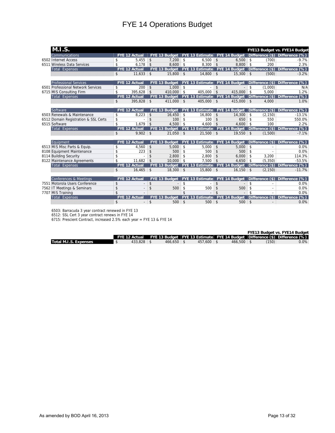| M.I.S.                               |               |                      |                    |                                 |               |                                      |                    |                      |                    |                 | FYE13 Budget vs. FYE14 Budget        |
|--------------------------------------|---------------|----------------------|--------------------|---------------------------------|---------------|--------------------------------------|--------------------|----------------------|--------------------|-----------------|--------------------------------------|
| Communications                       |               | <b>FYE 12 Actual</b> |                    | FYE 13 Budget   FYE 13 Estimate |               |                                      |                    | FYE 14 Budget        |                    |                 | Difference (\$) Difference (%)       |
| 6502 Internet Access                 | \$            | 5.455                | $\mathbf{\hat{S}}$ | 7.200                           | \$            | $6.500$ \$                           |                    | 6.500                | \$                 | (700)           | $-9.7%$                              |
| 6511 Wireless Data Services          | \$            | $6,178$ \$           |                    | 8.600                           | \$            | 8.300                                | $\vert$ \$         | 8.800                | $\mathsf{\$}$      | 200             | 2.3%                                 |
| <b>Total Expenses</b>                |               | <b>FYE 12 Actual</b> |                    | <b>FYE 13 Budget</b>            |               | <b>FYE 13 Estimate FYE 14 Budget</b> |                    |                      |                    |                 | Difference (\$) Difference (%)       |
|                                      | \$            | 11,633               | $\mathsf{\$}$      | $15.800$ \$                     |               | $14.800$ \$                          |                    | 15,300               | \$                 | (500)           | $-3.2%$                              |
|                                      |               |                      |                    |                                 |               |                                      |                    |                      |                    |                 |                                      |
| <b>Professional Services</b>         |               | <b>FYE 12 Actual</b> |                    | FYE 13 Budget                   |               | <b>FYE 13 Estimate</b>               |                    | FYE 14 Budget        |                    |                 | Difference (\$) Difference<br>(%)    |
| 6501 Professional Network Services   | \$            | 200                  | $\mathsf{\$}$      | 1.000                           | \$            | $\overline{a}$                       | \$                 |                      | \$                 | (1.000)         | N/A                                  |
| 6715 MIS Consulting Firm             | \$            | 395,628              | $\vert$ \$         | 410.000                         | $\mathsf{\$}$ | 405.000                              | $\mathsf{\$}$      | 415,000              | $\mathsf{\$}$      | 5.000           | 1.2%                                 |
| <b>Total Expenses</b>                |               | <b>FYE 12 Actual</b> |                    | FYE 13 Budget                   |               | <b>FYE 13 Estimate</b>               |                    | <b>FYE 14 Budget</b> |                    |                 | Difference (\$) Difference<br>$(\%)$ |
|                                      | \$            | $395,828$ \$         |                    | 411.000                         | $\vert$ \$    | $405,000$ \$                         |                    | 415,000              | $\mathfrak{S}$     | 4.000           | 1.0%                                 |
|                                      |               |                      |                    |                                 |               |                                      |                    |                      |                    |                 |                                      |
| Software                             |               | <b>FYE 12 Actual</b> |                    | FYE 13 Budget                   |               | <b>FYE 13 Estimate</b>               |                    | FYE 14 Budget        |                    |                 | Difference (\$) Difference (%)       |
| 6503 Renewals & Maintenance          | \$            | 8.223                | \$                 | 16.450                          | \$            | 16.800                               | \$                 | 14,300               | \$                 | (2, 150)        | $-13.1%$                             |
| 6512 Domain Registration & SSL Certs | \$            |                      | \$                 | 100                             | \$            | 100                                  | \$                 | 650                  | $\mathbf{\hat{S}}$ | 550             | 550.0%                               |
| 6515 Software                        | \$            | 1,679                | $\mathsf{\$}$      | 4,500                           | \$            | 4.600                                | $\mathsf{\$}$      | 4.600                | \$                 | 100             | 2.2%                                 |
| <b>Total Expenses</b>                |               | <b>FYE 12 Actual</b> |                    | FYE 13 Budget                   |               | <b>FYE 13 Estimate</b>               |                    | FYE 14 Budget        |                    |                 | Difference (\$) Difference (%)       |
|                                      | \$            | 9.902                | $\mathsf{\$}$      | $21.050$ \$                     |               | $21.500$ \$                          |                    | 19.550               | \$                 | (1.500)         | $-7.1%$                              |
| <b>Eauipment</b>                     |               | <b>FYE 12 Actual</b> |                    | <b>FYE 13 Budget</b>            |               | <b>FYE 13 Estimate</b>               |                    | <b>FYE 14 Budget</b> |                    |                 | Difference (\$) Difference<br>(% )   |
| 6513 MIS Misc Parts & Equip.         | \$            | 4.560                | $\mathsf{\$}$      | 5,000                           | \$            | 5.000                                | \$                 | 5.000                | \$                 |                 | 0.0%                                 |
| 8108 Equipment Maintenance           | \$            | 223                  | \$                 | 500                             | \$            | 500                                  | $\mathsf{\$}$      | 500                  | $\mathbf{\hat{S}}$ |                 | 0.0%                                 |
| 8114 Building Security               | \$            |                      | $\hat{\mathbf{S}}$ | 2.800                           | \$            | 2.800                                | \$                 | 6.000                | \$                 | 3.200           | 114.3%                               |
| 8122 Maintenance Agreements          | \$            | 11.682               | $\mathbf{\hat{S}}$ | 10,000                          | \$            | 7.500                                | \$                 | 4.650                | \$                 | (5.350)         | $-53.5%$                             |
| <b>Total Expenses</b>                |               | <b>FYE 12 Actual</b> |                    | <b>FYE 13 Budget</b>            |               | <b>FYE 13 Estimate</b>               |                    | <b>FYE 14 Budget</b> |                    |                 | Difference $(\$)$ Difference $(\%)$  |
|                                      | \$            | 16.465               | $\mathsf{\$}$      | $18,300$ \$                     |               | $15,800$ \$                          |                    | 16,150               | \$                 | (2, 150)        | $-11.7%$                             |
|                                      |               |                      |                    |                                 |               |                                      |                    |                      |                    |                 |                                      |
| Conferences & Meetings               |               | <b>FYE 12 Actual</b> |                    | <b>FYE 13 Budget</b>            |               | <b>FYE 13 Estimate</b>               |                    | FYE 14 Budget        |                    | Difference (\$) | Difference (%)                       |
| 7551 Motorola Users Conference       | \$            | $\overline{a}$       | \$                 |                                 | \$            | $\overline{\phantom{a}}$             | \$                 |                      | \$                 |                 | 0.0%                                 |
| 7562 IT Meetings & Seminars          | \$            | $\overline{a}$       | \$                 | 500                             | \$            | 500                                  | \$                 | 500                  | \$                 |                 | 0.0%                                 |
| 7707 MIS Training                    | $\mathsf{\$}$ |                      |                    |                                 | \$            |                                      | \$                 |                      | \$                 |                 | 0.0%                                 |
| <b>Total Expenses</b>                |               | <b>FYE 12 Actual</b> |                    | <b>FYE 13 Budget</b>            |               | <b>FYE 13 Estimate</b>               |                    | <b>FYE 14 Budget</b> |                    | Difference (\$) | $(\%)$<br><b>Difference</b>          |
|                                      | \$            |                      | \$                 | 500                             | $\mathsf{\$}$ | 500                                  | $\mathbf{\hat{S}}$ | 500                  | \$                 |                 | 0.0%                                 |

6503: Barracuda 3 year contract renewed in FYE 13

6512: SSL Cert 3 year contract renews in FYE 14

6715: Prescient Contract, increased 2.5% each year = FYE 13 & FYE 14

|                       |              |                |                |                                                                                          |       | FYE13 Budget vs. FYE14 Budget |         |
|-----------------------|--------------|----------------|----------------|------------------------------------------------------------------------------------------|-------|-------------------------------|---------|
|                       |              |                |                | FYE 12 Actual FYE 13 Budget FYE 13 Estimate FYE 14 Budget Difference (\$) Difference (%) |       |                               |         |
| Total M.I.S. Expenses | $433.828$ \$ | $466.650$ \ \$ | $457.600$ \ \$ | $466.500$ \ \$                                                                           | (150) |                               | $0.0\%$ |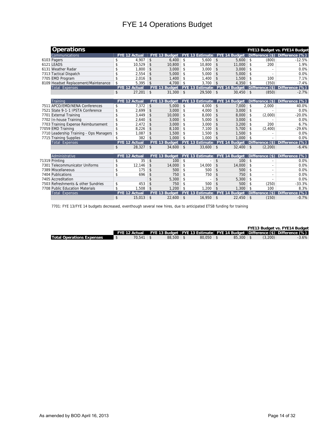| <b>Operations</b>                       |               |                      |                      |                    |                          |     |                      |               |                          | FYE13 Budget vs. FYE14 Budget        |
|-----------------------------------------|---------------|----------------------|----------------------|--------------------|--------------------------|-----|----------------------|---------------|--------------------------|--------------------------------------|
| Communications                          |               | <b>FYE 12 Actual</b> | FYE 13 Budget        |                    | <b>FYE 13 Estimate</b>   |     | FYE 14 Budget        |               |                          | Difference (\$) Difference (%)       |
| 6103 Pagers                             | \$            | 4.907                | \$<br>6.400          | \$                 | 5.600                    | \$  | 5.600                | \$            | (800)                    | $-12.5%$                             |
| 6121 LEADS                              | \$            | 10.529               | \$<br>10.800         | $\mathsf{\$}$      | 10.800                   | \$  | 11,000               | \$            | 200                      | 1.9%                                 |
| 6131 Weather Radar                      | \$            | 1.800                | \$<br>3,000          | \$                 | 3.000                    | \$  | 3,000                | \$            |                          | 0.0%                                 |
| 7313 Tactical Dispatch                  | \$            | 2,554                | \$<br>5.000          | \$                 | 5.000                    | \$  | 5.000                | \$            |                          | 0.0%                                 |
| 7705 EMD Program                        | \$            | 2.016                | \$<br>1.400          | \$                 | 1,400                    | \$  | 1.500                | \$            | 100                      | 7.1%                                 |
| 8109 Headset Replacement/Maintenance    | \$            | 5,395                | \$<br>4.700          | $\mathbf{\hat{S}}$ | 3.700                    | \$  | 4.350                | \$            | (350)                    | $-7.4%$                              |
| <b>Total Expenses</b>                   |               | <b>FYE 12 Actual</b> | FYE 13 Budget        |                    | <b>FYE 13 Estimate</b>   |     | FYE 14 Budget        |               |                          | $(\%)$<br>Difference (\$) Difference |
|                                         | \$            | 27,201               | \$<br>$31,300$ \$    |                    | 29,500                   | -\$ | 30,450               | \$            | (850)                    | $-2.7%$                              |
|                                         |               |                      |                      |                    |                          |     |                      |               |                          |                                      |
| Training                                |               | <b>FYE 12 Actual</b> | FYE 13 Budget        |                    | <b>FYE 13 Estimate</b>   |     | FYE 14 Budget        |               | Difference (\$)          | Difference (%)                       |
| 7511 APCO/EMD/NENA Conferences          | \$            | 7.372                | \$<br>5.000          | \$                 | 4.000                    | \$  | 7.000                | \$            | 2.000                    | 40.0%                                |
| 7521 State 9-1-1 IPSTA Conference       | \$            | 2,699                | \$<br>3,000          | \$                 | 4.000                    | \$  | 3,000                | \$            |                          | 0.0%                                 |
| 7701 External Training                  | \$            | 3.449                | \$<br>10.000         | \$                 | 8.000                    | \$  | 8,000                | \$            | (2,000)                  | $-20.0%$                             |
| 7702 In-house Training                  | \$            | 2.640                | \$<br>3,000          | \$                 | 5,000                    | \$  | 3,000                | \$            |                          | 0.0%                                 |
| 7703 Training Expense Reimbursement     | \$            | 2.472                | \$<br>3.000          | \$                 | 3.000                    | \$  | 3.200                | \$            | 200                      | 6.7%                                 |
| 77059 EMD Training                      | \$            | 8,226                | \$<br>8.100          | \$                 | 7,100                    | \$  | 5,700                | \$            | (2,400)                  | $-29.6%$                             |
| 7710 Leadership Training - Ops Managers | $\mathsf{\$}$ | 1.087                | \$<br>1.500          | \$                 | 1,500                    | \$  | 1,500                | \$            |                          | 0.0%                                 |
| 7715 Training Supplies                  | \$            | 382                  | \$<br>1.000          | -\$                | 1.000                    | \$  | 1.000                | \$            |                          | 0.0%                                 |
| <b>Total Expenses</b>                   |               | <b>FYE 12 Actual</b> | FYE 13 Budget        |                    | <b>FYE 13 Estimate</b>   |     | <b>FYE 14 Budget</b> |               |                          | Difference $(\$)$ Difference $(\%)$  |
|                                         | \$            | 28,327               | \$<br>$34,600$ \$    |                    | 33.600                   | -\$ | 32,400               | \$            | (2,200)                  | $-6.4%$                              |
|                                         |               |                      |                      |                    |                          |     |                      |               |                          |                                      |
| Administrative                          |               | <b>FYE 12 Actual</b> | FYE 13 Budget        |                    | <b>FYE 13 Estimate</b>   |     | <b>FYE 14 Budget</b> |               |                          | Difference (\$) Difference<br>$(\%)$ |
| 71319 Printing                          | \$            | 35                   | \$<br>100            | $\mathsf{\$}$      | $\overline{a}$           | \$  | 100                  | $\mathsf{\$}$ |                          | 0.0%                                 |
| 7301 Telecommunicator Uniforms          | \$            | 12.146               | \$<br>14,000         | \$                 | 14.000                   | \$  | 14,000               | \$            |                          | 0.0%                                 |
| 7389 Miscellaneous                      | \$            | 175                  | \$<br>500            | \$                 | 500                      | \$  | 500                  | \$            | $\overline{\phantom{a}}$ | 0.0%                                 |
| 7404 Publications                       | \$            | 696                  | \$<br>750            | \$                 | 750                      | \$  | 750                  | \$            |                          | 0.0%                                 |
| 7405 Accreditation                      |               |                      | \$<br>5.300          | \$                 | $\overline{\phantom{a}}$ | \$  | 5.300                | \$            |                          | 0.0%                                 |
| 7503 Refreshments & other Sundries      | \$            | 453                  | \$<br>750            | \$                 | 500                      | \$  | 500                  | \$            | (250)                    | $-33.3%$                             |
| 7708 Public Education Materials         | \$            | 1.508                | \$<br>1.200          | $\mathsf{\$}$      | 1.200                    | \$  | 1.300                | \$            | 100                      | 8.3%                                 |
| <b>Total Expenses</b>                   |               | <b>FYE 12 Actual</b> | <b>FYE 13 Budget</b> | <b>FYF</b>         | 13 Estimate              |     | <b>FYE 14 Budget</b> |               | Difference $(*)$         | $(\%)$<br><b>Difference</b>          |
|                                         | \$            | 15,013               | \$<br>22,600         | $\mathsf{\$}$      | 16,950                   | \$  | 22,450               | \$            | (150)                    | $-0.7%$                              |

7701: FYE 13/FYE 14 budgets decreased, eventhough several new hires, due to anticipated ETSB funding for training

|                                  |               |               |               |               |         | FYE13 Budget vs. FYE14 Budget                                                              |
|----------------------------------|---------------|---------------|---------------|---------------|---------|--------------------------------------------------------------------------------------------|
|                                  |               |               |               |               |         | [ FYE 12 Actual FYE 13 Budget FYE 13 Estimate FYE 14 Budget Difference (\$) Difference (%) |
| <b>Total Operations Expenses</b> | $70.541$ \ \$ | $88.500$ \ \$ | $80.050$ \ \$ | $85.300$ \ \$ | (3.200) | $-3.6%$                                                                                    |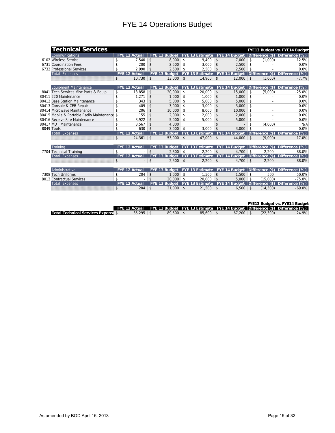| <b>Technical Services</b>                    |                      |                    |                      |               |                         |                     |                      |                    |                          | FYE13 Budget vs. FYE14 Budget       |
|----------------------------------------------|----------------------|--------------------|----------------------|---------------|-------------------------|---------------------|----------------------|--------------------|--------------------------|-------------------------------------|
| Communications                               | <b>FYE 12 Actual</b> |                    | FYE 13 Budget        |               | <b>FYE 13 Estimate</b>  |                     | <b>FYE 14 Budget</b> |                    |                          | Difference (\$) Difference (%)      |
| 6102 Wireless Service                        | \$<br>7.540          | $\mathbf{\hat{S}}$ | 8.000                | \$            | 9.400                   | \$                  | 7.000                | \$                 | (1.000)                  | $-12.5%$                            |
| 6731 Coordination Fees                       | \$<br>200            | \$                 | 2.500                | \$            | 3.000                   | \$                  | 2.500                | \$                 |                          | 0.0%                                |
| 6732 Professional Services                   | \$<br>2.990          | \$                 | 2.500                | \$            | 2.500                   | \$                  | 2.500                | \$                 |                          | 0.0%                                |
| <b>Total Expenses</b>                        | <b>FYE 12 Actual</b> |                    | <b>FYE 13 Budget</b> |               | <b>FYE 13 Estimate</b>  |                     | <b>FYE 14 Budget</b> |                    | Difference (\$)          | Difference (%)                      |
|                                              | \$<br>10.730         | $\mathsf{\$}$      | $13.000$ \ \$        |               | $14.900$ \ \$           |                     | 12,000               | $\mathfrak{S}$     | (1,000)                  | $-7.7%$                             |
|                                              |                      |                    |                      |               |                         |                     |                      |                    |                          |                                     |
| Equipment Maintenance                        | <b>FYE 12 Actual</b> |                    | FYE 13 Budget        |               | <b>FYE 13 Estimate</b>  |                     | FYE 14 Budget        |                    | Difference (\$)          | Difference (%)                      |
| 8041 Tech Services Misc Parts & Equip        | \$<br>13.858         | \$                 | 20,000               | \$            | 20.000                  | \$                  | 15,000               | \$                 | (5,000)                  | $-25.0%$                            |
| 80411 220 Maintenance                        | \$<br>1,271          | \$                 | 1.000                | $\mathsf{\$}$ | 1.000                   | \$                  | 1.000                | \$                 |                          | 0.0%                                |
| 80412 Base Station Maintenance               | \$<br>343            | \$                 | 5,000                | \$            | 5,000                   | \$                  | 5,000                | \$                 |                          | 0.0%                                |
| 80413 Console & CEB Repair                   | \$<br>409            | \$                 | 3.000                | \$            | 3.000                   | \$                  | 3.000                | \$                 | $\overline{\phantom{a}}$ | 0.0%                                |
| 80414 Microwave Maintenance                  | \$<br>206            | \$                 | 10,000               | $\mathsf{\$}$ | 8.000                   | \$                  | 10,000               | \$                 | $\overline{a}$           | 0.0%                                |
| 80415 Mobile & Portable Radio Maintenance \$ | 155                  | \$                 | 2,000                | $\mathsf{\$}$ | 2,000                   | \$                  | 2.000                | \$                 | $\overline{\phantom{a}}$ | 0.0%                                |
| 80416 Receive Site Maintenance               | \$<br>3.922          | \$                 | 5.000                | \$            | 5.000                   | \$                  | 5,000                | \$                 |                          | 0.0%                                |
| 80417 MDT Maintenance                        | \$<br>3.567          | \$                 | 4.000                |               |                         | \$                  |                      | \$                 | (4.000)                  | N/A                                 |
| 8049 Tools                                   | \$<br>630            | \$                 | 3.000                | \$            | 3.000                   | \$                  | 3.000                | \$                 |                          | 0.0%                                |
| <b>Total Expenses</b>                        | <b>FYE 12 Actual</b> |                    | <b>FYE 13 Budget</b> |               | <b>FYE 13 Estimate</b>  |                     | FYE 14 Budget        |                    | Difference $(\$)\ $      | Difference (%)                      |
|                                              | \$<br>24.361         | \$                 | 53,000               | $\vert$ \$    | 47.000                  | $\vert$ \$          | 44.000               | \$                 | (9.000)                  | $-17.0%$                            |
|                                              |                      |                    |                      |               |                         |                     |                      |                    |                          |                                     |
| Training                                     | <b>FYE 12 Actual</b> |                    | <b>FYE 13 Budget</b> |               | <b>IFYE 13 Estimate</b> |                     | FYE 14 Budget        |                    | Difference (\$)          | Difference (%)                      |
| 7704 Technical Training                      | \$                   | $\mathbf{\hat{S}}$ | 2.500                | \$            | $2,200$ \$              |                     | 4,700                | \$                 | 2.200                    | 88.0%                               |
| <b>Total Expenses</b>                        | <b>FYE 12 Actual</b> |                    | <b>FYE 13 Budget</b> |               | <b>FYE 13 Estimate</b>  |                     | <b>FYE 14 Budget</b> |                    |                          | Difference (\$) Difference (%)      |
|                                              | \$                   | \$                 | $2,500$ \$           |               | 2,200                   | $\vert$ \$          | 4,700                | \$                 | 2,200                    | 88.0%                               |
| Administrative                               | <b>FYE 12 Actual</b> |                    | <b>FYE 13 Budget</b> |               | <b>FYE 13 Estimate</b>  |                     | FYE 14 Budget        |                    | Difference (\$)          | Difference (%)                      |
| 7308 Tech Uniforms                           | \$                   | \$                 | 1.000                | \$            | 1.500                   |                     |                      | $\mathbf{\hat{S}}$ | 500                      |                                     |
| 8013 Contractual Services                    | \$<br>204            | \$                 | 20,000               | -\$           | 20,000                  | \$<br>$\mathsf{\$}$ | 1,500<br>5.000       | \$                 | (15,000)                 | 50.0%<br>$-75.0%$                   |
| <b>Total Expenses</b>                        | <b>FYE 12 Actual</b> |                    | <b>FYE 13 Budaet</b> |               | <b>FYE 13 Estimate</b>  |                     | <b>FYE 14 Budget</b> |                    |                          | Difference $(\$)$ Difference $(\%)$ |
|                                              | \$<br>204            | \$                 | 21,000               | \$            | 21.500                  | \$                  | 6,500                | \$                 | (14.500)                 | $-69.0%$                            |
|                                              |                      |                    |                      |               |                         |                     |                      |                    |                          |                                     |

#### **FYE13 Budget vs. FYE14 Budget**

|                                          |        |               |        |        |          | FYE 12 Actual FYE 13 Budget FYE 13 Estimate FYE 14 Budget Difference (\$) Difference (%) |
|------------------------------------------|--------|---------------|--------|--------|----------|------------------------------------------------------------------------------------------|
| <b>Total Technical Services Expenses</b> | 35.295 | $89.500$ \ \$ | 85,600 | 67.200 | (22.300) | $-24.9%$                                                                                 |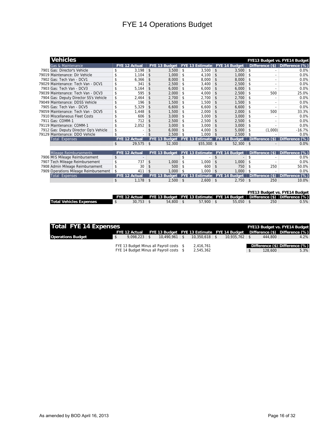| <b>Vehicles</b>                        |                                |               |                      |            |                                 |                    |                      |                    |                            | FYE13 Budget vs. FYE14 Budget |
|----------------------------------------|--------------------------------|---------------|----------------------|------------|---------------------------------|--------------------|----------------------|--------------------|----------------------------|-------------------------------|
| Gas & Maintenance                      | <b>FYE 12 Actual</b>           |               | FYE 13 Budget        |            | <b>FYE 13 Estimate</b>          |                    | FYE 14 Budget        |                    | Difference (\$)            | Difference (%)                |
| 7901 Gas: Director's Vehicle           | \$<br>3.198                    | \$            | 3.500                | \$         | 3.500                           | \$                 | 3.500                | \$                 | ٠                          | 0.0%                          |
| 79019 Maintenance: Dir Vehicle         | \$<br>1.104                    | \$            | 1.000                | \$         | 4.100                           | $\mathsf{\$}$      | 1.000                | \$                 |                            | 0.0%                          |
| 7902 Gas: Tech Van - DCV1              | \$<br>6,366                    | \$            | 8,000                | \$         | 8,000                           | \$                 | 8,000                | \$                 | $\overline{a}$             | 0.0%                          |
| 79029 Maintenance: Tech Van - DCV1     | \$<br>341                      | \$            | 2,500                | \$         | 3,400                           | \$                 | 2,500                | $\mathbf{\hat{S}}$ | $\overline{\phantom{a}}$   | 0.0%                          |
| 7903 Gas: Tech Van - DCV3              | \$<br>5,164                    | \$            | 6,000                | \$         | 6,000                           | \$                 | 6,000                | \$                 | $\overline{a}$             | 0.0%                          |
| 79039 Maintenance: Tech Van - DCV3     | \$<br>595                      | \$            | 2.000                | \$         | 4.000                           | \$                 | 2.500                | \$                 | 500                        | 25.0%                         |
| 7904 Gas: Deputy Director SS's Vehicle | \$<br>2.464                    | \$            | 2.700                | \$         | 2.700                           | \$                 | 2.700                | \$                 | $\overline{\phantom{a}}$   | 0.0%                          |
| 79049 Maintenance: DDSS Vehicle        | \$<br>196                      | \$            | 1.500                | \$         | 1.500                           | $\mathbf{\hat{z}}$ | 1.500                | \$                 | $\overline{\phantom{a}}$   | 0.0%                          |
| 7905 Gas: Tech Van - DCV5              | \$<br>5.329                    | \$            | 6.600                | \$         | 6.600                           | $\mathsf{\$}$      | 6.600                | $\mathbf{\hat{S}}$ | $\overline{a}$             | 0.0%                          |
| 79059 Maintenance: Tech Van - DCV5     | \$<br>1,448                    | \$            | 1,500                | \$         | 2,000                           | \$                 | 2,000                | \$                 | 500                        | 33.3%                         |
| 7910 Miscellaneous Fleet Costs         | \$<br>606                      | \$            | 3,000                | \$         | 3,000                           | \$                 | 3,000                | \$                 | ۰                          | 0.0%                          |
| 7911 Gas: COMM-1                       | \$<br>712                      | \$            | 2,500                | \$         | 2,500                           | \$                 | 2,500                | \$                 | ۰                          | 0.0%                          |
| 79119 Maintenance: COMM-1              | \$<br>2,052                    | \$            | 3.000                | \$         | 3.000                           | \$                 | 3.000                | \$                 | $\overline{\phantom{a}}$   | 0.0%                          |
| 7912 Gas: Deputy Director Op's Vehicle | \$                             | \$            | 6.000                | \$         | 4.000                           | \$                 | 5.000                | $\mathbf{\hat{S}}$ | (1.000)                    | $-16.7%$                      |
| 79129 Maintenance: DDO Vehicle         | \$                             | \$            | 2,500                | \$         | 1.000                           | \$                 | 2.500                | \$                 |                            | 0.0%                          |
| <b>Total Expenses</b>                  | <b>FYE 12 Actual</b>           |               | <b>FYE 13 Budget</b> |            | <b>FYE 13 Estimate</b>          |                    | <b>FYE 14 Budget</b> |                    | Difference (\$)            | Difference (%)                |
|                                        | \$<br>29,575                   | $\mathsf{\$}$ | 52,300               |            | $$55,300$ \$                    |                    | 52,300               | $\mathsf{\$}$      |                            | 0.0%                          |
|                                        |                                |               |                      |            |                                 |                    |                      |                    |                            |                               |
| Mileage Reimbursements                 | <b>FYE 12 Actual</b>           |               |                      |            | FYE 13 Budget   FYE 13 Estimate |                    | FYE 14 Budget        |                    | Difference (\$)            | Difference (%)                |
| 7906 MIS Mileage Reimbursement         | \$<br>$\overline{\phantom{a}}$ |               |                      | \$         | $\blacksquare$                  | \$                 |                      | \$                 |                            | 0.0%                          |
| 7907 Tech Mileage Reimbursement        | \$<br>737                      | \$            | 1.000                | \$         | 1.000                           | \$                 | 1.000                | \$                 |                            | 0.0%                          |
| 7908 Admin Mileage Reimbursement       | \$<br>30                       | \$            | 500                  | \$         | 600                             | \$                 | 750                  | \$                 | 250                        | 50.0%                         |
| 7909 Operations Mileage Reimbursement  | \$<br>411                      | \$            | 1.000                | \$         | 1.000                           | $\mathsf{\$}$      | 1.000                | \$                 |                            | 0.0%                          |
| <b>Total Expenses</b>                  | <b>FYE 12 Actual</b>           |               | <b>FYE 13 Budget</b> |            | <b>FYE 13 Estimate</b>          |                    | FYE 14 Budget        |                    | <b>Difference</b><br>$($)$ | Difference (%)                |
|                                        | \$<br>1,178                    | $\sqrt[6]{3}$ | 2,500                | $\vert$ \$ | 2,600                           | $\sqrt[6]{2}$      | 2,750                | $\mathsf{\$}$      | 250                        | 10.0%                         |
|                                        |                                |               |                      |            |                                 |                    |                      |                    |                            |                               |
|                                        |                                |               |                      |            |                                 |                    |                      |                    |                            | FYE13 Budget vs. FYE14 Budget |
|                                        |                                |               |                      |            |                                 |                    |                      |                    |                            |                               |

|                                |        |             |             | FYE 12 Actual FYE 13 Budget FYE 13 Estimate FYE 14 Budget Difference (\$) Difference (%) |     |      |
|--------------------------------|--------|-------------|-------------|------------------------------------------------------------------------------------------|-----|------|
| <b>Total Vehicles Expenses</b> | 30.753 | $54.800$ \$ | $57.900$ \$ | $55.050$ \$                                                                              | 250 | 0.5% |
|                                |        |             |             |                                                                                          |     |      |

| <b>Total FYE 14 Expenses</b><br><b>FYE13 Budget vs. FYE14 Budget</b> |               |                |  |                                          |  |                 |  |                     |  |                                                                            |                                |  |  |
|----------------------------------------------------------------------|---------------|----------------|--|------------------------------------------|--|-----------------|--|---------------------|--|----------------------------------------------------------------------------|--------------------------------|--|--|
|                                                                      | FYE 12 Actual |                |  |                                          |  |                 |  |                     |  | FYE 13 Budget FYE 13 Estimate FYE 14 Budget Difference (\$) Difference (%) |                                |  |  |
| <b>Operations Budget</b>                                             |               | $9.098.223$ \$ |  | $10.490.961$ \ \$                        |  | $10.350.618$ \$ |  | $10.935.762$ \ \ \$ |  | 444.800                                                                    | 4.2%                           |  |  |
|                                                                      |               |                |  |                                          |  |                 |  |                     |  |                                                                            |                                |  |  |
|                                                                      |               |                |  | FYE 13 Budget Minus all Payroll costs \$ |  | 2.416.761       |  |                     |  |                                                                            | Difference (\$) Difference (%) |  |  |
|                                                                      |               |                |  | FYE 14 Budget Minus all Payroll costs \$ |  | 2,545,362       |  |                     |  | 128,600                                                                    | 5.3%                           |  |  |
|                                                                      |               |                |  |                                          |  |                 |  |                     |  |                                                                            |                                |  |  |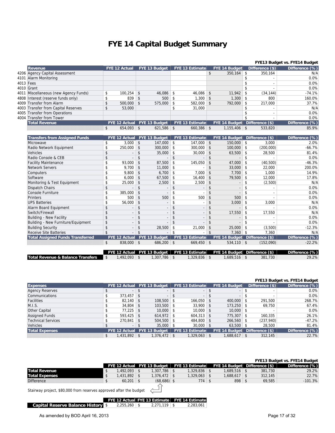## **FYE 14 Capital Budget Summary**

|                                         |                    |                          |                    |                             |                    |                                               |                    |                               |                   | FYE13 Budget vs. FYE14 Budget |
|-----------------------------------------|--------------------|--------------------------|--------------------|-----------------------------|--------------------|-----------------------------------------------|--------------------|-------------------------------|-------------------|-------------------------------|
| Revenue                                 |                    | <b>FYE 12 Actual</b>     |                    | FYE 13 Budget               |                    | <b>FYE 13 Estimate</b>                        |                    | <b>FYE 14 Budget</b>          | Difference $(\$)$ | Difference (%)                |
| 4206 Agency Capital Assessment          |                    |                          |                    |                             |                    |                                               | $\mathbf{\hat{z}}$ | $350,164$ \$                  | 350,164           | N/A                           |
| 4101 Alarm Monitoring                   |                    |                          |                    |                             |                    |                                               |                    |                               | \$                | 0.0%                          |
| $4013$ Fees                             |                    |                          |                    |                             |                    |                                               |                    |                               | \$                | 0.0%                          |
| 4010 Grant                              |                    |                          |                    |                             |                    |                                               |                    |                               | \$                | 0.0%                          |
| 4011 Miscellaneous (new Agency Funds)   | \$                 | 100.254                  | \$                 | $46,086$ \$                 |                    | 46.086                                        | $\mathfrak{S}$     | $11.942$ \$                   | (34, 144)         | $-74.1%$                      |
| 4808 Interest (reserve funds only)      | \$                 | 839                      | $\mathfrak{S}$     | $500$ \$                    |                    | $1,300$ \$                                    |                    | $1,300$ \$                    | 800               | 160.0%                        |
| 4009 Transfer from Alarm                | \$                 | 500,000                  | $\mathsf{\$}$      | $575,000$ \$                |                    | $582,000$ \$                                  |                    | 792,000 \$                    | 217,000           | 37.7%                         |
| 4003 Transfer from Capital Reserves     | \$                 | 53,000                   |                    |                             | \$                 | 31,000                                        |                    |                               | \$                | N/A                           |
| 4005 Transfer from Operations           |                    |                          |                    |                             |                    |                                               |                    |                               | \$                | 0.0%                          |
| 4004 Transfer from Tower                |                    |                          |                    |                             |                    |                                               |                    |                               | \$                | 0.0%                          |
| <b>Total Revenue</b>                    |                    |                          |                    | FYE 12 Actual FYE 13 Budget |                    | <b>FYE 13 Estimate</b>                        |                    | FYE 14 Budget Difference (\$) |                   | Difference (%)                |
|                                         | \$                 | $654,093$ \$             |                    | $621,586$ \$                |                    | $660,386$ \$                                  |                    | $1,155,406$ \$                | 533,820           | 85.9%                         |
| <b>Transfers from Assigned Funds</b>    |                    | <b>FYE 12 Actual</b>     |                    | FYE 13 Budget               |                    | <b>FYE 13 Estimate</b>                        |                    | FYE 14 Budget Difference (\$) |                   | Difference (%)                |
| Microwave                               | \$                 | 3,000                    | $\mathsf{\$}$      | $147.000$ \$                |                    | $147.000$ \ \$                                |                    | $150,000$ \$                  | 3,000             | 2.0%                          |
| Radio Network Equipment                 | \$                 | 250,000                  | $\mathsf{\$}$      | $300,000$ \$                |                    | $300,000$ \$                                  |                    | $100,000$ \$                  | (200,000)         | $-66.7%$                      |
| Vehicles                                | \$                 |                          | \$                 | $35,000$ \$                 |                    | $30,000$ \$                                   |                    | $63,500$ \$                   | 28,500            | 81.4%                         |
| Radio Console & CEB                     | \$                 |                          | \$                 |                             | \$                 |                                               | $\mathbf{\hat{S}}$ |                               | \$                | 0.0%                          |
| <b>Facility Maintenance</b>             | \$                 | 93.000                   | $\mathfrak{S}$     | $87,500$ \$                 |                    | 145,050                                       | $\mathsf{\$}$      | $47.000$ \$                   | (40, 500)         | $-46.3%$                      |
| <b>Network Servers</b>                  | \$                 | 9.700                    | $\mathfrak{S}$     | $11,000$ \$                 |                    |                                               | \$                 | $33,000$ \$                   | 22,000            | 200.0%                        |
| Computers                               | \$                 | 9,800                    | $\mathfrak{S}$     | $6,700$ \$                  |                    | $7,000$ \$                                    |                    | $7,700$ \$                    | 1,000             | 14.9%                         |
| Software                                | \$                 | 6,000                    | $\mathfrak{S}$     | $67,500$ \$                 |                    | $16,400$ \$                                   |                    | $79,500$ \$                   | 12,000            | 17.8%                         |
| Monitoring & Test Equipment             | \$                 | 25,000                   | $\sqrt{2}$         | $2,500$ \$                  |                    | $2,500$ \$                                    |                    | $\sim$                        | \$<br>(2,500)     | N/A                           |
| Dispatch Chairs                         | \$                 |                          | \$                 | $\overline{\phantom{a}}$    | \$                 | $\overline{\phantom{a}}$                      | \$                 | $\overline{\phantom{a}}$      | \$                | 0.0%                          |
| Console Furniture                       | \$                 | 385,000                  | $\mathsf{\$}$      |                             | \$                 | $\overline{\phantom{a}}$                      | \$                 |                               | \$                | 0.0%                          |
| Printers                                | \$                 | 500                      | $\mathfrak{S}$     | 500                         | \$                 | 500                                           | $\mathsf{\$}$      | $500$ \ \$                    |                   | 0.0%                          |
| <b>UPS Batteries</b>                    | \$                 | 56,000                   | $\mathsf{\$}$      |                             | \$                 |                                               | \$                 | $3,000$ \$                    | 3,000             | N/A                           |
| Alarm Board Equipment                   | \$                 |                          | $\mathfrak{S}$     |                             | \$                 |                                               | \$                 | $\overline{a}$                | \$                | 0.0%                          |
| Switch/Firewall                         | $\mathbf{\hat{S}}$ |                          | $\mathbf{\hat{S}}$ | $\overline{\phantom{a}}$    | $\mathbf{\hat{S}}$ | $\overline{a}$                                | \$                 | $17,550$ \$                   | 17,550            | N/A                           |
| <b>Building - New Facility</b>          | \$                 | $\overline{\phantom{a}}$ | \$                 |                             | \$                 |                                               | \$                 | $\overline{\phantom{a}}$      | \$                | 0.0%                          |
| Building - New Furniture/Equipment      | \$                 |                          | \$                 |                             | \$                 |                                               | \$                 |                               | \$                | 0.0%                          |
| <b>Building Security</b>                | \$                 |                          | $\mathsf{\$}$      | 28,500                      | \$                 | 21,000                                        | $\mathsf{\$}$      | $25,000$ \$                   | (3,500)           | $-12.3%$                      |
| <b>Receive Site Batteries</b>           | \$                 |                          | $\mathfrak{S}$     |                             | \$                 |                                               | \$                 | $7,360$ \$                    | 7,360             | N/A                           |
| <b>Total Assigned Funds Transferred</b> |                    | <b>FYE 12 Actual</b>     |                    | FYE 13 Budget               |                    | <b>FYE 13 Estimate</b>                        |                    | FYE 14 Budget Difference (\$) |                   | Difference (%)                |
|                                         | \$                 | 838,000 \$               |                    | $686,200$ \$                |                    | $669,450$ \$                                  |                    | $534,110$ \$                  | (152,090)         | $-22.2%$                      |
|                                         |                    |                          |                    |                             |                    |                                               |                    |                               |                   |                               |
|                                         |                    |                          |                    |                             |                    | FYE 12 Actual FYE 13 Budget   FYE 13 Estimate |                    | FYE 14 Budget Difference (\$) |                   | Difference (%)                |

|                                   |                 |  | FYE 12 Actual FYE 13 Budget   FYE 13 Estimate   FYE 14 Budget   Difference (\$) |                 |         | Difference (%) |
|-----------------------------------|-----------------|--|---------------------------------------------------------------------------------|-----------------|---------|----------------|
| Total Revenue & Balance Transfers | $.492.093$ \ \$ |  | . .329.836                                                                      | $.689.516$ \ \$ | 381,730 | 29.2%          |

|                           |                    |                             |                          |                               |                   | FYE13 Budget vs. FYE14 Budget |
|---------------------------|--------------------|-----------------------------|--------------------------|-------------------------------|-------------------|-------------------------------|
| <b>Expenses</b>           |                    | FYE 12 Actual FYE 13 Budget | <b>FYE 13 Estimate</b>   | FYE 14 Budget                 | Difference $(\$)$ | Difference (%)                |
| <b>Agency Reserves</b>    |                    |                             | $\overline{\phantom{a}}$ |                               |                   | 0.0%                          |
| <b>Communications</b>     | $373,457$ \$       |                             | $\overline{\phantom{a}}$ | \$                            |                   | 0.0%                          |
| Facilities                | $82.140$ \ \$      | $108,500$ \$                | $166,050$ \ \$           | $400,000$ \$                  | 291,500           | 268.7%                        |
| M.I.S.                    | $34.804$ \$        | $103,500$ \$                | $33.900$ \$              | $173.250$ \$                  | 69,750            | 67.4%                         |
| Other Capital             | $77.225$ \$        | $10.000$ \$                 | $10.000$ \$              | $10,000$ \$                   |                   | 0.0%                          |
| <b>Assigned Funds</b>     | $593.425$ \$       | $614,972$ \$                | $604.313$ \$             | 775.307                       | 160,335           | 26.1%                         |
| <b>Technical Services</b> | $270.841$ \$       | $504.500$ \$                | 484,800 \$               | $266.560$ \$                  | (237,940)         | $-47.2%$                      |
| Vehicles                  | $\sim$             | $35.000$ \$                 | $30.000$ \$              | $63.500$ \$                   | 28,500            | 81.4%                         |
| <b>Total Expenses</b>     |                    | FYE 12 Actual FYE 13 Budget | <b>FYE 13 Estimate</b>   | FYE 14 Budget Difference (\$) |                   | Difference (%)                |
|                           | \$<br>1,431,892 \$ | $1,376,472$ \$              | $1,329,063$ \$           | 1,688,617                     | \$<br>312,145     | 22.7%                         |

|                                                                    |                                                 |                |  |               |  |                                               |  |                               |  |         | <b>FYE13 Budget vs. FYE14 Budget</b> |  |  |
|--------------------------------------------------------------------|-------------------------------------------------|----------------|--|---------------|--|-----------------------------------------------|--|-------------------------------|--|---------|--------------------------------------|--|--|
|                                                                    |                                                 |                |  |               |  | FYE 12 Actual FYE 13 Budget   FYE 13 Estimate |  | FYE 14 Budget Difference (\$) |  |         | Difference (%)                       |  |  |
| <b>Total Revenue</b>                                               |                                                 | $1,492,093$ \$ |  | 1.307.786 S   |  | $1,329,836$ \$                                |  | $1.689.516$ \ \$              |  | 381,730 | 29.2%                                |  |  |
| <b>Total Expenses</b>                                              | <sup>\$</sup>                                   | $1,431,892$ \$ |  | 1,376,472 \$  |  | $1,329,063$ \$                                |  | $1,688,617$ \$                |  | 312,145 | 22.7%                                |  |  |
| <b>Difference</b>                                                  |                                                 | $60,201$ \$    |  | $(68,686)$ \$ |  | $774$ \$                                      |  | $898$ \$                      |  | 69,585  | $-101.3%$                            |  |  |
| Stairway project, \$80,000 from reserves approved after the budget |                                                 |                |  |               |  |                                               |  |                               |  |         |                                      |  |  |
|                                                                    | FYE 12 Actual FYE 13 Estimate   FYE 14 Estimate |                |  |               |  |                                               |  |                               |  |         |                                      |  |  |

|                                 |                  |                  | THE IZ ACTUALLIE TO ESTIMATE THE INFESTIMATE |
|---------------------------------|------------------|------------------|----------------------------------------------|
| Capital Reserve Balance History | $2.255.260$ \ \$ | $2.271.119$ \ \$ | 2.283.061                                    |
|                                 |                  |                  |                                              |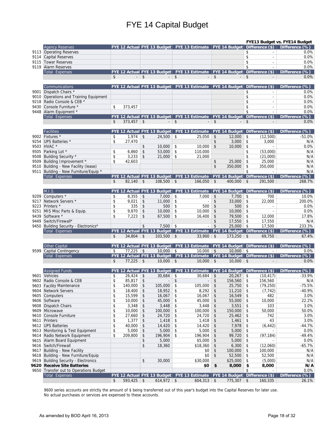## FYE 14 Capital Budget

|              |                                         |          |                 |                   |                             |               |                                                                                          |                               |                                      |            |                             | FYE13 Budget vs. FYE14 Budget                                                                    |
|--------------|-----------------------------------------|----------|-----------------|-------------------|-----------------------------|---------------|------------------------------------------------------------------------------------------|-------------------------------|--------------------------------------|------------|-----------------------------|--------------------------------------------------------------------------------------------------|
|              | Agency Reserves                         |          |                 |                   |                             |               |                                                                                          |                               |                                      |            |                             | FYE 12 Actual FYE 13 Budget   FYE 13 Estimate   FYE 14 Budget   Difference (\$)   Difference (%) |
|              | 9113 Operating Reserves                 |          |                 |                   |                             |               |                                                                                          |                               |                                      | \$         |                             | 0.0%                                                                                             |
| 9114         | <b>Capital Reserves</b>                 |          |                 |                   |                             |               |                                                                                          |                               |                                      | \$         | $\overline{\phantom{a}}$    | 0.0%                                                                                             |
| 9115         | <b>Tower Reserves</b>                   |          |                 |                   |                             |               |                                                                                          |                               |                                      | \$         | $\mathcal{L}_{\mathcal{A}}$ | 0.0%                                                                                             |
| 9119         | Alarm Reserves                          |          |                 |                   |                             |               |                                                                                          |                               |                                      | \$         | ÷                           | 0.0%                                                                                             |
|              | Total Expenses                          |          |                 |                   |                             |               | FYE 12 Actual FYE 13 Budget   FYE 13 Estimate   FYE 14 Budget   Difference (\$)          |                               |                                      |            |                             | Difference (%)                                                                                   |
|              |                                         | \$       |                 | $-$ \$            |                             | $-$ \$        |                                                                                          | $-$ \$                        | $\overline{\phantom{0}}$             | \$         |                             | 0.0%                                                                                             |
|              | Communications                          |          |                 |                   |                             |               | FYE 12 Actual FYE 13 Budget FYE 13 Estimate FYE 14 Budget Difference (\$)                |                               |                                      |            |                             | Difference (%)                                                                                   |
|              | 9001 Dispatch Chairs *                  |          |                 |                   |                             |               |                                                                                          |                               |                                      | \$         |                             | 0.0%                                                                                             |
|              | 9010 Operations and Training Equipment  |          |                 |                   |                             |               |                                                                                          |                               |                                      | \$         | ÷.                          | 0.0%                                                                                             |
| 9218         | Radio Console & CEB *                   |          |                 |                   |                             |               |                                                                                          |                               |                                      | \$         | ٠                           | 0.0%                                                                                             |
|              | 9430 Console Furniture *                | \$       | 373,457         |                   |                             |               |                                                                                          |                               |                                      | \$         | ÷.                          | 0.0%                                                                                             |
| 9448         | Alarm Equipment *                       |          |                 |                   |                             |               |                                                                                          |                               |                                      | \$         | $\omega$                    | 0.0%                                                                                             |
|              | Total Expenses                          |          |                 |                   |                             |               | FYE 12 Actual FYE 13 Budget FYE 13 Estimate FYE 14 Budget                                |                               |                                      |            | Difference (\$)             | Difference (%)                                                                                   |
|              |                                         | \$       | $373,457$ \$    |                   |                             | -   \$        |                                                                                          | \$                            |                                      | \$         |                             | 0.0%                                                                                             |
|              |                                         |          |                 |                   |                             |               |                                                                                          |                               |                                      |            |                             |                                                                                                  |
| 9002         | Facilities<br>Fixtures *                | \$       | 1,974           | \$                | 24,500                      | $\sqrt{2}$    | FYE 12 Actual FYE 13 Budget FYE 13 Estimate FYE 14 Budget Difference (\$)<br>25,050      | \$                            | 12,000                               | \$         | (12,500)                    | Difference (%)<br>$-51.0%$                                                                       |
| 9254         | UPS Batteries *                         | \$       | 27,470          |                   |                             |               |                                                                                          | \$                            | 3,000                                | \$         | 3,000                       | N/A                                                                                              |
| 9503         | HVAC *                                  |          |                 | \$                | 10,000                      | \$            | 10,000                                                                                   | \$                            | 10,000                               | \$         |                             | 0.0%                                                                                             |
| 9505         | Parking Lot *                           | \$       | 6,860           | \$                | 53,000                      | $\sqrt{2}$    | 110,000                                                                                  |                               |                                      | \$         | (53,000)                    | N/A                                                                                              |
| 9508         | Building Security *                     | \$       | 3,233           | \$                | 21,000                      | $\sqrt{2}$    | 21,000                                                                                   |                               |                                      | \$         | (21,000)                    | N/A                                                                                              |
| 9509         | Building Improvement *                  | \$       | 42,603          |                   |                             |               |                                                                                          | \$                            | 25,000                               | \$         | 25,000                      | N/A                                                                                              |
|              | 9510 Building - New Facility (lease)    |          |                 |                   |                             |               |                                                                                          | \$                            | 350,000                              | \$         | 350,000                     | N/A                                                                                              |
| 9511         | Building - New Furniture/Equip *        |          |                 |                   |                             |               |                                                                                          |                               |                                      | \$         | $\sim$                      | N/A                                                                                              |
|              | Total Expenses                          |          |                 |                   |                             |               | FYE 12 Actual FYE 13 Budget   FYE 13 Estimate                                            |                               | <b>FYE 14 Budget Difference (\$)</b> |            |                             | Difference (%)                                                                                   |
|              |                                         | \$       | $82,140$ \$     |                   | $108,500$ \$                |               | $166,050$ \$                                                                             |                               | $400.000$ \$                         |            | 291.500                     | 268.7%                                                                                           |
|              |                                         |          |                 |                   |                             |               |                                                                                          |                               |                                      |            |                             |                                                                                                  |
|              | M.I.S.                                  |          |                 |                   | FYE 12 Actual FYE 13 Budget |               | FYE 13 Estimate                                                                          |                               | $ $ FYE 14 Budget Difference (\$)    |            |                             | Difference (%)                                                                                   |
|              | 9209 Computers *                        | \$       | 8.355           | $\vert$ \$        | $7,000$ \ \$                |               | 7,000                                                                                    | $\sqrt[6]{}$                  | 7,700                                | \$         | 700                         | 10.0%                                                                                            |
| 9217         | Network Servers *                       | \$       | 9,021           | $\sqrt{2}$        | 11,000                      | \$            | ÷.                                                                                       | \$                            | 33,000                               | \$         | 22,000                      | 200.0%                                                                                           |
|              | 9223 Printers *                         | \$<br>\$ | 335             | $\sqrt{2}$        | 500                         | \$            | 500                                                                                      | \$                            | 500                                  | \$         |                             | 0.0%                                                                                             |
| 9251         | MIS Misc Parts & Equip.                 | \$       | 9,870<br>7,223  | \$<br>\$          | 10,000                      | \$<br>\$      | 10,000                                                                                   | \$<br>$\sqrt[6]{\frac{1}{2}}$ | 10,000                               | \$<br>\$   |                             | 0.0%<br>17.8%                                                                                    |
| 9439<br>9449 | Software *<br>Switch/Firewall*          |          |                 |                   | 67,500                      |               | 16,400                                                                                   | \$                            | 79,500<br>17,550                     | \$         | 12,000<br>17,550            | N/A                                                                                              |
|              | 9450 Building Security - Electronics*   |          |                 | \$                | $7,500$ \$                  |               |                                                                                          | $$\mathfrak{s}$$              | 25,000                               | $\sqrt{2}$ | 17,500                      | 233.3%                                                                                           |
|              | Total Expenses                          |          |                 |                   |                             |               |                                                                                          |                               |                                      |            |                             | FYE 12 Actual FYE 13 Budget FYE 13 Estimate FYE 14 Budget Difference (\$) Difference (%)         |
|              |                                         | \$       | $34,804$ \$     |                   | $103,500$ \$                |               | 33,900                                                                                   | \$                            | $173,250$ \$                         |            | 69,750                      | 67.4%                                                                                            |
|              |                                         |          |                 |                   |                             |               |                                                                                          |                               |                                      |            |                             |                                                                                                  |
|              | Other Capital                           |          |                 |                   |                             |               | FYE 12 Actual FYE 13 Budget FYE 13 Estimate FYE 14 Budget Difference (\$)                |                               |                                      |            |                             | Difference (%)                                                                                   |
| 9599         | Capital Contingency                     | \$       | $77,225$ \$     |                   | $10,000$ \$                 |               | $10,000$ \$                                                                              |                               | $10,000$ \$                          |            |                             | 0.0%                                                                                             |
|              | Total Expenses                          | \$       | $77,225$ \$     |                   | $10,000$ \$                 |               | FYE 12 Actual FYE 13 Budget FYE 13 Estimate FYE 14 Budget Difference (\$)<br>$10,000$ \$ |                               | $10,000$ \$                          |            |                             | Difference (%)<br>0.0%                                                                           |
|              |                                         |          |                 |                   |                             |               |                                                                                          |                               |                                      |            |                             |                                                                                                  |
|              | <b>Assigned Funds</b>                   |          |                 |                   |                             |               | FYE 12 Actual FYE 13 Budget FYE 13 Estimate FYE 14 Budget Difference (\$)                |                               |                                      |            |                             | Difference (%)                                                                                   |
| 9601         | Vehicles                                | \$       | 26,424          | \$                | 30,684                      | \$            | 30.684                                                                                   | \$                            | 20,267                               | \$         | (10, 417)                   | $-33.9%$                                                                                         |
|              | 9602 Radio Console & CEB                | \$       | 85,817          | \$                | $\overline{a}$              | \$            | $\overline{\phantom{a}}$                                                                 | \$                            | 156,560                              | \$         | 156,560                     | N/A                                                                                              |
|              | 9603 Facility Maintenance               | \$       | 140,000         | $\vert$ \$        | $105,000$ \$                |               | 105,000                                                                                  | \$                            | $25,750$ \$                          |            | (79, 250)                   | $-75.5%$                                                                                         |
|              | 9604 Network Servers                    | \$       | 18,400          | \$                | 18,952                      | $\sqrt[6]{2}$ | 8,292                                                                                    | \$                            | 11,210                               | \$         | (7, 742)                    | $-40.9%$                                                                                         |
|              | 9605 Computers                          | \$       | 15,599          | \$                | 16,067                      | \$            | 16,067                                                                                   | \$                            | 16,549                               | \$         | 482                         | 3.0%                                                                                             |
|              | 9606 Software                           | \$       | $10,000$ \$     |                   | 45,000                      | \$            | 45,000                                                                                   | \$                            | 55,000                               | \$         | 10,000                      | 22.2%                                                                                            |
|              | 9608 Dispatch Chairs                    | \$       |                 |                   | 3,448                       | \$            | 3,448                                                                                    | \$                            | 3,551                                | \$         | 103                         | 3.0%                                                                                             |
|              | 9609 Microwave                          | \$<br>\$ | 10,000          | \$                | 100,000                     | \$            | 100,000                                                                                  | \$                            | 150,000                              | \$         | 50,000                      | 50.0%                                                                                            |
|              | 9610 Console Furniture<br>9611 Printers | \$       | 27,660<br>1,377 | $\ddot{\$}$<br>\$ | 24,720<br>1,418             | \$<br>\$      | 24,720<br>1,418                                                                          | \$                            | 25,462<br>1,461                      | \$<br>\$   | 742<br>43                   | 3.0%<br>3.0%                                                                                     |
|              | 9612 UPS Batteries                      | \$       | 40,000          | $\sqrt{2}$        | 14,420                      | \$            | 14,420                                                                                   | \$<br>\$                      | 7,978                                | \$         | (6, 442)                    | $-44.7%$                                                                                         |
|              | 9613 Monitoring & Test Equipment        | \$       | 5,000           | $\sqrt{3}$        | 5,000                       | \$            | 5,000                                                                                    | $\frac{1}{2}$                 | 5,000                                | \$         |                             | 0.0%                                                                                             |
| 9614         | Radio Network Equipment                 | \$       | 209,800         | \$                | 196,904                     | \$            | 196,904                                                                                  | \$                            | 99,720                               | \$         | (97, 184)                   | $-49.4%$                                                                                         |
|              | 9615 Alarm Board Equipment              |          |                 | \$                | 5,000                       |               | \$5,000                                                                                  | \$                            | 5,000                                | \$         |                             | 0.0%                                                                                             |
|              | 9616 Switch/Firewall                    |          |                 | \$                | 18,360                      |               | \$18,360                                                                                 | \$                            | 6,300                                | \$         | (12,060)                    | $-65.7%$                                                                                         |
|              | 9617 Building - New Facility            |          |                 |                   |                             |               | \$0                                                                                      | \$                            | 100,000                              | \$         | 100,000                     | N/A                                                                                              |
|              | 9618 Building - New Furniture/Equip     |          |                 |                   |                             |               | \$0                                                                                      | \$                            | 52,500                               | \$         | 52,500                      | N/A                                                                                              |
|              | 9619 Building Security - Electronics    |          |                 | \$                | 30,000                      |               | \$30,000                                                                                 |                               | \$25,000                             | \$         | (5,000)                     | N/A                                                                                              |
|              | 9620 Receive Site Batteries             |          |                 |                   |                             |               | \$0                                                                                      | \$                            | 8,000                                | \$         | 8,000                       | N/A                                                                                              |
|              | 9650 Transfer out to Operations Budget  |          |                 |                   |                             |               |                                                                                          |                               |                                      | \$         |                             | 0.0%                                                                                             |
|              | Total Expenses                          |          |                 |                   |                             |               |                                                                                          |                               |                                      |            |                             | FYE 12 Actual FYE 13 Budget FYE 13 Estimate FYE 14 Budget Difference (\$) Difference (%)         |
|              |                                         | \$       | $593,425$ \$    |                   | $614,972$ \$                |               | $604,313$ \$                                                                             |                               | $775,307$ \$                         |            | 160,335                     | 26.1%                                                                                            |

9600 series accounts are strictly the amount of \$ being transferred out of this year's budget into the Capital Reserves for later use. No actual purchases or services are expensed to these accounts.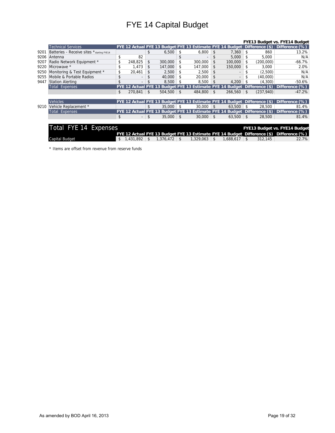## FYE 14 Capital Budget

|      |                                            |                 |                |           |    |                                                                           |     |           |                |                 | FYE13 Budget vs. FYE14 Budget |
|------|--------------------------------------------|-----------------|----------------|-----------|----|---------------------------------------------------------------------------|-----|-----------|----------------|-----------------|-------------------------------|
|      | <b>Technical Services</b>                  |                 |                |           |    | FYE 12 Actual FYE 13 Budget FYE 13 Estimate FYE 14 Budget Difference (\$) |     |           |                |                 | Difference (%)                |
| 9201 | Batteries - Receive sites * starting FYE14 |                 | \$             | 6,500     | \$ | 6,800                                                                     | \$  | 7,360     | \$             | 860             | 13.2%                         |
| 9206 | Antenna                                    | \$<br>82        |                |           | \$ |                                                                           | \$  | 5,000     | \$             | 5,000           | N/A                           |
| 9207 | Radio Network Equipment *                  | 248,825         | \$             | 300,000   | \$ | 300,000                                                                   | \$  | 100,000   | \$             | (200,000)       | $-66.7%$                      |
| 9220 | Microwave *                                | \$<br>1,473     | \$             | 147,000   | \$ | 147,000                                                                   | \$. | 150,000   | \$             | 3,000           | 2.0%                          |
| 9250 | Monitoring & Test Equipment *              | \$<br>20,461    | \$             | 2.500     | \$ | 2.500                                                                     | \$  |           | \$             | (2,500)         | N/A                           |
| 9255 | Mobile & Portable Radios                   | \$              | \$             | 40,000    | \$ | 20,000                                                                    |     |           |                | (40,000)        | N/A                           |
| 9447 | <b>Station Alerting</b>                    | \$              |                | 8,500     | \$ | 8,500                                                                     | \$  | 4.200     |                | (4,300)         | $-50.6%$                      |
|      | Total Expenses                             | Actual          |                |           |    | <b>Budget FYE 13 Estimate FYE 14 Budget</b>                               |     |           |                | Difference (\$) | Difference (%)                |
|      |                                            | \$<br>270,841   | $\mathfrak{L}$ | 504,500   | \$ | 484,800                                                                   | \$  | 266,560   | \$             | (237, 940)      | $-47.2%$                      |
|      |                                            |                 |                |           |    |                                                                           |     |           |                |                 |                               |
|      | <b>Vehicles</b>                            |                 |                |           |    | FYE 12 Actual FYE 13 Budget FYE 13 Estimate FYE 14 Budget Difference (\$) |     |           |                |                 | Difference (%)                |
| 9210 | Vehicle Replacement *                      |                 | \$             | 35,000    | S  | 30.000                                                                    | \$  | 63,500    | \$             | 28.500          | 81.4%                         |
|      | <b>Total Expenses</b>                      |                 |                |           |    | FYE 12 Actual FYE 13 Budget FYE 13 Estimate FYE 14 Budget Difference (\$) |     |           |                |                 | Difference (%)                |
|      |                                            | \$              | \$             | 35,000    | \$ | $30,000$ \$                                                               |     | 63,500    | \$             | 28,500          | 81.4%                         |
|      |                                            |                 |                |           |    |                                                                           |     |           |                |                 |                               |
|      | Total FYE 14 Expenses                      |                 |                |           |    |                                                                           |     |           |                |                 | FYE13 Budget vs. FYE14 Budget |
|      |                                            |                 |                |           |    | FYE 12 Actual FYE 13 Budget FYE 13 Estimate FYE 14 Budget Difference (\$) |     |           |                |                 | Difference (%)                |
|      | <b>Capital Budget</b>                      | \$<br>1,431,892 | \$             | 1,376,472 | \$ | 1,329,063                                                                 | \$  | 1,688,617 | $\mathfrak{L}$ | 312.145         | 22.7%                         |

\* Items are offset from revenue from reserve funds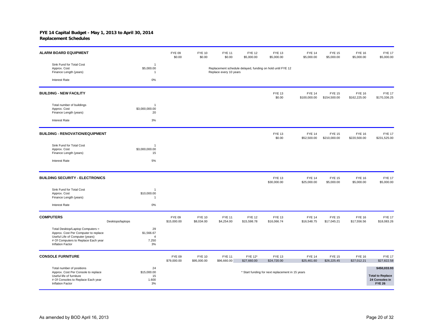| <b>ALARM BOARD EQUIPMENT</b>                                                                                                                                                  |                                                   | <b>FYE 09</b><br>\$0.00      | <b>FYE 10</b><br>\$0.00      | <b>FYE 11</b><br>\$0.00      | <b>FYE 12</b><br>\$5,000.00  | <b>FYE 13</b><br>\$5,000.00                                | <b>FYE 14</b><br>\$5,000.00   | <b>FYE 15</b><br>\$5,000.00   | <b>FYE 16</b><br>\$5,000.00   | <b>FYE 17</b><br>\$5,000.00                                                |
|-------------------------------------------------------------------------------------------------------------------------------------------------------------------------------|---------------------------------------------------|------------------------------|------------------------------|------------------------------|------------------------------|------------------------------------------------------------|-------------------------------|-------------------------------|-------------------------------|----------------------------------------------------------------------------|
| Sink Fund for Total Cost<br>Approx. Cost<br>Finance Length (years)                                                                                                            | 1<br>\$5,000.00<br>$\overline{1}$                 |                              |                              | Replace every 10 years       |                              | Replacement schedule delayed, funding on hold until FYE 12 |                               |                               |                               |                                                                            |
| <b>Interest Rate</b>                                                                                                                                                          | 0%                                                |                              |                              |                              |                              |                                                            |                               |                               |                               |                                                                            |
| <b>BUILDING - NEW FACILITY</b>                                                                                                                                                |                                                   |                              |                              |                              |                              | <b>FYE 13</b><br>\$0.00                                    | <b>FYE 14</b><br>\$100,000.00 | <b>FYE 15</b><br>\$154,500.00 | <b>FYE 16</b><br>\$162,225.00 | <b>FYE 17</b><br>\$170,336.25                                              |
| Total number of buildings<br>Approx. Cost<br>Finance Length (years)                                                                                                           | $\overline{1}$<br>\$3,000,000.00<br>20            |                              |                              |                              |                              |                                                            |                               |                               |                               |                                                                            |
| <b>Interest Rate</b>                                                                                                                                                          | 3%                                                |                              |                              |                              |                              |                                                            |                               |                               |                               |                                                                            |
| <b>BUILDING - RENOVATION/EQUIPMENT</b>                                                                                                                                        |                                                   |                              |                              |                              |                              | <b>FYE 13</b><br>\$0.00                                    | <b>FYE 14</b><br>\$52,500.00  | <b>FYE 15</b><br>\$210,000.00 | <b>FYE 16</b><br>\$220,500.00 | <b>FYE 17</b><br>\$231,525.00                                              |
| Sink Fund for Total Cost<br>Approx. Cost<br>Finance Length (years)                                                                                                            | $\overline{1}$<br>\$3,000,000.00<br>15            |                              |                              |                              |                              |                                                            |                               |                               |                               |                                                                            |
| <b>Interest Rate</b>                                                                                                                                                          | 5%                                                |                              |                              |                              |                              |                                                            |                               |                               |                               |                                                                            |
| <b>BUILDING SECURITY - ELECTRONICS</b>                                                                                                                                        |                                                   |                              |                              |                              |                              | <b>FYE 13</b><br>\$30,000.00                               | <b>FYE 14</b><br>\$25,000.00  | <b>FYE 15</b><br>\$5,000.00   | <b>FYE 16</b><br>\$5,000.00   | <b>FYE 17</b><br>\$5,000.00                                                |
| Sink Fund for Total Cost<br>Approx. Cost<br>Finance Length (years)                                                                                                            | 1<br>\$10,000.00<br>$\overline{1}$                |                              |                              |                              |                              |                                                            |                               |                               |                               |                                                                            |
| <b>Interest Rate</b>                                                                                                                                                          | 0%                                                |                              |                              |                              |                              |                                                            |                               |                               |                               |                                                                            |
| <b>COMPUTERS</b>                                                                                                                                                              | Desktops/laptops                                  | <b>FYE 09</b><br>\$15,000.00 | <b>FYE 10</b><br>\$8,034.00  | <b>FYE 11</b><br>\$4,254.00  | <b>FYE 12</b><br>\$15,598.78 | <b>FYE 13</b><br>\$16,066.74                               | <b>FYE 14</b><br>\$16,548.75  | <b>FYE 15</b><br>\$17,045.21  | <b>FYE 16</b><br>\$17,556.56  | <b>FYE 17</b><br>\$18,083.26                                               |
| Total Desktop/Laptop Computers =<br>Approx. Cost Per Computer to replace<br>Useful Life of Computer (years)<br># Of Computers to Replace Each year<br><b>Inflation Factor</b> | 29<br>\$1,566.67<br>$\overline{4}$<br>7.250<br>3% |                              |                              |                              |                              |                                                            |                               |                               |                               |                                                                            |
| <b>CONSOLE FURNITURE</b>                                                                                                                                                      |                                                   | <b>FYE 09</b><br>\$79,000.00 | <b>FYE 10</b><br>\$95,000.00 | <b>FYE 11</b><br>\$96,660.00 | FYE 12*<br>\$27,660.00       | <b>FYE 13</b><br>\$24,720.00                               | <b>FYE 14</b><br>\$25,461.60  | <b>FYE 15</b><br>\$26,225.45  | <b>FYE 16</b><br>\$27,012.21  | <b>FYE 17</b><br>\$27,822.58                                               |
| Total number of positions<br>Approx. Cost Per Console to replace<br>Useful life of furniture<br># Of Consoles to Replace Each year<br>Inflation Factor                        | 24<br>\$15,000.00<br>15<br>1.600<br>3%            |                              |                              |                              |                              | * Start funding for next replacement in 15 years           |                               |                               |                               | \$450,033.93<br><b>Total to Replace</b><br>24 Consoles in<br><b>FYE 26</b> |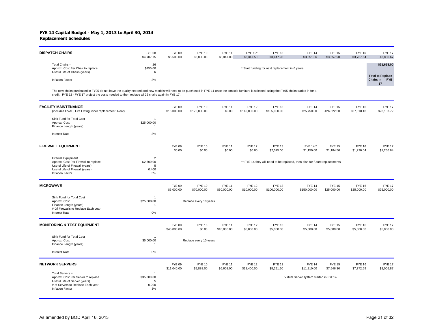| <b>DISPATCH CHAIRS</b>                                                               | <b>FYE 08</b><br>\$4,707.75 | <b>FYE 09</b><br>\$5,500.00 | <b>FYE 10</b><br>\$3,800.00 | <b>FYE 11</b><br>\$8,847.00 | FYE 12*<br>\$3,347.50 | <b>FYE 13</b><br>\$3,447.93                     | <b>FYE 14</b><br>\$3,551.36 | <b>FYE 15</b><br>\$3,657.90 | <b>FYE 16</b><br>\$3,767.64 | <b>FYE 17</b><br>\$3,880.67                               |
|--------------------------------------------------------------------------------------|-----------------------------|-----------------------------|-----------------------------|-----------------------------|-----------------------|-------------------------------------------------|-----------------------------|-----------------------------|-----------------------------|-----------------------------------------------------------|
| Total Chairs =<br>Approx. Cost Per Chair to replace<br>Useful Life of Chairs (years) | 26<br>\$750.00              |                             |                             |                             |                       | * Start funding for next replacement in 6 years |                             |                             |                             | \$21,653.00                                               |
| Inflation Factor                                                                     | 3%                          |                             |                             |                             |                       |                                                 |                             |                             |                             | <b>Total to Replace</b><br><b>FYE</b><br><b>Chairs in</b> |

The new chairs purchased in FY05 do not have the quality needed and new models will need to be purchased in FYE 11 once the console furniture is selected, using the FY05 chairs traded in for a<br>credit. FYE 12 - FYE 17 proje

| <b>FACILITY MAINTENANCE</b><br>(includes HVAC, Fire Extinguisher replacement, Roof)                                                                         |                                                       | <b>FYE 09</b><br>\$15,000.00 | <b>FYE 10</b><br>\$175,000.00 | <b>FYE 11</b><br>\$0.00      | <b>FYE 12</b><br>\$140,000.00 | <b>FYE 13</b><br>\$105,000.00 | <b>FYE 14</b><br>\$25,750.00                                               | <b>FYE 15</b><br>\$26,522.50 | <b>FYE 16</b><br>\$27,318.18 | <b>FYE 17</b><br>\$28,137.72 |
|-------------------------------------------------------------------------------------------------------------------------------------------------------------|-------------------------------------------------------|------------------------------|-------------------------------|------------------------------|-------------------------------|-------------------------------|----------------------------------------------------------------------------|------------------------------|------------------------------|------------------------------|
| Sink Fund for Total Cost<br>Approx. Cost<br>Finance Length (years)                                                                                          | $\overline{1}$<br>\$25,000.00<br>-1                   |                              |                               |                              |                               |                               |                                                                            |                              |                              |                              |
| <b>Interest Rate</b>                                                                                                                                        | 3%                                                    |                              |                               |                              |                               |                               |                                                                            |                              |                              |                              |
| <b>FIREWALL EQUIPMENT</b>                                                                                                                                   |                                                       | <b>FYE 09</b><br>\$0.00      | <b>FYE 10</b><br>\$0.00       | <b>FYE 11</b><br>\$0.00      | <b>FYE 12</b><br>\$0.00       | <b>FYE 13</b><br>\$2,575.00   | FYE 14**<br>\$1,150.00                                                     | <b>FYE 15</b><br>\$1,184.50  | <b>FYE 16</b><br>\$1,220.04  | <b>FYE 17</b><br>\$1,256.64  |
| <b>Firewall Equipment</b><br>Approx. Cost Per Firewall to replace<br>Useful Life of Firewall (years)<br>Useful Life of Firewall (years)<br>Inflation Factor | $\overline{2}$<br>\$2,500.00<br>5<br>0.400<br>3%      |                              |                               |                              |                               |                               | ** FYE 14 they will need to be replaced, then plan for future replacements |                              |                              |                              |
| <b>MICROWAVE</b>                                                                                                                                            |                                                       | <b>FYE 09</b><br>\$5,000.00  | <b>FYE 10</b><br>\$70,000.00  | <b>FYE 11</b><br>\$30,000.00 | <b>FYE 12</b><br>\$10,000.00  | <b>FYE 13</b><br>\$100,000.00 | <b>FYE 14</b><br>\$150,000.00                                              | <b>FYE 15</b><br>\$25,000.00 | <b>FYE 16</b><br>\$25,000.00 | <b>FYE 17</b><br>\$25,000.00 |
| Sink Fund for Total Cost<br>Approx. Cost<br>Finance Length (years)<br># Of Firewalls to Replace Each year<br><b>Interest Rate</b>                           | $\overline{1}$<br>\$25,000.00<br>$\overline{1}$<br>0% |                              | Replace every 10 years        |                              |                               |                               |                                                                            |                              |                              |                              |
| <b>MONITORING &amp; TEST EQUIPMENT</b>                                                                                                                      |                                                       | <b>FYE 09</b><br>\$45,000.00 | <b>FYE 10</b><br>\$0.00       | <b>FYE 11</b><br>\$18,000.00 | <b>FYE 12</b><br>\$5,000.00   | <b>FYE 13</b><br>\$5,000.00   | <b>FYE 14</b><br>\$5,000.00                                                | <b>FYE 15</b><br>\$5,000.00  | <b>FYE 16</b><br>\$5,000.00  | <b>FYE 17</b><br>\$5,000.00  |
| Sink Fund for Total Cost<br>Approx. Cost<br>Finance Length (years)                                                                                          | $\overline{1}$<br>\$5,000.00<br>$\overline{1}$        |                              | Replace every 10 years        |                              |                               |                               |                                                                            |                              |                              |                              |
| <b>Interest Rate</b>                                                                                                                                        | 0%                                                    |                              |                               |                              |                               |                               |                                                                            |                              |                              |                              |
| <b>NETWORK SERVERS</b>                                                                                                                                      |                                                       | <b>FYE 09</b><br>\$11,040.00 | <b>FYE 10</b><br>\$9,888.00   | <b>FYE 11</b><br>\$6,608.00  | <b>FYE 12</b><br>\$18,400.00  | <b>FYE 13</b><br>\$8,291.50   | <b>FYE 14</b><br>\$11,210.00                                               | <b>FYE 15</b><br>\$7,546.30  | <b>FYE 16</b><br>\$7,772.69  | <b>FYE 17</b><br>\$8,005.87  |
| Total Servers =<br>Approx. Cost Per Server to replace<br>Useful Life of Server (years)<br># of Servers to Replace Each year<br><b>Inflation Factor</b>      | $\overline{1}$<br>\$35,000.00<br>5<br>0.200<br>3%     |                              |                               |                              |                               |                               | Virtual Server system started in FYE14                                     |                              |                              |                              |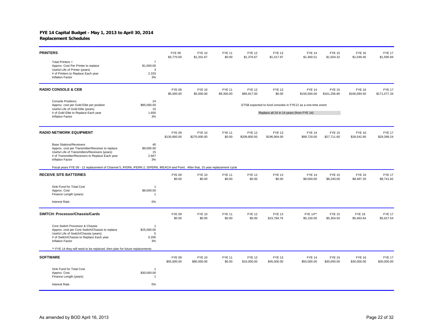| <b>PRINTERS</b>                                                                                                                                                                                            |                                                  | <b>FYE 09</b><br>\$3,770.00   | <b>FYE 10</b><br>\$1,201.67   | <b>FYE 11</b><br>\$0.00     | <b>FYE 12</b><br>\$1,376.67   | <b>FYE 13</b><br>\$1,417.97              | <b>FYE 14</b><br>\$1,460.51                                 | <b>FYE 15</b><br>\$1,504.32   | <b>FYE 16</b><br>\$1,549.45   | <b>FYE 17</b><br>\$1,595.94   |
|------------------------------------------------------------------------------------------------------------------------------------------------------------------------------------------------------------|--------------------------------------------------|-------------------------------|-------------------------------|-----------------------------|-------------------------------|------------------------------------------|-------------------------------------------------------------|-------------------------------|-------------------------------|-------------------------------|
| Total Printers $=$<br>Approx. Cost Per Printer to replace<br>Useful Life of Printer (years)<br># of Printers to Replace Each year<br>Inflation Factor                                                      | $\overline{7}$<br>\$1,000.00<br>3<br>2.333<br>3% |                               |                               |                             |                               |                                          |                                                             |                               |                               |                               |
| <b>RADIO CONSOLE &amp; CEB</b>                                                                                                                                                                             |                                                  | <b>FYE 09</b><br>\$5,000.00   | <b>FYE 10</b><br>\$5,000.00   | <b>FYE 11</b><br>\$9,300.00 | <b>FYE 12</b><br>\$85,817.00  | <b>FYE 13</b><br>\$0.00                  | <b>FYE 14</b><br>\$156,560.00                               | <b>FYE 15</b><br>\$161,256.80 | <b>FYE 16</b><br>\$166,094.50 | <b>FYE 17</b><br>\$171,077.34 |
| <b>Console Positions</b><br>Approx. cost per Gold Elite per position<br>Useful Life of Gold Elite (years)<br># of Gold Elite to Replace Each year<br><b>Inflation Factor</b>                               | 24<br>\$95,000.00<br>15<br>1.600<br>3%           |                               |                               |                             |                               | Replace all 24 in 14 years (from FYE 14) | ETSB expected to fund consoles in FYE12 as a one-time event |                               |                               |                               |
| <b>RADIO NETWORK EQUIPMENT</b>                                                                                                                                                                             |                                                  | <b>FYE 09</b><br>\$130,800.00 | <b>FYE 10</b><br>\$270,000.00 | <b>FYE 11</b><br>\$0.00     | <b>FYE 12</b><br>\$209,800.00 | <b>FYE 13</b><br>\$196,904.00            | <b>FYE 14</b><br>\$99,720.00                                | <b>FYE 15</b><br>\$27,711.60  | <b>FYE 16</b><br>\$28,542.95  | <b>FYE 17</b><br>\$29,399.24  |
| <b>Base Stations/Receivers</b><br>Approx. cost per Transmitter/Receiver to replace<br>Useful Life of Transmitters/Receivers (years)<br># of Transmitter/Receivers to Replace Each year<br>Inflation Factor | 40<br>\$9,000.00<br>15<br>2.667<br>3%            |                               |                               |                             |                               |                                          |                                                             |                               |                               |                               |
| Fiscal years FYE 09 - 12 replacement of Channel 5, IFERN, IFERN 2, ISPERN, IREACH and Point. After that, 15 year replacement cycle                                                                         |                                                  |                               |                               |                             |                               |                                          |                                                             |                               |                               |                               |
| <b>RECEIVE SITE BATTERIES</b>                                                                                                                                                                              |                                                  | <b>FYE 09</b><br>\$0.00       | <b>FYE 10</b><br>\$0.00       | <b>FYE 11</b><br>\$0.00     | <b>FYE 12</b><br>\$0.00       | <b>FYE 13</b><br>\$0.00                  | <b>FYE 14</b><br>\$8,000.00                                 | <b>FYE 15</b><br>\$8,240.00   | <b>FYE 16</b><br>\$8,487.20   | <b>FYE 17</b><br>\$8,741.82   |
| Sink Fund for Total Cost<br>Approx. Cost<br>Finance Length (years)                                                                                                                                         | $\overline{1}$<br>\$8,000.00<br>1                |                               |                               |                             |                               |                                          |                                                             |                               |                               |                               |
| Interest Rate                                                                                                                                                                                              | 0%                                               |                               |                               |                             |                               |                                          |                                                             |                               |                               |                               |
| SWITCH: Processor/Chassis/Cards                                                                                                                                                                            |                                                  | <b>FYE 09</b><br>\$0.00       | <b>FYE 10</b><br>\$0.00       | <b>FYE 11</b><br>\$0.00     | <b>FYE 12</b><br>\$0.00       | <b>FYE 13</b><br>\$15,784.75             | FYE 14**<br>\$5,150.00                                      | <b>FYE 15</b><br>\$5,304.50   | <b>FYE 16</b><br>\$5,463.64   | <b>FYE 17</b><br>\$5,627.54   |
| Core Switch Processor & Chassis<br>Approx. cost per Core Switch/Chassis to replace<br>Useful Life of Switch/Chassis (years)<br># of Switch/Chassis to Replace Each year<br>Inflation Factor                | \$25,000.00<br>5<br>0.200<br>3%                  |                               |                               |                             |                               |                                          |                                                             |                               |                               |                               |
| ** FYE 14 they will need to be replaced, then plan for future replacements                                                                                                                                 |                                                  |                               |                               |                             |                               |                                          |                                                             |                               |                               |                               |
| <b>SOFTWARE</b>                                                                                                                                                                                            |                                                  | <b>FYE 09</b><br>\$55,000.00  | <b>FYE 10</b><br>\$80,000.00  | <b>FYE 11</b><br>\$0.00     | <b>FYE 12</b><br>\$10,000.00  | <b>FYE 13</b><br>\$45,000.00             | <b>FYE 14</b><br>\$55,000.00                                | <b>FYE 15</b><br>\$30,000.00  | <b>FYE 16</b><br>\$30,000.00  | <b>FYE 17</b><br>\$30,000.00  |
| Sink Fund for Total Cost<br>Approx. Cost<br>Finance Length (years)                                                                                                                                         | $\overline{1}$<br>\$30,000.00<br>-1              |                               |                               |                             |                               |                                          |                                                             |                               |                               |                               |
| <b>Interest Rate</b>                                                                                                                                                                                       | 0%                                               |                               |                               |                             |                               |                                          |                                                             |                               |                               |                               |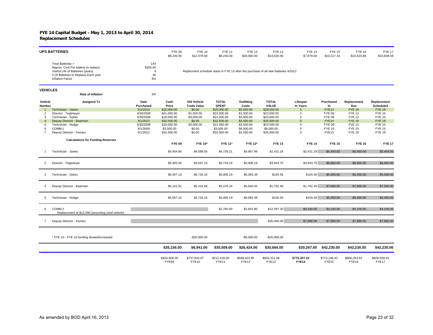|                   | <b>UPS BATTERIES</b>                                                                                                                                    |                                               | <b>FYE 09</b><br>\$8,240.00 | <b>FYE 10</b><br>\$12,978.00             | <b>FYE 11</b><br>\$8,240.00  | <b>FYE 12</b><br>\$40,000.00 | <b>FYE 13</b><br>\$14,420.00                                                        | <b>FYE 14</b><br>\$7,978.00  | <b>FYE 15</b><br>\$10,217.34 | <b>FYE 16</b><br>\$10,523.86 | <b>FYE 17</b><br>\$10,839.58 |
|-------------------|---------------------------------------------------------------------------------------------------------------------------------------------------------|-----------------------------------------------|-----------------------------|------------------------------------------|------------------------------|------------------------------|-------------------------------------------------------------------------------------|------------------------------|------------------------------|------------------------------|------------------------------|
|                   | Total Batteries =<br>Approx. Cost Per battery to replace<br>Useful Life of Batteries (years)<br># Of Batteries to Replace Each year<br>Inflation Factor | 144<br>\$350.00<br>$\overline{4}$<br>36<br>3% |                             |                                          |                              |                              | Replacment schedule starts in FYE 13 after the purchase of all new batteries 4/2012 |                              |                              |                              |                              |
| <b>VEHICLES</b>   | <b>Rate of Inflation</b>                                                                                                                                | 3%                                            |                             |                                          |                              |                              |                                                                                     |                              |                              |                              |                              |
| Vehicle<br>Number | <b>Assigned To</b>                                                                                                                                      | Date<br>Purchased                             | Cash<br>Price               | <b>Old Vehicle</b><br><b>Trade Value</b> | <b>TOTAL</b><br><b>SPENT</b> | Outfitting<br>Costs          | <b>TOTAL</b><br><b>VALUE</b>                                                        | Lifespan<br>In Years         | Purchased<br>In              | Replacement<br>Due           | Replacement<br>Scheduled     |
| $\mathbf{1}$      | Technician - Janiec                                                                                                                                     | 5/1/2013                                      | \$25,000.00                 | \$0.00                                   | \$25,000.00                  | \$3,500.00                   | \$28,500.00                                                                         | 5                            | FYE14                        | <b>FYE 19</b>                | <b>FYE 19</b>                |
| $\overline{2}$    | Director - Tegtmeyer                                                                                                                                    | 4/30/2008                                     | \$21,000.00                 | \$1,000.00                               | \$22,000.00                  | \$1,500.00                   | \$23,500.00                                                                         | 5                            | <b>FYE 08</b>                | <b>FYE 13</b>                | <b>FYE 15</b>                |
| 3                 | Technician - Sykes                                                                                                                                      | 4/30/2008                                     | \$18,000.00                 | \$3,000.00                               | \$21,000.00                  | \$2,500.00                   | \$23,500.00                                                                         | 5                            | <b>FYE 08</b>                | <b>FYE 13</b>                | <b>FYE 15</b>                |
| $\overline{4}$    | Deputy Director - Baarman                                                                                                                               | 5/1/2013                                      | \$32,500.00                 | \$0.00                                   | \$32,500.00                  | \$2,500.00                   | \$35,000.00                                                                         | 5                            | FYE14                        | <b>FYE 19</b>                | <b>FYE 19</b>                |
| 5                 | Technician - Hodge                                                                                                                                      | 4/30/2008                                     | \$18,000.00                 | \$3,000.00                               | \$21,000.00                  | \$2,500.00                   | \$23,500.00                                                                         | 5                            | <b>FYE 08</b>                | <b>FYE 13</b>                | <b>FYE 15</b>                |
| 6                 | COMM-1                                                                                                                                                  | 6/1/2009                                      | \$3,000.00                  | \$0.00                                   | \$3,000.00                   | \$6,000.00                   | \$9,000.00                                                                          | 5                            | <b>FYE 10</b>                | <b>FYE 15</b>                | <b>FYE 15</b>                |
| $\overline{7}$    | Deputy Director - Ferraro                                                                                                                               | 5/1/2012                                      | \$32,500.00                 | \$0.00                                   | \$32,500.00                  | \$2,500.00                   | \$35,000.00                                                                         | 5                            | FYE <sub>13</sub>            | <b>FYE 18</b>                | <b>FYE 18</b>                |
|                   |                                                                                                                                                         |                                               |                             |                                          |                              |                              |                                                                                     |                              |                              |                              |                              |
|                   | <b>Calculations for Funding Reserves</b>                                                                                                                |                                               |                             |                                          |                              |                              |                                                                                     |                              |                              |                              |                              |
|                   |                                                                                                                                                         |                                               | <b>FYE 09</b>               | <b>FYE 10*</b>                           | <b>FYE 11*</b>               | <b>FYE 12*</b>               | <b>FYE 13</b>                                                                       | <b>FYE 14</b>                | <b>FYE 15</b>                | <b>FYE 16</b>                | <b>FYE 17</b>                |
|                   | Technician - Janiec                                                                                                                                     |                                               | \$4,454.90                  | \$4,588.55                               | \$4,726.21                   | \$4,867.99                   | \$2,431.18                                                                          | \$2,431.18                   | \$5,450.00                   | \$5,450.00                   | \$5,450.00                   |
| $\overline{2}$    | Director - Tegtmeyer                                                                                                                                    |                                               | \$5,405.00                  | \$5,567.15                               | \$5,734.16                   | \$5,906.19                   | \$3,943.75                                                                          | \$3,943.75                   | \$6,900.00                   | \$6,900.00                   | \$6,900.00                   |
| 3                 | Technician - Sykes                                                                                                                                      |                                               | \$5,567.15                  | \$5,734.16                               | \$5,906.19                   | \$6,083.38                   | \$104.56                                                                            | \$104.56                     | \$5,450.00                   | \$5,450.00                   | \$5,450.00                   |
| 4                 | Deputy Director - Baarman                                                                                                                               |                                               | \$5,161.81                  | \$5,316.66                               | \$5,476.16                   | \$5,640.45                   | \$1,702.46                                                                          | \$1,702.46                   | \$7,000.00                   | \$7,000.00                   | \$7,000.00                   |
| 5                 | Technician - Hodge                                                                                                                                      |                                               | \$5,567.15                  | \$5,734.16                               | \$5,906.19                   | \$6,083.38                   | \$104.56                                                                            | \$104.56                     | \$5,450.00                   | \$5,450.00                   | \$5,450.00                   |
| 6                 | COMM-1<br>Replacement at \$12,000 (assuming used vehicle)                                                                                               |                                               |                             |                                          | \$2,760.00                   | \$2,842.80                   | \$12,397.20                                                                         | \$4,100.00                   | \$4,100.00                   | \$4,100.00                   | \$4,100.00                   |
| $\overline{7}$    | Deputy Director - Ferraro                                                                                                                               |                                               |                             |                                          |                              |                              | \$35,000.00                                                                         | \$7,880.00                   | \$7,880.00                   | \$7,880.00                   | \$7,880.00                   |
|                   | * FYE 10 - FYE 14 funding slowed/increased                                                                                                              |                                               |                             | $-$20,000.00$                            |                              | $-$5,000.00$                 | $-$25,000.00$                                                                       |                              |                              |                              |                              |
|                   |                                                                                                                                                         |                                               | \$26,156.00                 | \$6,941.00                               | \$30,509.00                  | \$26,424.00                  | \$30,684.00                                                                         |                              | \$20,267.00 \$42,230.00      | \$42,230.00                  | \$42,230.00                  |
|                   |                                                                                                                                                         |                                               | \$404,506.00<br>FYE09       | \$737,842.67<br>FYE10                    | \$212,418.00<br>FYE11        | \$598,423.95<br>FYE12        | \$604,311.89<br>FYE13                                                               | \$775,307.22<br><b>FYE14</b> | \$773,146.42<br>FYE15        | \$800,263.92<br>FYE16        | \$828,559.43<br>FYE17        |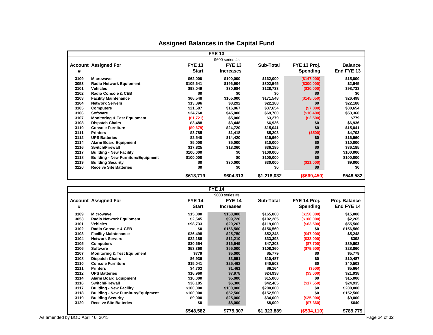|      |                                           |               | <b>FYE 13</b>    |             |                |                |
|------|-------------------------------------------|---------------|------------------|-------------|----------------|----------------|
|      |                                           |               | $9600$ series #s |             |                |                |
|      | <b>Account Assigned For</b>               | <b>FYE 13</b> | <b>FYE 13</b>    | Sub-Total   | FYE 13 Proj.   | <b>Balance</b> |
| #    |                                           | <b>Start</b>  | <b>Increases</b> |             | Spending       | End FYE 13     |
| 3109 | <b>Microwave</b>                          | \$62,000      | \$100,000        | \$162,000   | (\$147,000)    | \$15,000       |
| 3053 | <b>Radio Network Equipment</b>            | \$105,641     | \$196,904        | \$302,545   | (\$300,000)    | \$2,545        |
| 3101 | <b>Vehicles</b>                           | \$98,049      | \$30,684         | \$128,733   | (\$30,000)     | \$98,733       |
| 3102 | <b>Radio Console &amp; CEB</b>            | \$0           | \$0              | \$0         | \$0            | \$0            |
| 3103 | <b>Facility Maintenance</b>               | \$66,548      | \$105,000        | \$171,548   | (\$145,050)    | \$26,498       |
| 3104 | <b>Network Servers</b>                    | \$13,896      | \$8,292          | \$22,188    | \$0            | \$22,188       |
| 3105 | <b>Computers</b>                          | \$21,587      | \$16,067         | \$37,654    | (\$7,000)      | \$30,654       |
| 3106 | <b>Software</b>                           | \$24,760      | \$45,000         | \$69,760    | (\$16,400)     | \$53,360       |
| 3107 | <b>Monitoring &amp; Test Equipment</b>    | (\$1,721)     | \$5,000          | \$3,279     | (\$2,500)      | \$779          |
| 3108 | <b>Dispatch Chairs</b>                    | \$3,488       | \$3,448          | \$6,936     | \$0            | \$6,936        |
| 3110 | <b>Console Furniture</b>                  | (\$9,679)     | \$24,720         | \$15,041    | \$0            | \$15,041       |
| 3111 | <b>Printers</b>                           | \$3,785       | \$1,418          | \$5,203     | (\$500)        | \$4,703        |
| 3112 | <b>UPS Batteries</b>                      | \$2,540       | \$14,420         | \$16,960    | \$0            | \$16,960       |
| 3114 | <b>Alarm Board Equipment</b>              | \$5,000       | \$5,000          | \$10,000    | \$0            | \$10,000       |
| 3116 | Switch/Firewall                           | \$17,825      | \$18,360         | \$36,185    | \$0            | \$36,185       |
| 3117 | <b>Building - New Facility</b>            | \$100,000     | \$0              | \$100,000   | \$0            | \$100,000      |
| 3118 | <b>Building - New Furniture/Equipment</b> | \$100,000     | \$0              | \$100,000   | \$0            | \$100,000      |
| 3119 | <b>Building Security</b>                  | \$0           | \$30,000         | \$30,000    | (\$21,000)     | \$9,000        |
| 3120 | <b>Receive Site Batteries</b>             | \$0           | \$0              | \$0         | \$0            | \$0            |
|      |                                           | \$613,719     | \$604,313        | \$1,218,032 | $($ \$669,450) | \$548,582      |

## **Assigned Balances in the Capital Fund**

|      |                                           |               | <b>FYE 14</b>    |                  |              |               |
|------|-------------------------------------------|---------------|------------------|------------------|--------------|---------------|
|      |                                           |               | 9600 series #s   |                  |              |               |
|      | <b>Account Assigned For</b>               | <b>FYE 14</b> | <b>FYE 14</b>    | <b>Sub-Total</b> | FYE 14 Proj. | Proj. Balance |
| #    |                                           | <b>Start</b>  | <b>Increases</b> |                  | Spending     | End FYE 14    |
| 3109 | <b>Microwave</b>                          | \$15,000      | \$150,000        | \$165,000        | (\$150,000)  | \$15,000      |
| 3053 | <b>Radio Network Equipment</b>            | \$2,545       | \$99,720         | \$102,265        | (\$100,000)  | \$2,265       |
| 3101 | <b>Vehicles</b>                           | \$98,733      | \$20,267         | \$119,000        | ( \$63,500)  | \$55,500      |
| 3102 | <b>Radio Console &amp; CEB</b>            | \$0           | \$156,560        | \$156,560        | \$0          | \$156,560     |
| 3103 | <b>Facility Maintenance</b>               | \$26,498      | \$25,750         | \$52,248         | (\$47,000)   | \$5,248       |
| 3104 | <b>Network Servers</b>                    | \$22,188      | \$11,210         | \$33,398         | (\$33,000)   | \$398         |
| 3105 | <b>Computers</b>                          | \$30,654      | \$16,549         | \$47,203         | (\$7,700)    | \$39,503      |
| 3106 | <b>Software</b>                           | \$53,360      | \$55,000         | \$108,360        | (\$79,500)   | \$28,860      |
| 3107 | <b>Monitoring &amp; Test Equipment</b>    | \$779         | \$5,000          | \$5,779          | \$0          | \$5,779       |
| 3108 | <b>Dispatch Chairs</b>                    | \$6,936       | \$3,551          | \$10,487         | \$0          | \$10,487      |
| 3110 | <b>Console Furniture</b>                  | \$15,041      | \$25,462         | \$40,503         | \$0          | \$40,503      |
| 3111 | <b>Printers</b>                           | \$4,703       | \$1,461          | \$6,164          | (\$500)      | \$5,664       |
| 3112 | <b>UPS Batteries</b>                      | \$16,960      | \$7,978          | \$24,938         | (\$3,000)    | \$21,938      |
| 3114 | <b>Alarm Board Equipment</b>              | \$10,000      | \$5,000          | \$15,000         | \$0          | \$15,000      |
| 3116 | Switch/Firewall                           | \$36,185      | \$6,300          | \$42,485         | (\$17,550)   | \$24,935      |
| 3117 | <b>Building - New Facility</b>            | \$100,000     | \$100,000        | \$200,000        | \$0          | \$200,000     |
| 3118 | <b>Building - New Furniture/Equipment</b> | \$100,000     | \$52,500         | \$152,500        | \$0          | \$152,500     |
| 3119 | <b>Building Security</b>                  | \$9,000       | \$25,000         | \$34,000         | (\$25,000)   | \$9,000       |
| 3120 | <b>Receive Site Batteries</b>             | \$0           | \$8,000          | \$8,000          | (\$7,360)    | \$640         |
|      |                                           | \$548,582     | \$775,307        | \$1,323,889      | (\$534,110)  | \$789,779     |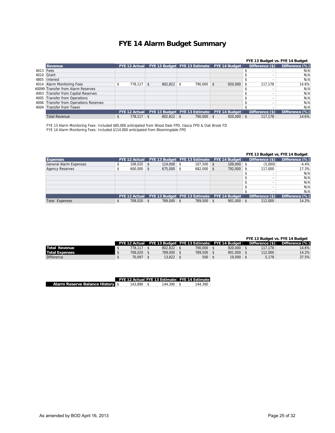## **FYE 14 Alarm Budget Summary**

|           |                                        |                      |         |                               |                      |                   | FYE 13 Budget vs. FYE 14 Budget |
|-----------|----------------------------------------|----------------------|---------|-------------------------------|----------------------|-------------------|---------------------------------|
|           | <b>Revenue</b>                         | <b>FYE 12 Actual</b> |         | FYE 13 Budget FYE 13 Estimate | <b>FYE 14 Budget</b> | Difference $(\$)$ | Difference (%)                  |
| 4013 Fees |                                        |                      |         |                               |                      |                   | N/A                             |
|           | 4010 Grant                             |                      |         |                               |                      |                   | N/A                             |
|           | 4805 Interest                          |                      |         |                               |                      |                   | N/A                             |
|           | 4014 Alarm Monitoring Fees             | $778.117$ \$         | 802,822 | 790,000 \$                    | 920,000              | 117.178           | 14.6%                           |
|           | 40099 Transfer from Alarm Reserves     |                      |         |                               |                      |                   | N/A                             |
|           | 4003 Transfer from Capital Reserves    |                      |         |                               |                      |                   | N/A                             |
| 4005      | Transfer from Operations               |                      |         |                               |                      |                   | N/A                             |
|           | 4006 Transfer from Operations Reserves |                      |         |                               |                      |                   | N/A                             |
|           | 4004 Transfer from Tower               |                      |         |                               |                      |                   | N/A                             |
|           |                                        | <b>FYE 12 Actual</b> |         | FYE 13 Budget FYE 13 Estimate | <b>FYE 14 Budget</b> | Difference (\$)   | Difference (%)                  |
|           | <b>Total Revenue</b>                   | \$<br>$778.117$ \ \$ | 802,822 | 790,000 \$                    | 920,000              | 117.178           | 14.6%                           |

FYE 13 Alarm Monitoring Fees: Included \$85,000 anticipated from Wood Dale FPD, Itasca FPD & Oak Brook FD

FYE 14 Alarm Monitoring Fees: Included \$114,000 anticipated from Bloomingdale FPD

|                               |                      |     |                                      |                |                      |                    | FYE 13 Budget vs. FYE 14 Budget |
|-------------------------------|----------------------|-----|--------------------------------------|----------------|----------------------|--------------------|---------------------------------|
| <b>Expenses</b>               | <b>FYE 12 Actual</b> |     | <b>FYE 13 Budget FYE 13 Estimate</b> |                | FYE 14 Budget        | Difference $(s)$   | Difference (%)                  |
| <b>General Alarm Expenses</b> | 108,020              |     | 114,000                              | $107.500$ \$   | $109,000$ \$         | (5,000)            | $-4.4%$                         |
| <b>Agency Reserves</b>        | 600,000              |     | 675,000                              | $682,000$ \ \$ | 792,000 \$           | 117,000            | 17.3%                           |
|                               |                      |     |                                      |                |                      |                    | N/A                             |
|                               |                      |     |                                      |                |                      |                    | N/A                             |
|                               |                      |     |                                      |                |                      | -                  | N/A                             |
|                               |                      |     |                                      |                |                      |                    | N/A                             |
|                               |                      |     |                                      |                |                      |                    | N/A                             |
|                               | <b>FYE 12 Actual</b> |     | FYE 13 Budget FYE 13 Estimate        |                | <b>FYE 14 Budget</b> | Difference $(\$)\$ | Difference (%)                  |
| <b>Total Expenses</b>         | 708.020              | \$. | 789,000                              | 789,500 \$     | $901,000$ \$         | 112,000            | 14.2%                           |

|                       |         |         |         |                                                           |                   | FYE 13 Budget vs. FYE 14 Budget |
|-----------------------|---------|---------|---------|-----------------------------------------------------------|-------------------|---------------------------------|
|                       |         |         |         | FYE 12 Actual FYE 13 Budget FYE 13 Estimate FYE 14 Budget | Difference $(\$)$ | Difference (%)                  |
| Total Revenue         | 778.117 | 802.822 | 790.000 | 920,000                                                   | 117.178           | 14.6%                           |
| <b>Total Expenses</b> | 708.020 | 789,000 | 789.500 | 901.000                                                   | 112,000           | 14.2%                           |
| <b>Difference</b>     | 70.097  | 13.822  | 500     | 19,000                                                    | 5.178             | 37.5%                           |

|                                      |               | <b>FYE 12 Actual FYE 13 Estimate FYE 14 Estimate</b> |         |
|--------------------------------------|---------------|------------------------------------------------------|---------|
| <b>Alarm Reserve Balance History</b> | $143.890 \pm$ | $144.390 \pm$                                        | 144.390 |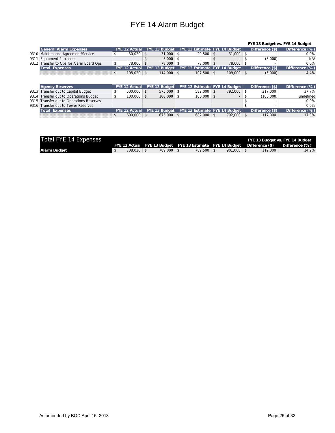## FYE 14 Alarm Budget

#### **FYE 13 Budget vs. FYE 14 Budget**

| <b>General Alarm Expenses</b>            |                |                | FYE 12 Actual FYE 13 Budget FYE 13 Estimate FYE 14 Budget |         | Difference $(\$)$ | Difference $(\%)$ |
|------------------------------------------|----------------|----------------|-----------------------------------------------------------|---------|-------------------|-------------------|
| 9310 Maintenance Agreement/Service       | $30.020$ \$    | $31.000$ \ \$  | 29.500                                                    | 31.000  |                   | $0.0\%$           |
| 9311 Equipment Purchases                 |                | $5.000$ \ \$   | $\overline{\phantom{a}}$                                  |         | (5.000)           | N/A               |
| 9312 Transfer to Ops for Alarm Board Ops | $78.000$ \ \$  | 78,000 \$      | 78.000 \$                                                 | 78,000  |                   | 0.0%              |
| Total Expenses                           |                |                | FYE 12 Actual FYE 13 Budget FYE 13 Estimate FYE 14 Budget |         | Difference $(\$)$ | Difference $(\%)$ |
|                                          | $108.020$ \ \$ | $114.000$ \ \$ | $107.500$ \$                                              | 109,000 | (5,000)           | $-4.4%$           |

| <b>Agency Reserves</b>                   |                |                | FYE 12 Actual FYE 13 Budget FYE 13 Estimate FYE 14 Budget |            | Difference $(\$)$ | Difference (%) |
|------------------------------------------|----------------|----------------|-----------------------------------------------------------|------------|-------------------|----------------|
| 9313 Transfer out to Capital Budget      | $500.000$ \$   | $575.000$ \$   | $582.000$ \ \$                                            | 792.000 \$ | 217,000           | 37.7%          |
| 9314 Transfer out to Operations Budget   | $100.000$ \$   | $100.000$ \ \$ | $100.000$ \ \$                                            |            | (100.000)         | undefined      |
| 9315 Transfer out to Operations Reserves |                |                |                                                           |            |                   | 0.0%           |
| 9316 Transfer out to Tower Reserves      |                |                |                                                           |            |                   | 0.0%           |
| <b>Total Expenses</b>                    |                |                | FYE 12 Actual FYE 13 Budget FYE 13 Estimate FYE 14 Budget |            | Difference $(\$)$ | Difference (%) |
|                                          | $600.000$ \ \$ | $675.000$ \ \$ | $682.000$ \ \$                                            | 792.000 \$ | 117,000           | 17.3%          |

| Total FYE 14 Expenses |         |            |                                                                           |         |         | FYE 13 Budget vs. FYE 14 Budget |
|-----------------------|---------|------------|---------------------------------------------------------------------------|---------|---------|---------------------------------|
|                       |         |            | FYE 12 Actual FYE 13 Budget FYE 13 Estimate FYE 14 Budget Difference (\$) |         |         | Difference (%)                  |
| Alarm Budget          | 708.020 | 789.000 \$ | 789.500                                                                   | 901.000 | 112,000 | 14.2%                           |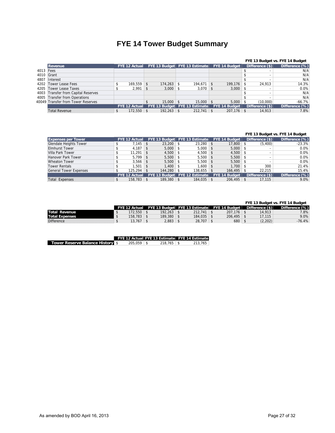## **FYE 14 Tower Budget Summary**

|            |                                    |                      |              |                               |                      |                          | FYE 13 Budget vs. FYE 14 Budget |
|------------|------------------------------------|----------------------|--------------|-------------------------------|----------------------|--------------------------|---------------------------------|
|            | <b>Revenue</b>                     | <b>FYE 12 Actual</b> |              | FYE 13 Budget FYE 13 Estimate | <b>FYE 14 Budget</b> | Difference (\$)          | Difference (%)                  |
| 4013 Fees  |                                    |                      |              |                               |                      |                          | N/A                             |
| 4010 Grant |                                    |                      |              |                               |                      |                          | N/A                             |
| 4807       | Interest                           |                      |              |                               |                      |                          | N/A                             |
| 4202       | Tower Lease Fees                   | 169.559              | $174.263$ \$ | 194.671                       | 199.176              | 24.913                   | 14.3%                           |
| 4205       | Tower Lease Taxes                  | 2.991                | 3,000        | 3,070                         | 3,000                |                          | 0.0%                            |
| 4003       | Transfer from Capital Reserves     |                      |              |                               |                      | $\overline{\phantom{a}}$ | N/A                             |
| 4005       | Transfer from Operations           |                      |              |                               |                      |                          | N/A                             |
|            | 40049 Transfer from Tower Reserves |                      | 15.000       | 15,000                        | 5.000                | (10.000)                 | $-66.7%$                        |
|            |                                    | <b>FYE 12 Actual</b> |              | FYE 13 Budget FYE 13 Estimate | <b>FYE 14 Budget</b> | Difference $(\$)$        | Difference (%)                  |
|            | <b>Total Revenue</b>               | 172.550              | $192.263$ \$ | $212.741$ \$                  | 207.176              | 14.913                   | 7.8%                            |

#### **FYE 13 Budget vs. FYE 14 Budget**

| <b>Expenses per Tower</b>     | <b>FYE 12 Actual</b> |          |         | FYE 13 Budget FYE 13 Estimate | <b>FYE 14 Budget</b> |      | Difference $(\$)$ | Difference (%) |
|-------------------------------|----------------------|----------|---------|-------------------------------|----------------------|------|-------------------|----------------|
| Glendale Heights Tower        | 7.145                | <b>S</b> | 23,200  | $23,280$ \$                   | 17,800               |      | (5,400)           | $-23.3%$       |
| <b>Elmhurst Tower</b>         | 4.187                |          | 5,000   | $5,000$ \$                    | 5,000                |      |                   | 0.0%           |
| Villa Park Tower              | 11.291               | ∣ S      | 4.500   | $4,500$ \$                    | 4,500                | - S  |                   | 0.0%           |
| Hanover Park Tower            | $5.799$ \$           |          | 5,500   | $5,500$ \$                    | 5,500                | - \$ |                   | 0.0%           |
| <b>Wheaton Tower</b>          | $3.566$ \$           |          | 5.500   | $5.500$ \$                    | 5,500                | - \$ |                   | 0.0%           |
| <b>Tower Rentals</b>          | .501                 |          | 1.400   | $1.600$ \$                    | 1.700                |      | 300               | 21.4%          |
| <b>General Tower Expenses</b> | $125.294$ \$         |          | 144.280 | 138.655                       | 166.495              |      | 22.215            | 15.4%          |
|                               | <b>FYE 12 Actual</b> |          |         | FYE 13 Budget FYE 12 Estimate | <b>FYE 14 Budget</b> |      | Difference $(\$)$ | Difference (%) |
| <b>Total Expenses</b>         | $158,783$ \$         |          | 189,380 | 184,035                       | 206,495              |      | 17,115            | 9.0%           |

#### **FYE 13 Budget vs. FYE 14 Budget**

|                       | <b>FYE 12 Actual</b> |         |         | FYE 13 Budget FYE 13 Estimate FYE 14 Budget | Difference (\$) | Difference (%) |
|-----------------------|----------------------|---------|---------|---------------------------------------------|-----------------|----------------|
| Total Revenue         | 72.550               | 192.263 | 212.741 | 207.176                                     | 14.913          | 7.8%           |
| <b>Total Expenses</b> | 158.783              | 189.380 | 184.035 | 206.495                                     | 17.115          | 9.0%           |
| <b>Difference</b>     | 13.767               | 2,883   | 28.707  | 680                                         | (2,202)         | $-76.4%$       |

|                                         |                | FYE 12 Actual FYE 13 Estimate FYE 14 Estimate |         |
|-----------------------------------------|----------------|-----------------------------------------------|---------|
| <b>Tower Reserve Balance History \$</b> | $205.059$   \$ |                                               | 213.765 |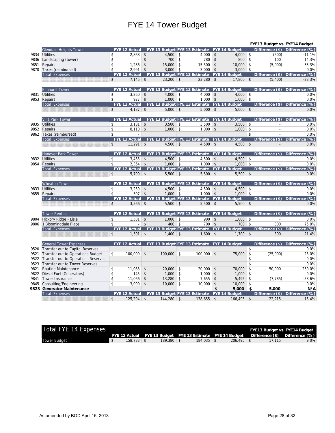## FYE 14 Tower Budget

|      | FYE13 Budget vs. FYE14 Budget       |                |                          |                         |                |            |                                             |                    |                      |               |                          |                                     |  |  |
|------|-------------------------------------|----------------|--------------------------|-------------------------|----------------|------------|---------------------------------------------|--------------------|----------------------|---------------|--------------------------|-------------------------------------|--|--|
|      | <b>Glendale Heights Tower</b>       |                | <b>FYE 12 Actual</b>     |                         |                |            | FYE 13 Budget FYE 13 Estimate FYE 14 Budget |                    |                      |               |                          | Difference $(\$)$ Difference $(\%)$ |  |  |
| 9834 | Utilities                           | \$             | 2,868                    | $\sqrt{2}$              | 4,500          | \$         | $4,000$ \$                                  |                    | $4,000$ \$           |               | (500)                    | $-11.1%$                            |  |  |
| 9836 | Landscaping (tower)                 | \$             | $\overline{\phantom{a}}$ | $\sqrt[6]{2}$           | 700            | $\sqrt{2}$ | 780                                         | $\sqrt{2}$         | 800                  | \$            | 100                      | 14.3%                               |  |  |
| 9851 | Repairs                             | \$             | 1,286                    | $\mathsf{\$}$           | 15,000         | \$         | 15,500                                      | $\vert$ \$         | 10,000               | $\mathsf{\$}$ | (5,000)                  | $-33.3%$                            |  |  |
| 9870 | Taxes (reimbursed)                  | \$             | 2.991                    | $\sqrt{2}$              | 3,000          | \$         | 3.000                                       | \$                 | 3,000                | \$            |                          | 0.0%                                |  |  |
|      | <b>Total Expenses</b>               |                | <b>FYE 12 Actual</b>     |                         |                |            | FYE 13 Budget FYE 13 Estimate FYE 14 Budget |                    |                      |               |                          | Difference (\$) Difference (%)      |  |  |
|      |                                     | $\mathbf{s}$   | $7,145$ \$               |                         | $23,200$ \$    |            | $23,280$ \$                                 |                    | $17,800$ \$          |               | (5,400)                  | $-23.3%$                            |  |  |
|      |                                     |                |                          |                         |                |            |                                             |                    |                      |               |                          |                                     |  |  |
|      | <b>Elmhurst Tower</b>               |                | <b>FYE 12 Actual</b>     |                         |                |            | FYE 13 Budget FYE 13 Estimate FYE 14 Budget |                    |                      |               |                          | Difference $(\$)$ Difference $(\%)$ |  |  |
| 9831 | Utilities                           | \$             | 3,260                    | $\mathfrak{S}$          | $4,000$ \$     |            | $4,000$ \$                                  |                    | $4,000$ \$           |               |                          | 0.0%                                |  |  |
|      | 9853 Repairs                        | \$             | $927$ \$                 |                         | $1,000$ \$     |            | $1,000$ \$                                  |                    | $1,000$ \$           |               |                          | 0.0%                                |  |  |
|      | <b>Total Expenses</b>               |                | <b>FYE 12 Actual</b>     |                         |                |            | FYE 13 Budget FYE 13 Estimate FYE 14 Budget |                    |                      |               | Difference $(\$)$        | Difference (%)                      |  |  |
|      |                                     | $\mathsf{\$}$  | $4,187$ \$               |                         | $5,000$ \$     |            | $5,000$ \$                                  |                    | $5,000$ \$           |               |                          | 0.0%                                |  |  |
|      |                                     |                |                          |                         |                |            |                                             |                    |                      |               |                          |                                     |  |  |
|      | <b>Villa Park Tower</b>             |                | <b>FYE 12 Actual</b>     |                         |                |            | FYE 13 Budget FYE 13 Estimate               |                    | <b>FYE 14 Budget</b> |               | Difference $(\$) $       | Difference (%)                      |  |  |
| 9835 | Utilities                           | \$             | 3,181                    | $\sqrt[6]{2}$           | 3,500          | $\vert$ \$ | 3,500                                       | $\sqrt[6]{2}$      | $3,500$ \$           |               |                          | 0.0%                                |  |  |
| 9852 | Repairs                             | \$             | $8,110$ \$               |                         | $1,000$ \$     |            | 1.000                                       | $\mathbf{\hat{S}}$ | 1.000                | \$            | ÷.                       | 0.0%                                |  |  |
|      | 9862 Taxes (reimbursed)             | \$             |                          |                         |                |            |                                             |                    |                      | \$            |                          | 0.0%                                |  |  |
|      | <b>Total Expenses</b>               |                | <b>FYE 12 Actual</b>     |                         |                |            | FYE 13 Budget FYE 13 Estimate FYE 14 Budget |                    |                      |               | Difference $(*)$         | Difference (%)                      |  |  |
|      |                                     | $\mathsf{\$}$  | $11,291$ \$              |                         | $4,500$ \$     |            | $4,500$ \$                                  |                    | $4,500$ \$           |               |                          | 0.0%                                |  |  |
|      | Hanover Park Tower                  |                | <b>FYE 12 Actual</b>     |                         |                |            | FYE 13 Budget FYE 13 Estimate FYE 14 Budget |                    |                      |               | Difference $(\$)\$       | Difference (%)                      |  |  |
| 9832 | <b>Utilities</b>                    | \$             | $3,435$ \$               |                         | $4,500$ \$     |            | $4,500$ \$                                  |                    | $4,500$ \$           |               | $\overline{\phantom{a}}$ | 0.0%                                |  |  |
| 9854 | Repairs                             | \$             | $2,364$ \$               |                         | $1,000$ \$     |            | $1,000$ \$                                  |                    | $1,000$ \$           |               |                          | 0.0%                                |  |  |
|      | <b>Total Expenses</b>               |                | <b>FYE 12 Actual</b>     |                         |                |            | FYE 13 Budget FYE 13 Estimate FYE 14 Budget |                    |                      |               | Difference $(\$)\$       | Difference (%)                      |  |  |
|      |                                     | \$             | $5,799$ \$               |                         | $5,500$ \$     |            | $5,500$ \$                                  |                    | $5,500$ \$           |               |                          | 0.0%                                |  |  |
|      |                                     |                |                          |                         |                |            |                                             |                    |                      |               |                          |                                     |  |  |
|      | <b>Wheaton Tower</b>                |                | <b>FYE 12 Actual</b>     |                         |                |            | FYE 13 Budget FYE 13 Estimate FYE 14 Budget |                    |                      |               | Difference $(\$)\$       | Difference (%)                      |  |  |
| 9833 | <b>Utilities</b>                    | \$             | $3,259$ \$               |                         | $4,500$ \$     |            | 4,500                                       | $\sqrt[6]{2}$      | $4,500$ \$           |               | $\sim$                   | 0.0%                                |  |  |
| 9855 | Repairs                             | \$             | $307$ \$                 |                         | $1,000$ \$     |            | $1,000$ \$                                  |                    | $1,000$ \$           |               |                          | 0.0%                                |  |  |
|      | <b>Total Expenses</b>               |                | <b>FYE 12 Actual</b>     |                         |                |            | FYE 13 Budget FYE 13 Estimate FYE 14 Budget |                    |                      |               |                          | Difference (\$) Difference (%)      |  |  |
|      |                                     | $\mathfrak{S}$ | $3,566$ \$               |                         | $5,500$ \$     |            | $5,500$ \ \$                                |                    | $5,500$ \ \$         |               |                          | 0.0%                                |  |  |
|      |                                     |                |                          |                         |                |            |                                             |                    |                      |               |                          |                                     |  |  |
|      | <b>Tower Rentals</b>                |                | <b>FYE 12 Actual</b>     |                         |                |            | FYE 13 Budget FYE 13 Estimate               |                    | <b>FYE 14 Budget</b> |               | Difference $(\$)$        | Difference (%)                      |  |  |
| 9804 | Hickory Ridge - Lisle               | \$             | 1,501                    | \$                      | $1,000$ \$     |            | 900                                         | $\sqrt[6]{3}$      | $1,000$ \$           |               |                          | 0.0%                                |  |  |
|      | 9806 1 Bloomingdale Place           | \$             |                          | $\mathsf{\$}$           | 400            | ∣\$        | 700                                         | $\sqrt{2}$         | $700$ \$             |               | 300                      | 75.0%                               |  |  |
|      | <b>Total Expenses</b>               |                | <b>FYE 12 Actual</b>     |                         |                |            | FYE 13 Budget FYE 13 Estimate FYE 14 Budget |                    |                      |               |                          | Difference (\$) Difference (%)      |  |  |
|      |                                     | \$             | $1,501$ \$               |                         | $1,400$ \$     |            | $1,600$ \$                                  |                    | $1,700$ \$           |               | 300                      | 21.4%                               |  |  |
|      |                                     |                |                          |                         |                |            |                                             |                    |                      |               |                          |                                     |  |  |
|      | <b>General Tower Expenses</b>       |                | <b>FYE 12 Actual</b>     |                         |                |            | FYE 13 Budget FYE 13 Estimate FYE 14 Budget |                    |                      |               |                          | Difference (\$) Difference (%)      |  |  |
| 9520 | Transfer out to Capital Reserves    |                |                          |                         |                |            |                                             |                    |                      | \$            |                          | 0.0%                                |  |  |
| 9521 | Transfer out to Operations Budget   | \$             | 100,000                  | \$                      | 100,000        | \$         | 100,000                                     | $\sqrt[6]{3}$      | 75,000               | \$            | (25,000)                 | $-25.0%$                            |  |  |
| 9522 | Transfer out to Operations Reserves |                |                          |                         |                |            |                                             |                    |                      | \$            |                          | 0.0%                                |  |  |
| 9523 | Transfer out to Tower Reserves      |                |                          |                         |                |            |                                             |                    |                      | \$            |                          | 0.0%                                |  |  |
| 9821 | Routine Maintenance                 | \$             | 11,083                   | \$                      | 20,000         | \$         | 20,000                                      | \$                 | 70,000               | \$            | 50,000                   | 250.0%                              |  |  |
| 9822 | Diesel Fuel (Generators)            | \$             | 145                      | $\sqrt{2}$              | 1,000          | \$         | 1,000                                       | \$                 | 1,000                | \$            | ÷                        | 0.0%                                |  |  |
| 9841 | Tower Insurance                     | \$             | 11,066                   | $\sqrt[6]{\frac{1}{2}}$ | 13,280         | \$         | 7,655                                       | \$                 | 5,495                | \$            | (7, 785)                 | $-58.6%$                            |  |  |
| 9845 | Consulting/Engineering              | \$             | 3.000                    | $\sqrt[6]{\frac{1}{2}}$ | 10,000         | \$         | 10,000                                      | \$                 | 10,000               | \$            |                          | 0.0%                                |  |  |
| 9823 | <b>Generator Maintenance</b>        |                |                          |                         |                |            |                                             | \$                 | 5,000                | \$            | 5,000                    | N/A                                 |  |  |
|      | <b>Total Expenses</b>               |                | <b>FYE 12 Actual</b>     |                         |                |            | FYE 13 Budget FYE 13 Estimate FYE 14 Budget |                    |                      |               |                          | Difference (\$) Difference (%)      |  |  |
|      |                                     | $\mathsf{\$}$  | $125,294$ \$             |                         | $144,280$ \ \$ |            | 138,655                                     | \$                 | 166,495              | $\mathsf{\$}$ | 22,215                   | 15.4%                               |  |  |

| Total FYE 14 Expenses |              |                |                                                           |                |        | FYE13 Budget vs. FYE14 Budget  |
|-----------------------|--------------|----------------|-----------------------------------------------------------|----------------|--------|--------------------------------|
|                       |              |                | FYE 12 Actual FYE 13 Budget FYE 13 Estimate FYE 14 Budget |                |        | Difference (\$) Difference (%) |
| Tower Budaet          | $158.783$ \$ | $189.380$ \ \$ |                                                           | $206.495$ \ \$ | 17.115 | 9.0%                           |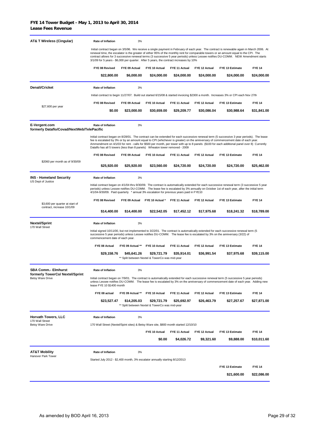| <b>AT&amp; T Wireless (Cingular)</b>                        | <b>Rate of Inflation</b>                                                               | 3%               |                                                               |               |               |                                                                                                                                                                                                                                                                                                                                                                                                                              |               |
|-------------------------------------------------------------|----------------------------------------------------------------------------------------|------------------|---------------------------------------------------------------|---------------|---------------|------------------------------------------------------------------------------------------------------------------------------------------------------------------------------------------------------------------------------------------------------------------------------------------------------------------------------------------------------------------------------------------------------------------------------|---------------|
|                                                             | 3/1/09 for 5 years - \$6,000 per quarter. After 5 years, the contract increases by 10% |                  |                                                               |               |               | Initial contract began on 3/5/96. We receive a single payment in February of each year. The contract is renewable again in March 2006. At<br>renewal time, the escalator is the greater of either 95% of the monthly rent for comparable towers or an amount equal to the CPI. The<br>contract allows for 3 successive renewal terms (3 successive 5 year periods) unless Lessee notifies DU-COMM. NEW Amendment starts      |               |
|                                                             | FYE 08 Revised                                                                         | FYE 09 Actual    | FYE 10 Actual                                                 | FYE 11 Actual | FYE 12 Actual | FYE 13 Estimate                                                                                                                                                                                                                                                                                                                                                                                                              | <b>FYE 14</b> |
|                                                             | \$22,800.00                                                                            | \$6,000.00       | \$24,000.00                                                   | \$24,000.00   | \$24,000.00   | \$24,000.00                                                                                                                                                                                                                                                                                                                                                                                                                  | \$24,000.00   |
| Denali/Cricket                                              | Rate of Inflation                                                                      | 3%               |                                                               |               |               |                                                                                                                                                                                                                                                                                                                                                                                                                              |               |
|                                                             |                                                                                        |                  |                                                               |               |               | Initial contract to begin 11/27/07. Build out started 6/15/08 & started invoicing \$2300 a month. Increases 3% or CPI each Nov 27th                                                                                                                                                                                                                                                                                          |               |
|                                                             | FYE 08 Revised                                                                         | FYE 09 Actual    | FYE 10 Actual                                                 | FYE 11 Actual | FYE 12 Actual | FYE 13 Estimate                                                                                                                                                                                                                                                                                                                                                                                                              | <b>FYE 14</b> |
| \$27,600 per year                                           | \$0.00                                                                                 | \$23,000.00      | \$30,659.00                                                   | \$29,209.77   | \$30,086.04   | \$30,988.64                                                                                                                                                                                                                                                                                                                                                                                                                  | \$31,841.00   |
| E-Vergent.com<br>formerly Dataflo/Covad/NextWeb/TelePacific | Rate of Inflation                                                                      | 3%               |                                                               |               |               |                                                                                                                                                                                                                                                                                                                                                                                                                              |               |
|                                                             | Dataflo has all 5 towers (less than 8 panels) Wheaton tower removed - 2009             |                  |                                                               |               |               | Initial contract began on 8/28/01. The contract can be extended for each successive renewal term (5 successive 3 year periods). The lease<br>fee is escalated by 3% or by an amount equal to CPI (whichever is greater) on the anniversary of commencement date of each year.<br>Ammendment on 4/1/03 for rent - calls for \$500 per month, per tower with up to 8 panels (\$100 for each additional panel over 8) Currently |               |
|                                                             | FYE 08 Revised                                                                         | FYE 09 Actual    | FYE 10 Actual                                                 | FYE 11 Actual | FYE 12 Actual | FYE 13 Estimate                                                                                                                                                                                                                                                                                                                                                                                                              | <b>FYE 14</b> |
| \$2060 per month as of 9/30/09                              | \$25,920.00                                                                            | \$25,920.00      | \$23,560.00                                                   | \$24,720.00   | \$24,720.00   | \$24,720.00                                                                                                                                                                                                                                                                                                                                                                                                                  | \$25,462.00   |
| <b>INS - Homeland Security</b><br>US Dept of Justice        | Rate of Inflation                                                                      | 3%               |                                                               |               |               |                                                                                                                                                                                                                                                                                                                                                                                                                              |               |
|                                                             | 4/1/04-9/30/09. Paid quarterly * annual 3% escalation for previous years paid in FYE10 |                  |                                                               |               |               | Initial contract began on 4/1/04 thru 9/30/09. The contract is automatically extended for each successive renewal term (3 successive 5 year<br>periods) unless Lessee notifies DU-COMM. The lease fee is escalated by 3% annually on October 1st of each year, after the initial term                                                                                                                                        |               |
| \$3,600 per quarter at start of                             | FYE 08 Revised                                                                         |                  | FYE 09 Actual FYE 10 Actual *                                 | FYE 11 Actual | FYE 12 Actual | FYE 13 Estimate                                                                                                                                                                                                                                                                                                                                                                                                              | <b>FYE 14</b> |
| contract, increase 10/1/09                                  | \$14,400.00                                                                            | \$14,400.00      | \$22,542.05                                                   | \$17,452.12   | \$17,975.68   | \$18,241.32                                                                                                                                                                                                                                                                                                                                                                                                                  | \$18,789.00   |
| <b>Nextel/Sprint</b><br>170 Wall Street                     | Rate of Inflation                                                                      | 3%               |                                                               |               |               |                                                                                                                                                                                                                                                                                                                                                                                                                              |               |
|                                                             | commencement date of each year.                                                        |                  |                                                               |               |               | Initial signed 10/11/00, but not implemented to 3/22/01. The contract is automatically extended for each successive renewal term (5<br>successive 5 year periods) unless Lessee notifies DU-COMM. The lease fee is escalated by 3% on the anniversary (3/22) of                                                                                                                                                              |               |
|                                                             | FYE 08 Actual                                                                          | FYE 09 Actual ** | FYE 10 Actual                                                 | FYE 11 Actual | FYE 12 Actual | FYE 13 Estimate                                                                                                                                                                                                                                                                                                                                                                                                              | <b>FYE 14</b> |
|                                                             | \$29,158.76                                                                            | \$45,641.26      | \$29,721.79<br>** Split between Nextel & TowerCo was mid-year | \$35,914.01   | \$36,991.54   | \$37,975.68                                                                                                                                                                                                                                                                                                                                                                                                                  | \$39,115.00   |
| <b>SBA Comm.- Elmhurst</b>                                  | Rate of Inflation                                                                      | 3%               |                                                               |               |               |                                                                                                                                                                                                                                                                                                                                                                                                                              |               |
| formerly TowerCo/ Nextel/Sprint<br><b>Betsy Ware Drive</b>  | lease FYE 10 \$1400 month                                                              |                  |                                                               |               |               | Initial contract began on 7/9/01. The contract is automatically extended for each successive renewal term (5 successive 5 year periods)<br>unless Lessee notifies DU-COMM. The lease fee is escalated by 3% on the anniversary of commencement date of each year. Adding new                                                                                                                                                 |               |
|                                                             | FYE 08 actual                                                                          | FYE 09 Actual ** | FYE 10 Actual                                                 | FYE 11 Actual | FYE 12 Actual | FYE 13 Estimate                                                                                                                                                                                                                                                                                                                                                                                                              | <b>FYE 14</b> |
|                                                             | \$23,527.47                                                                            | \$14,205.03      | \$29,721.79<br>** Split between Nextel & TowerCo was mid-year | \$25,692.97   | \$26,463.79   | \$27,257.67                                                                                                                                                                                                                                                                                                                                                                                                                  | \$27,871.00   |
| <b>Horvath Towers, LLC</b><br>170 Wall Street               | <b>Rate of Inflation</b>                                                               | 3%               |                                                               |               |               |                                                                                                                                                                                                                                                                                                                                                                                                                              |               |
| Betsy Ware Drive                                            | 170 Wall Street (Nextel/Spint sites) & Betsy Ware site, \$800 month started 12/10/10   |                  |                                                               |               |               |                                                                                                                                                                                                                                                                                                                                                                                                                              |               |
|                                                             |                                                                                        |                  | FYE 10 Actual                                                 | FYE 11 Actual | FYE 12 Actual | FYE 13 Estimate                                                                                                                                                                                                                                                                                                                                                                                                              | <b>FYE 14</b> |
|                                                             |                                                                                        |                  | \$0.00                                                        | \$4,026.72    | \$9,321.60    | \$9,888.00                                                                                                                                                                                                                                                                                                                                                                                                                   | \$10,011.60   |
| <b>AT&amp;T Mobility</b><br>Hanover Park Tower              | Rate of Inflation                                                                      | 3%               |                                                               |               |               |                                                                                                                                                                                                                                                                                                                                                                                                                              |               |
|                                                             | Started July 2012 - \$2,400 month, 3% escalator annually starting 8/12/2013            |                  |                                                               |               |               |                                                                                                                                                                                                                                                                                                                                                                                                                              |               |
|                                                             |                                                                                        |                  |                                                               |               |               | FYE 13 Estimate                                                                                                                                                                                                                                                                                                                                                                                                              | <b>FYE 14</b> |
|                                                             |                                                                                        |                  |                                                               |               |               | \$21,600.00                                                                                                                                                                                                                                                                                                                                                                                                                  | \$22,086.00   |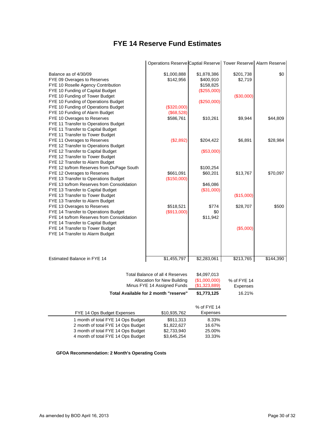## **FYE 14 Reserve Fund Estimates**

|                                                                                                                                                                | Operations Reserve Captial Reserve Tower Reserve Alarm Reserve |                                                        |                      |           |
|----------------------------------------------------------------------------------------------------------------------------------------------------------------|----------------------------------------------------------------|--------------------------------------------------------|----------------------|-----------|
| Balance as of 4/30/09<br>FYE 09 Overages to Reserves<br>FYE 10 Roselle Agency Contribution<br>FYE 10 Funding of Capital Budget                                 | \$1,000,888<br>\$142,956                                       | \$1,878,386<br>\$400,910<br>\$158,825<br>$(\$255,000)$ | \$201,738<br>\$2,719 | \$0       |
| FYE 10 Funding of Tower Budget<br>FYE 10 Funding of Operations Budget<br>FYE 10 Funding of Operations Budget                                                   | (\$320,000)                                                    | (\$250,000)                                            | (\$30,000)           |           |
| FYE 10 Funding of Alarm Budget<br>FYE 10 Overages to Reserves<br>FYE 11 Transfer to Operations Budget<br>FYE 11 Transfer to Capital Budget                     | (\$68,528)<br>\$586,761                                        | \$10,261                                               | \$9,944              | \$44,809  |
| FYE 11 Transfer to Tower Budget<br>FYE 11 Overages to Reserves<br>FYE 12 Transfer to Operations Budget                                                         | (\$2,892)                                                      | \$204,422                                              | \$6,891              | \$28,984  |
| FYE 12 Transfer to Capital Budget<br>FYE 12 Transfer to Tower Budget<br>FYE 12 Transfer to Alarm Budget                                                        |                                                                | (\$53,000)                                             |                      |           |
| FYE 12 to/from Reserves from DuPage South<br>FYE 12 Overages to Reserves<br>FYE 13 Transfer to Operations Budget<br>FYE 13 to/from Reserves from Consolidation | \$661,091<br>(\$150,000)                                       | \$100,254<br>\$60,201<br>\$46,086                      | \$13,767             | \$70,097  |
| FYE 13 Transfer to Capital Budget<br>FYE 13 Transfer to Tower Budget<br>FYE 13 Transfer to Alarm Budget                                                        |                                                                | (\$31,000)                                             | (\$15,000)           |           |
| FYE 13 Overages to Reserves<br>FYE 14 Transfer to Operations Budget<br>FYE 14 to/from Reserves from Consolidation                                              | \$518,521<br>(\$913,000)                                       | \$774<br>\$0<br>\$11,942                               | \$28,707             | \$500     |
| FYE 14 Transfer to Capital Budget<br>FYE 14 Transfer to Tower Budget<br>FYE 14 Transfer to Alarm Budget                                                        |                                                                |                                                        | (\$5,000)            |           |
| Estimated Balance in FYE 14                                                                                                                                    | \$1,455,797                                                    | \$2,283,061                                            | \$213,765            | \$144,390 |
|                                                                                                                                                                | Total Balance of all 4 Reserves<br>Allocation for New Building | \$4,097,013<br>(\$1,000,000)                           | % of FYE 14          |           |
|                                                                                                                                                                | Minus FYE 14 Assigned Funds                                    | (\$1,323,889)                                          | Expenses             |           |
|                                                                                                                                                                | Total Available for 2 month "reserve"                          | \$1,773,125                                            | 16.21%               |           |
|                                                                                                                                                                |                                                                | % of FYE 14                                            |                      |           |
| FYE 14 Ops Budget Expenses                                                                                                                                     | \$10,935,762                                                   | <b>Expenses</b>                                        |                      |           |
| 1 month of total FYE 14 Ops Budget                                                                                                                             | \$911,313                                                      | 8.33%                                                  |                      |           |
| 2 month of total FYE 14 Ops Budget                                                                                                                             | \$1,822,627                                                    | 16.67%                                                 |                      |           |
| 3 month of total FYE 14 Ops Budget<br>4 month of total FYE 14 Ops Budget                                                                                       | \$2,733,940<br>\$3,645,254                                     | 25.00%<br>33.33%                                       |                      |           |
|                                                                                                                                                                |                                                                |                                                        |                      |           |

**GFOA Recommendation: 2 Month's Operating Costs**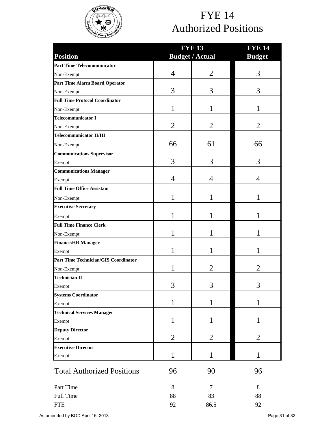

## FYE 14 Authorized Positions

|                                             | <b>FYE 13</b>  | <b>FYE 14</b>          |                |  |  |  |
|---------------------------------------------|----------------|------------------------|----------------|--|--|--|
| <b>Position</b>                             |                | <b>Budget / Actual</b> | <b>Budget</b>  |  |  |  |
| <b>Part Time Telecommunicator</b>           |                |                        |                |  |  |  |
| Non-Exempt                                  | $\overline{4}$ | $\overline{2}$         | 3              |  |  |  |
| <b>Part Time Alarm Board Operator</b>       |                |                        |                |  |  |  |
| Non-Exempt                                  | 3              | 3                      | 3              |  |  |  |
| <b>Full Time Protocol Coordinator</b>       |                |                        |                |  |  |  |
| Non-Exempt                                  | 1              | 1                      | 1              |  |  |  |
| <b>Telecommunicator I</b>                   |                |                        |                |  |  |  |
| Non-Exempt                                  | $\overline{2}$ | $\overline{2}$         | $\overline{2}$ |  |  |  |
| <b>Telecommunicator II/III</b>              |                |                        |                |  |  |  |
| Non-Exempt                                  | 66             | 61                     | 66             |  |  |  |
| <b>Communications Supervisor</b>            |                |                        |                |  |  |  |
| Exempt                                      | 3              | 3                      | 3              |  |  |  |
| <b>Communications Manager</b>               |                |                        |                |  |  |  |
| Exempt                                      | 4              | 4                      | 4              |  |  |  |
| <b>Full Time Office Assistant</b>           |                |                        |                |  |  |  |
| Non-Exempt                                  | 1              | 1                      | 1              |  |  |  |
| <b>Executive Secretary</b>                  |                |                        |                |  |  |  |
| Exempt                                      | 1              | 1                      | 1              |  |  |  |
| <b>Full Time Finance Clerk</b>              |                |                        |                |  |  |  |
| Non-Exempt                                  | 1              | 1                      | 1              |  |  |  |
| Finance\HR Manager                          |                |                        |                |  |  |  |
| Exempt                                      | 1              | 1                      | 1              |  |  |  |
| <b>Part Time Technician/GIS Coordinator</b> |                |                        |                |  |  |  |
| Non-Exempt                                  |                | $\overline{2}$         | 2              |  |  |  |
| <b>Technician II</b>                        |                |                        |                |  |  |  |
| Exempt                                      | 3              | 3                      | 3              |  |  |  |
| <b>Systems Coordinator</b>                  |                |                        |                |  |  |  |
| Exempt                                      | $\mathbf{1}$   | $\mathbf{1}$           | $\mathbf{1}$   |  |  |  |
| <b>Technical Services Manager</b>           |                |                        |                |  |  |  |
| Exempt                                      | 1              | 1                      | 1              |  |  |  |
| <b>Deputy Director</b>                      |                |                        |                |  |  |  |
| Exempt                                      | $\overline{2}$ | 2                      | 2              |  |  |  |
| <b>Executive Director</b>                   |                |                        |                |  |  |  |
| Exempt                                      | $\mathbf{1}$   | $\mathbf{1}$           | 1              |  |  |  |
| <b>Total Authorized Positions</b>           | 96             | 90                     | 96             |  |  |  |
| Part Time                                   | 8              | 7                      | $8\,$          |  |  |  |
| Full Time                                   | 88             | 83                     | 88             |  |  |  |
| <b>FTE</b>                                  | 92             | 86.5                   | 92             |  |  |  |